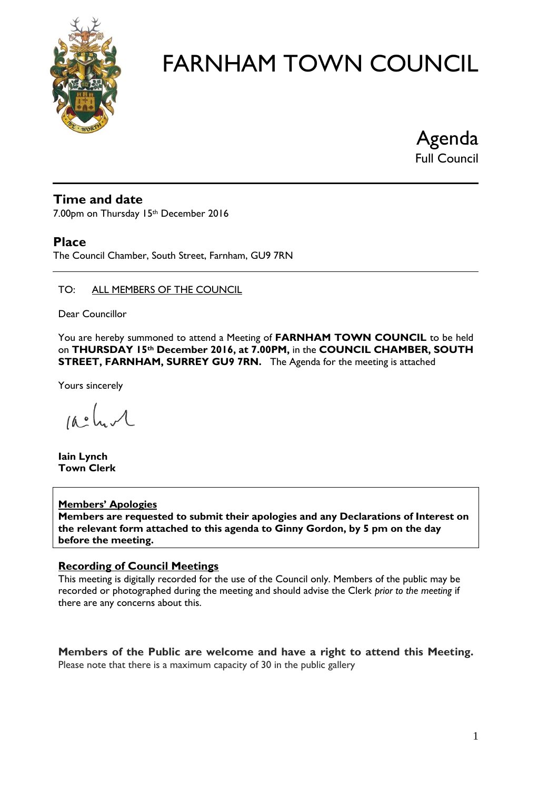

Agenda Full Council

#### **Time and date**

7.00pm on Thursday 15th December 2016

# **Place**

The Council Chamber, South Street, Farnham, GU9 7RN

#### TO: ALL MEMBERS OF THE COUNCIL

Dear Councillor

You are hereby summoned to attend a Meeting of **FARNHAM TOWN COUNCIL** to be held on **THURSDAY 15th December 2016, at 7.00PM,** in the **COUNCIL CHAMBER, SOUTH STREET, FARNHAM, SURREY GU9 7RN.** The Agenda for the meeting is attached

Yours sincerely

 $10.0$ 

**Iain Lynch Town Clerk**

#### **Members' Apologies**

**Members are requested to submit their apologies and any Declarations of Interest on the relevant form attached to this agenda to Ginny Gordon, by 5 pm on the day before the meeting.**

#### **Recording of Council Meetings**

This meeting is digitally recorded for the use of the Council only. Members of the public may be recorded or photographed during the meeting and should advise the Clerk *prior to the meeting* if there are any concerns about this.

**Members of the Public are welcome and have a right to attend this Meeting.**  Please note that there is a maximum capacity of 30 in the public gallery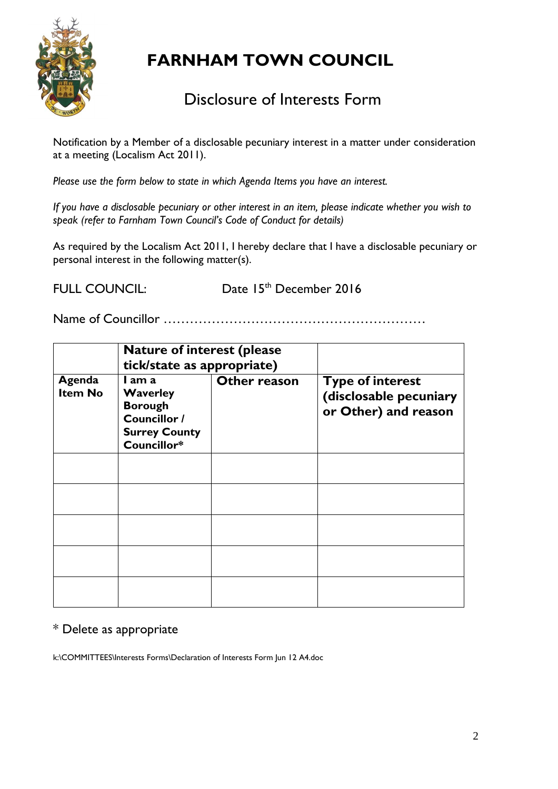

# Disclosure of Interests Form

Notification by a Member of a disclosable pecuniary interest in a matter under consideration at a meeting (Localism Act 2011).

*Please use the form below to state in which Agenda Items you have an interest.* 

*If you have a disclosable pecuniary or other interest in an item, please indicate whether you wish to speak (refer to Farnham Town Council's Code of Conduct for details)*

As required by the Localism Act 2011, I hereby declare that I have a disclosable pecuniary or personal interest in the following matter(s).

FULL COUNCIL: Date 15<sup>th</sup> December 2016

Name of Councillor ……………………………………………………

|                          | <b>Nature of interest (please</b><br>tick/state as appropriate)                                    |              |                                                                           |
|--------------------------|----------------------------------------------------------------------------------------------------|--------------|---------------------------------------------------------------------------|
| Agenda<br><b>Item No</b> | I am a<br><b>Waverley</b><br><b>Borough</b><br>Councillor /<br><b>Surrey County</b><br>Councillor* | Other reason | <b>Type of interest</b><br>(disclosable pecuniary<br>or Other) and reason |
|                          |                                                                                                    |              |                                                                           |
|                          |                                                                                                    |              |                                                                           |
|                          |                                                                                                    |              |                                                                           |
|                          |                                                                                                    |              |                                                                           |
|                          |                                                                                                    |              |                                                                           |

# \* Delete as appropriate

k:\COMMITTEES\Interests Forms\Declaration of Interests Form Jun 12 A4.doc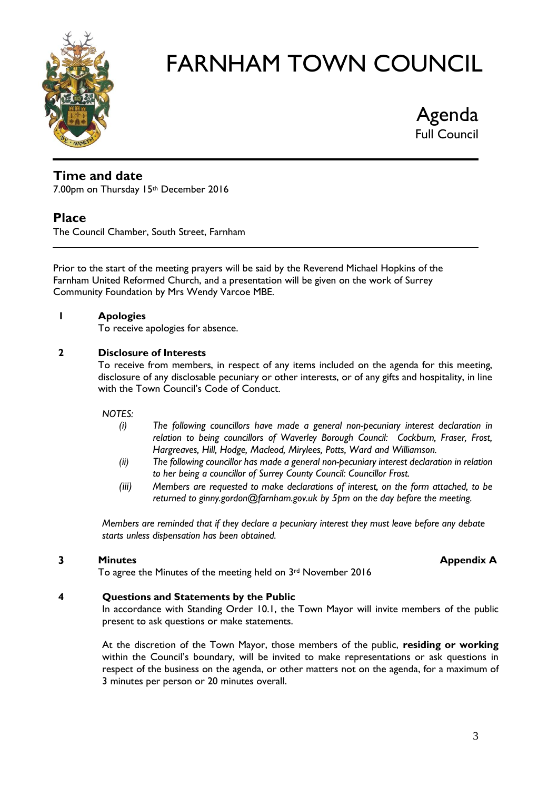

Agenda Full Council

# **Time and date**

7.00pm on Thursday 15th December 2016

# **Place**

The Council Chamber, South Street, Farnham

Prior to the start of the meeting prayers will be said by the Reverend Michael Hopkins of the Farnham United Reformed Church, and a presentation will be given on the work of Surrey Community Foundation by Mrs Wendy Varcoe MBE.

#### **1 Apologies**

To receive apologies for absence.

#### **2 Disclosure of Interests**

To receive from members, in respect of any items included on the agenda for this meeting, disclosure of any disclosable pecuniary or other interests, or of any gifts and hospitality, in line with the Town Council's Code of Conduct.

#### *NOTES:*

- *(i) The following councillors have made a general non-pecuniary interest declaration in relation to being councillors of Waverley Borough Council: Cockburn, Fraser, Frost, Hargreaves, Hill, Hodge, Macleod, Mirylees, Potts, Ward and Williamson.*
- *(ii) The following councillor has made a general non-pecuniary interest declaration in relation to her being a councillor of Surrey County Council: Councillor Frost.*
- *(iii) Members are requested to make declarations of interest, on the form attached, to be returned to ginny.gordon@farnham.gov.uk by 5pm on the day before the meeting.*

*Members are reminded that if they declare a pecuniary interest they must leave before any debate starts unless dispensation has been obtained.*

#### **3 Minutes Minutes Appendix A**

To agree the Minutes of the meeting held on 3rd November 2016

#### **4 Questions and Statements by the Public**

In accordance with Standing Order 10.1, the Town Mayor will invite members of the public present to ask questions or make statements.

At the discretion of the Town Mayor, those members of the public, **residing or working** within the Council's boundary, will be invited to make representations or ask questions in respect of the business on the agenda, or other matters not on the agenda, for a maximum of 3 minutes per person or 20 minutes overall.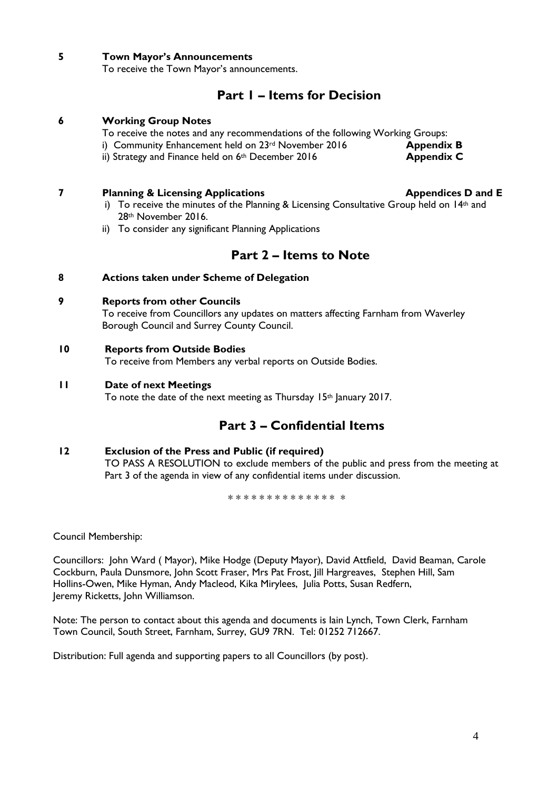#### **5 Town Mayor's Announcements**

To receive the Town Mayor's announcements.

# **Part 1 – Items for Decision**

#### **6 Working Group Notes**

To receive the notes and any recommendations of the following Working Groups:

i) Community Enhancement held on 23<sup>rd</sup> November 2016 **Appendix B** ii) Strategy and Finance held on 6<sup>th</sup> December 2016 **Appendix C** 

ii) Strategy and Finance held on 6<sup>th</sup> December 2016

#### **7 Planning & Licensing Applications Appendices D and E**

- i) To receive the minutes of the Planning & Licensing Consultative Group held on  $14<sup>th</sup>$  and 28th November 2016.
- ii) To consider any significant Planning Applications

## **Part 2 – Items to Note**

#### **8 Actions taken under Scheme of Delegation**

#### **9 Reports from other Councils**

To receive from Councillors any updates on matters affecting Farnham from Waverley Borough Council and Surrey County Council.

#### **10 Reports from Outside Bodies**

To receive from Members any verbal reports on Outside Bodies.

#### **11 Date of next Meetings**

To note the date of the next meeting as Thursday 15<sup>th</sup> January 2017.

## **Part 3 – Confidential Items**

#### **12 Exclusion of the Press and Public (if required)**

TO PASS A RESOLUTION to exclude members of the public and press from the meeting at Part 3 of the agenda in view of any confidential items under discussion.

\* \* \* \* \* \* \* \* \* \* \* \* \* \*

Council Membership:

Councillors: John Ward ( Mayor), Mike Hodge (Deputy Mayor), David Attfield, David Beaman, Carole Cockburn, Paula Dunsmore, John Scott Fraser, Mrs Pat Frost, Jill Hargreaves, Stephen Hill, Sam Hollins-Owen, Mike Hyman, Andy Macleod, Kika Mirylees, Julia Potts, Susan Redfern, Jeremy Ricketts, John Williamson.

Note: The person to contact about this agenda and documents is Iain Lynch, Town Clerk, Farnham Town Council, South Street, Farnham, Surrey, GU9 7RN. Tel: 01252 712667.

Distribution: Full agenda and supporting papers to all Councillors (by post).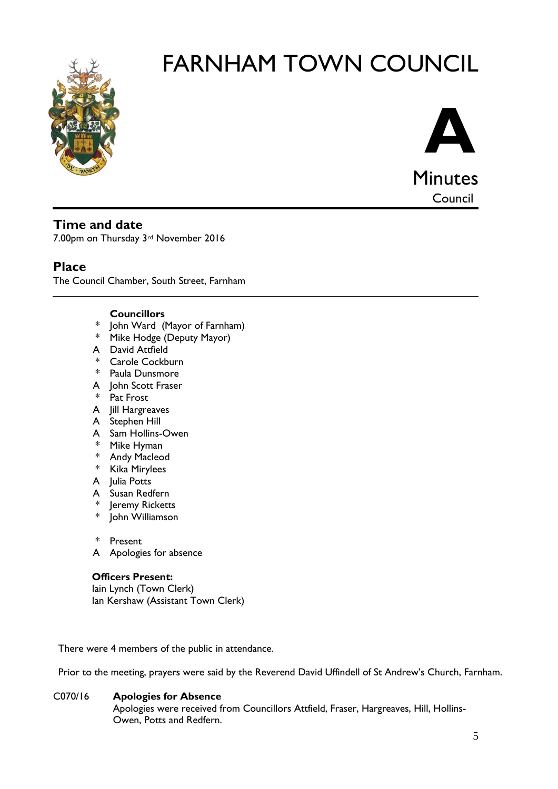



# **Time and date**

7.00pm on Thursday 3rd November 2016

**Place**

The Council Chamber, South Street, Farnham

#### **Councillors**

- \* John Ward (Mayor of Farnham)
- \* Mike Hodge (Deputy Mayor)
- A David Attfield
- \* Carole Cockburn
- \* Paula Dunsmore
- A John Scott Fraser
- \* Pat Frost
- A Jill Hargreaves
- A Stephen Hill
- A Sam Hollins-Owen
- \* Mike Hyman
- \* Andy Macleod
- \* Kika Mirylees
- A Julia Potts
- A Susan Redfern<br>\* Ieremy Rickett
- Jeremy Ricketts
- \* John Williamson

\* Present

A Apologies for absence

#### **Officers Present:**

Iain Lynch (Town Clerk) Ian Kershaw (Assistant Town Clerk)

There were 4 members of the public in attendance.

Prior to the meeting, prayers were said by the Reverend David Uffindell of St Andrew's Church, Farnham.

#### C070/16 **Apologies for Absence**

Apologies were received from Councillors Attfield, Fraser, Hargreaves, Hill, Hollins-Owen, Potts and Redfern.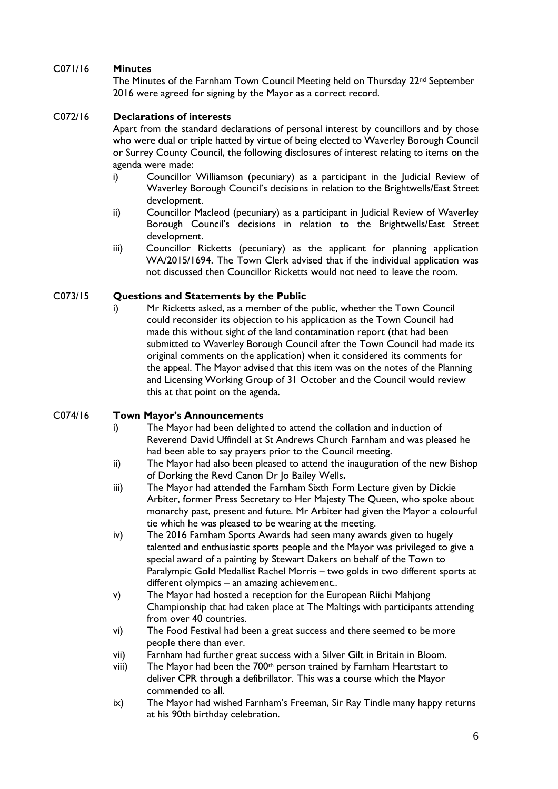#### C071/16 **Minutes**

The Minutes of the Farnham Town Council Meeting held on Thursday 22nd September 2016 were agreed for signing by the Mayor as a correct record.

#### C072/16 **Declarations of interests**

Apart from the standard declarations of personal interest by councillors and by those who were dual or triple hatted by virtue of being elected to Waverley Borough Council or Surrey County Council, the following disclosures of interest relating to items on the agenda were made:

- i) Councillor Williamson (pecuniary) as a participant in the Judicial Review of Waverley Borough Council's decisions in relation to the Brightwells/East Street development.
- ii) Councillor Macleod (pecuniary) as a participant in Judicial Review of Waverley Borough Council's decisions in relation to the Brightwells/East Street development.
- iii) Councillor Ricketts (pecuniary) as the applicant for planning application WA/2015/1694. The Town Clerk advised that if the individual application was not discussed then Councillor Ricketts would not need to leave the room.

#### C073/15 **Questions and Statements by the Public**

i) Mr Ricketts asked, as a member of the public, whether the Town Council could reconsider its objection to his application as the Town Council had made this without sight of the land contamination report (that had been submitted to Waverley Borough Council after the Town Council had made its original comments on the application) when it considered its comments for the appeal. The Mayor advised that this item was on the notes of the Planning and Licensing Working Group of 31 October and the Council would review this at that point on the agenda.

#### C074/16 **Town Mayor's Announcements**

- i) The Mayor had been delighted to attend the collation and induction of Reverend David Uffindell at St Andrews Church Farnham and was pleased he had been able to say prayers prior to the Council meeting.
- ii) The Mayor had also been pleased to attend the inauguration of the new Bishop of Dorking the Revd Canon Dr Jo Bailey Wells**.**
- iii) The Mayor had attended the Farnham Sixth Form Lecture given by Dickie Arbiter, former Press Secretary to Her Majesty The Queen, who spoke about monarchy past, present and future. Mr Arbiter had given the Mayor a colourful tie which he was pleased to be wearing at the meeting.
- iv) The 2016 Farnham Sports Awards had seen many awards given to hugely talented and enthusiastic sports people and the Mayor was privileged to give a special award of a painting by Stewart Dakers on behalf of the Town to Paralympic Gold Medallist Rachel Morris – two golds in two different sports at different olympics – an amazing achievement..
- v) The Mayor had hosted a reception for the European Riichi Mahjong Championship that had taken place at The Maltings with participants attending from over 40 countries.
- vi) The Food Festival had been a great success and there seemed to be more people there than ever.
- vii) Farnham had further great success with a Silver Gilt in Britain in Bloom.
- viii) The Mayor had been the 700<sup>th</sup> person trained by Farnham Heartstart to deliver CPR through a defibrillator. This was a course which the Mayor commended to all.
- ix) The Mayor had wished Farnham's Freeman, Sir Ray Tindle many happy returns at his 90th birthday celebration.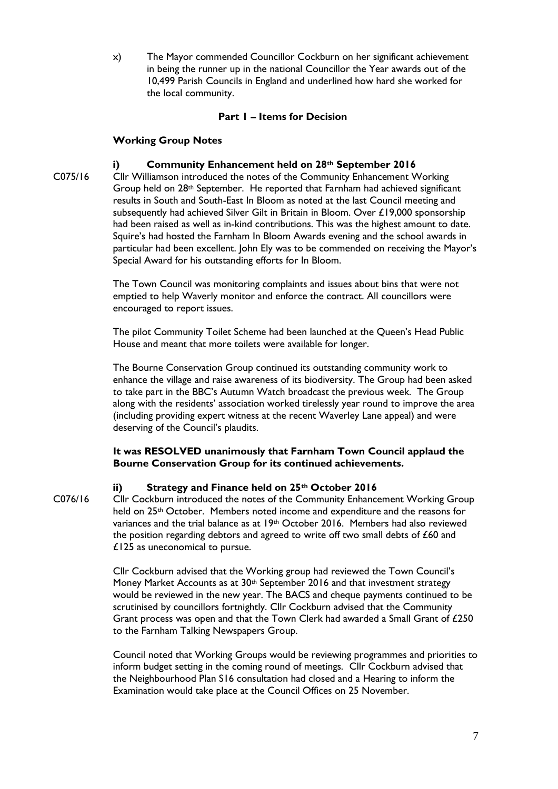x) The Mayor commended Councillor Cockburn on her significant achievement in being the runner up in the national Councillor the Year awards out of the 10,499 Parish Councils in England and underlined how hard she worked for the local community.

#### **Part 1 – Items for Decision**

#### **Working Group Notes**

#### **i) Community Enhancement held on 28th September 2016**

C075/16 Cllr Williamson introduced the notes of the Community Enhancement Working Group held on 28<sup>th</sup> September. He reported that Farnham had achieved significant results in South and South-East In Bloom as noted at the last Council meeting and subsequently had achieved Silver Gilt in Britain in Bloom. Over £19,000 sponsorship had been raised as well as in-kind contributions. This was the highest amount to date. Squire's had hosted the Farnham In Bloom Awards evening and the school awards in particular had been excellent. John Ely was to be commended on receiving the Mayor's Special Award for his outstanding efforts for In Bloom.

> The Town Council was monitoring complaints and issues about bins that were not emptied to help Waverly monitor and enforce the contract. All councillors were encouraged to report issues.

The pilot Community Toilet Scheme had been launched at the Queen's Head Public House and meant that more toilets were available for longer.

The Bourne Conservation Group continued its outstanding community work to enhance the village and raise awareness of its biodiversity. The Group had been asked to take part in the BBC's Autumn Watch broadcast the previous week. The Group along with the residents' association worked tirelessly year round to improve the area (including providing expert witness at the recent Waverley Lane appeal) and were deserving of the Council's plaudits.

#### **It was RESOLVED unanimously that Farnham Town Council applaud the Bourne Conservation Group for its continued achievements.**

#### **ii) Strategy and Finance held on 25th October 2016**

C076/16 Cllr Cockburn introduced the notes of the Community Enhancement Working Group held on 25<sup>th</sup> October. Members noted income and expenditure and the reasons for variances and the trial balance as at  $19<sup>th</sup>$  October 2016. Members had also reviewed the position regarding debtors and agreed to write off two small debts of £60 and £125 as uneconomical to pursue.

> Cllr Cockburn advised that the Working group had reviewed the Town Council's Money Market Accounts as at 30<sup>th</sup> September 2016 and that investment strategy would be reviewed in the new year. The BACS and cheque payments continued to be scrutinised by councillors fortnightly. Cllr Cockburn advised that the Community Grant process was open and that the Town Clerk had awarded a Small Grant of £250 to the Farnham Talking Newspapers Group.

> Council noted that Working Groups would be reviewing programmes and priorities to inform budget setting in the coming round of meetings. Cllr Cockburn advised that the Neighbourhood Plan S16 consultation had closed and a Hearing to inform the Examination would take place at the Council Offices on 25 November.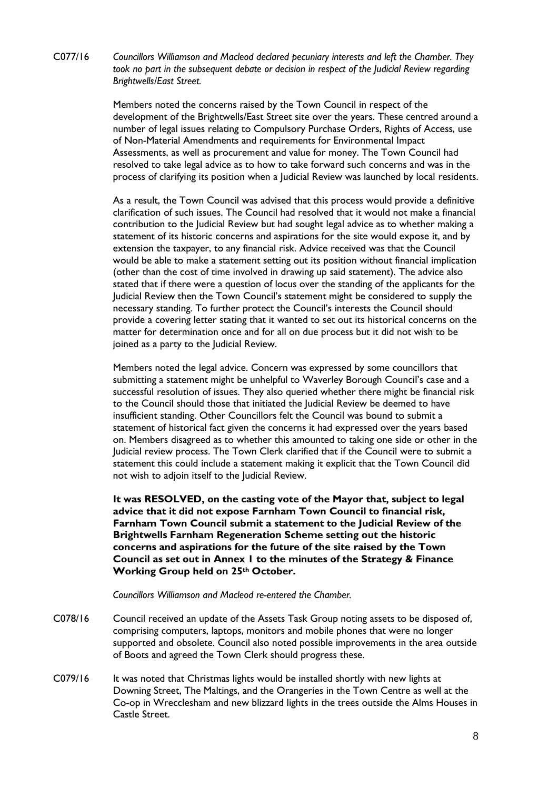C077/16 *Councillors Williamson and Macleod declared pecuniary interests and left the Chamber. They took no part in the subsequent debate or decision in respect of the Judicial Review regarding Brightwells/East Street.*

> Members noted the concerns raised by the Town Council in respect of the development of the Brightwells/East Street site over the years. These centred around a number of legal issues relating to Compulsory Purchase Orders, Rights of Access, use of Non-Material Amendments and requirements for Environmental Impact Assessments, as well as procurement and value for money. The Town Council had resolved to take legal advice as to how to take forward such concerns and was in the process of clarifying its position when a Judicial Review was launched by local residents.

> As a result, the Town Council was advised that this process would provide a definitive clarification of such issues. The Council had resolved that it would not make a financial contribution to the Judicial Review but had sought legal advice as to whether making a statement of its historic concerns and aspirations for the site would expose it, and by extension the taxpayer, to any financial risk. Advice received was that the Council would be able to make a statement setting out its position without financial implication (other than the cost of time involved in drawing up said statement). The advice also stated that if there were a question of locus over the standing of the applicants for the Judicial Review then the Town Council's statement might be considered to supply the necessary standing. To further protect the Council's interests the Council should provide a covering letter stating that it wanted to set out its historical concerns on the matter for determination once and for all on due process but it did not wish to be joined as a party to the Judicial Review.

> Members noted the legal advice. Concern was expressed by some councillors that submitting a statement might be unhelpful to Waverley Borough Council's case and a successful resolution of issues. They also queried whether there might be financial risk to the Council should those that initiated the Judicial Review be deemed to have insufficient standing. Other Councillors felt the Council was bound to submit a statement of historical fact given the concerns it had expressed over the years based on. Members disagreed as to whether this amounted to taking one side or other in the Judicial review process. The Town Clerk clarified that if the Council were to submit a statement this could include a statement making it explicit that the Town Council did not wish to adjoin itself to the Judicial Review.

**It was RESOLVED, on the casting vote of the Mayor that, subject to legal advice that it did not expose Farnham Town Council to financial risk, Farnham Town Council submit a statement to the Judicial Review of the Brightwells Farnham Regeneration Scheme setting out the historic concerns and aspirations for the future of the site raised by the Town Council as set out in Annex 1 to the minutes of the Strategy & Finance Working Group held on 25th October.** 

*Councillors Williamson and Macleod re-entered the Chamber.*

- C078/16 Council received an update of the Assets Task Group noting assets to be disposed of, comprising computers, laptops, monitors and mobile phones that were no longer supported and obsolete. Council also noted possible improvements in the area outside of Boots and agreed the Town Clerk should progress these.
- C079/16 It was noted that Christmas lights would be installed shortly with new lights at Downing Street, The Maltings, and the Orangeries in the Town Centre as well at the Co-op in Wrecclesham and new blizzard lights in the trees outside the Alms Houses in Castle Street.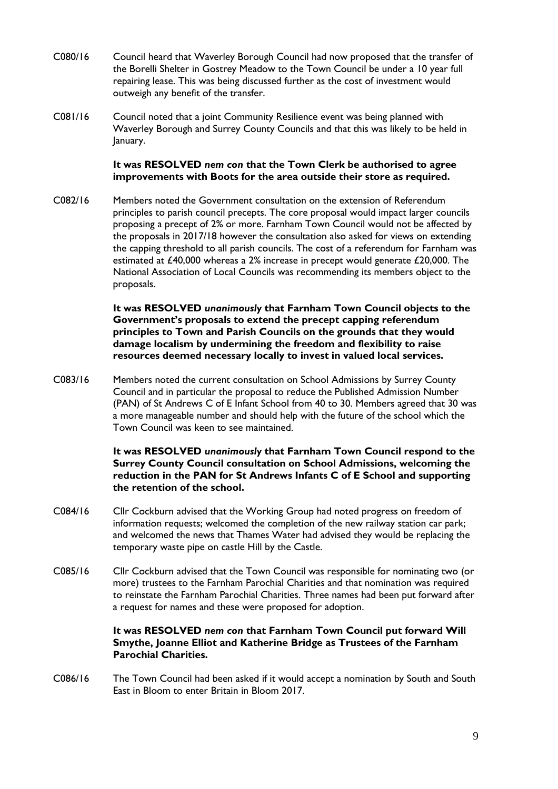- C080/16 Council heard that Waverley Borough Council had now proposed that the transfer of the Borelli Shelter in Gostrey Meadow to the Town Council be under a 10 year full repairing lease. This was being discussed further as the cost of investment would outweigh any benefit of the transfer.
- C081/16 Council noted that a joint Community Resilience event was being planned with Waverley Borough and Surrey County Councils and that this was likely to be held in January.

#### **It was RESOLVED** *nem con* **that the Town Clerk be authorised to agree improvements with Boots for the area outside their store as required.**

C082/16 Members noted the Government consultation on the extension of Referendum principles to parish council precepts. The core proposal would impact larger councils proposing a precept of 2% or more. Farnham Town Council would not be affected by the proposals in 2017/18 however the consultation also asked for views on extending the capping threshold to all parish councils. The cost of a referendum for Farnham was estimated at £40,000 whereas a 2% increase in precept would generate £20,000. The National Association of Local Councils was recommending its members object to the proposals.

> **It was RESOLVED** *unanimously* **that Farnham Town Council objects to the Government's proposals to extend the precept capping referendum principles to Town and Parish Councils on the grounds that they would damage localism by undermining the freedom and flexibility to raise resources deemed necessary locally to invest in valued local services.**

C083/16 Members noted the current consultation on School Admissions by Surrey County Council and in particular the proposal to reduce the Published Admission Number (PAN) of St Andrews C of E Infant School from 40 to 30. Members agreed that 30 was a more manageable number and should help with the future of the school which the Town Council was keen to see maintained.

#### **It was RESOLVED** *unanimously* **that Farnham Town Council respond to the Surrey County Council consultation on School Admissions, welcoming the reduction in the PAN for St Andrews Infants C of E School and supporting the retention of the school.**

- C084/16 Cllr Cockburn advised that the Working Group had noted progress on freedom of information requests; welcomed the completion of the new railway station car park; and welcomed the news that Thames Water had advised they would be replacing the temporary waste pipe on castle Hill by the Castle.
- C085/16 Cllr Cockburn advised that the Town Council was responsible for nominating two (or more) trustees to the Farnham Parochial Charities and that nomination was required to reinstate the Farnham Parochial Charities. Three names had been put forward after a request for names and these were proposed for adoption.

#### **It was RESOLVED** *nem con* **that Farnham Town Council put forward Will Smythe, Joanne Elliot and Katherine Bridge as Trustees of the Farnham Parochial Charities.**

C086/16 The Town Council had been asked if it would accept a nomination by South and South East in Bloom to enter Britain in Bloom 2017.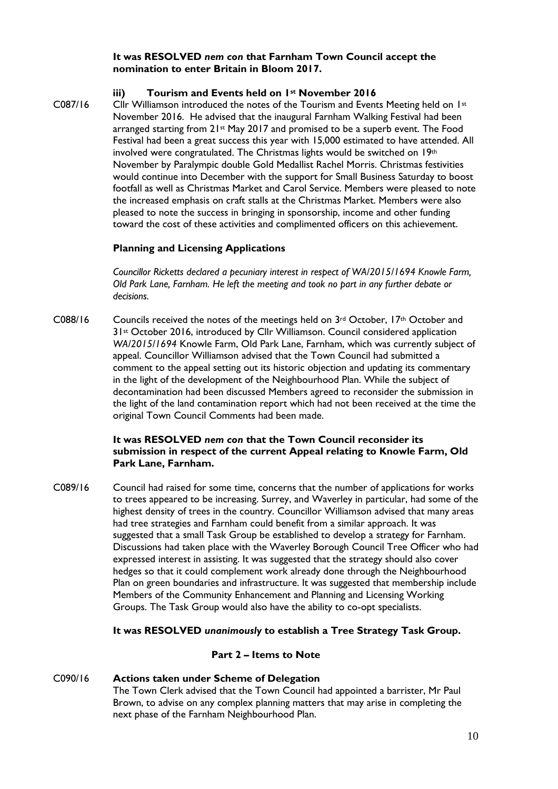#### **It was RESOLVED** *nem con* **that Farnham Town Council accept the nomination to enter Britain in Bloom 2017.**

#### **iii) Tourism and Events held on 1st November 2016**

 $C087/16$  Cllr Williamson introduced the notes of the Tourism and Events Meeting held on 1st November 2016. He advised that the inaugural Farnham Walking Festival had been arranged starting from  $21^{st}$  May 2017 and promised to be a superb event. The Food Festival had been a great success this year with 15,000 estimated to have attended. All involved were congratulated. The Christmas lights would be switched on 19th November by Paralympic double Gold Medallist Rachel Morris. Christmas festivities would continue into December with the support for Small Business Saturday to boost footfall as well as Christmas Market and Carol Service. Members were pleased to note the increased emphasis on craft stalls at the Christmas Market. Members were also pleased to note the success in bringing in sponsorship, income and other funding toward the cost of these activities and complimented officers on this achievement.

#### **Planning and Licensing Applications**

*Councillor Ricketts declared a pecuniary interest in respect of WA/2015/1694 Knowle Farm, Old Park Lane, Farnham. He left the meeting and took no part in any further debate or decisions.*

C088/16 Councils received the notes of the meetings held on 3rd October, 17th October and 31st October 2016, introduced by Cllr Williamson. Council considered application *WA/2015/1694* Knowle Farm, Old Park Lane, Farnham, which was currently subject of appeal. Councillor Williamson advised that the Town Council had submitted a comment to the appeal setting out its historic objection and updating its commentary in the light of the development of the Neighbourhood Plan. While the subject of decontamination had been discussed Members agreed to reconsider the submission in the light of the land contamination report which had not been received at the time the original Town Council Comments had been made.

#### **It was RESOLVED** *nem con* **that the Town Council reconsider its submission in respect of the current Appeal relating to Knowle Farm, Old Park Lane, Farnham.**

C089/16 Council had raised for some time, concerns that the number of applications for works to trees appeared to be increasing. Surrey, and Waverley in particular, had some of the highest density of trees in the country. Councillor Williamson advised that many areas had tree strategies and Farnham could benefit from a similar approach. It was suggested that a small Task Group be established to develop a strategy for Farnham. Discussions had taken place with the Waverley Borough Council Tree Officer who had expressed interest in assisting. It was suggested that the strategy should also cover hedges so that it could complement work already done through the Neighbourhood Plan on green boundaries and infrastructure. It was suggested that membership include Members of the Community Enhancement and Planning and Licensing Working Groups. The Task Group would also have the ability to co-opt specialists.

#### **It was RESOLVED** *unanimously* **to establish a Tree Strategy Task Group.**

#### **Part 2 – Items to Note**

#### C090/16 **Actions taken under Scheme of Delegation**

The Town Clerk advised that the Town Council had appointed a barrister, Mr Paul Brown, to advise on any complex planning matters that may arise in completing the next phase of the Farnham Neighbourhood Plan.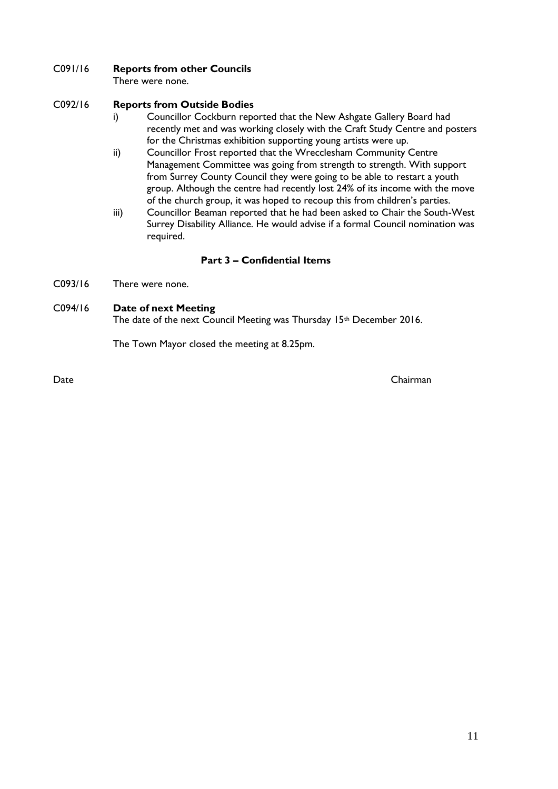#### C091/16 **Reports from other Councils**

There were none.

#### C092/16 **Reports from Outside Bodies**

- i) Councillor Cockburn reported that the New Ashgate Gallery Board had recently met and was working closely with the Craft Study Centre and posters for the Christmas exhibition supporting young artists were up.
- ii) Councillor Frost reported that the Wrecclesham Community Centre Management Committee was going from strength to strength. With support from Surrey County Council they were going to be able to restart a youth group. Although the centre had recently lost 24% of its income with the move of the church group, it was hoped to recoup this from children's parties.
- iii) Councillor Beaman reported that he had been asked to Chair the South-West Surrey Disability Alliance. He would advise if a formal Council nomination was required.

#### **Part 3 – Confidential Items**

C093/16 There were none.

#### C094/16 **Date of next Meeting**

The date of the next Council Meeting was Thursday 15<sup>th</sup> December 2016.

The Town Mayor closed the meeting at 8.25pm.

Date Chairman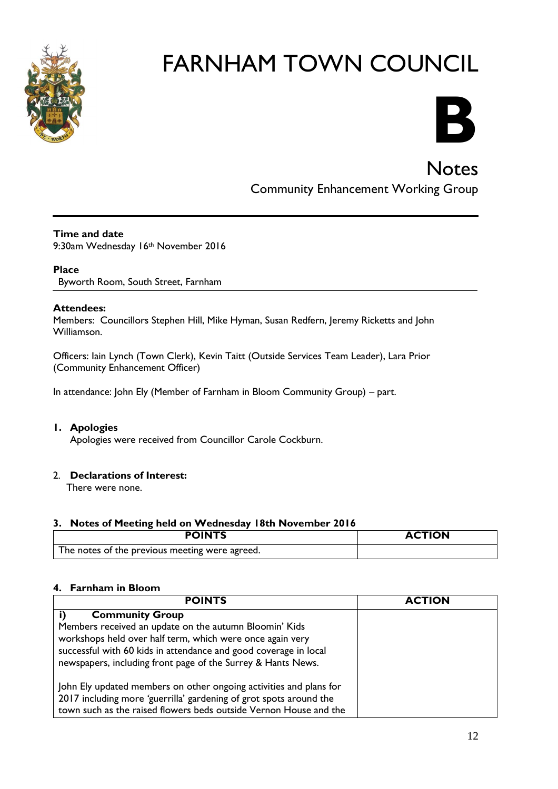

# **B**

**Notes** 

# Community Enhancement Working Group

#### **Time and date**

9:30am Wednesday 16th November 2016

#### **Place**

Byworth Room, South Street, Farnham

#### **Attendees:**

Members: Councillors Stephen Hill, Mike Hyman, Susan Redfern, Jeremy Ricketts and John Williamson.

Officers: Iain Lynch (Town Clerk), Kevin Taitt (Outside Services Team Leader), Lara Prior (Community Enhancement Officer)

In attendance: John Ely (Member of Farnham in Bloom Community Group) – part.

#### **1. Apologies**

Apologies were received from Councillor Carole Cockburn.

#### 2. **Declarations of Interest:**

There were none.

#### **3. Notes of Meeting held on Wednesday 18th November 2016**

| <b>POINTS</b>                                  | <b>ACTION</b> |
|------------------------------------------------|---------------|
| The notes of the previous meeting were agreed. |               |

#### **4. Farnham in Bloom**

| <b>POINTS</b>                                                                                                                                                                                                                                                                     | <b>ACTION</b> |
|-----------------------------------------------------------------------------------------------------------------------------------------------------------------------------------------------------------------------------------------------------------------------------------|---------------|
| <b>Community Group</b><br>Members received an update on the autumn Bloomin' Kids<br>workshops held over half term, which were once again very<br>successful with 60 kids in attendance and good coverage in local<br>newspapers, including front page of the Surrey & Hants News. |               |
| John Ely updated members on other ongoing activities and plans for<br>2017 including more 'guerrilla' gardening of grot spots around the<br>town such as the raised flowers beds outside Vernon House and the                                                                     |               |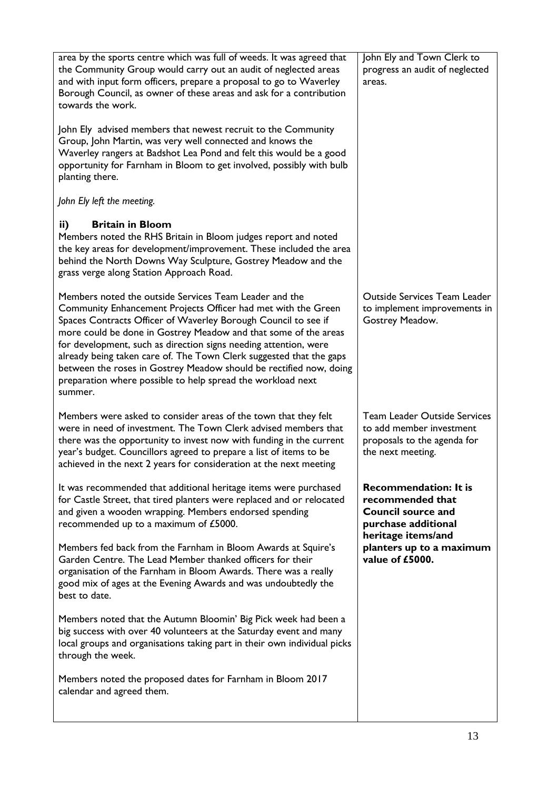| area by the sports centre which was full of weeds. It was agreed that<br>the Community Group would carry out an audit of neglected areas                                                                                                                                                                                                                                                                                                                                                                                                                | John Ely and Town Clerk to<br>progress an audit of neglected                                                               |
|---------------------------------------------------------------------------------------------------------------------------------------------------------------------------------------------------------------------------------------------------------------------------------------------------------------------------------------------------------------------------------------------------------------------------------------------------------------------------------------------------------------------------------------------------------|----------------------------------------------------------------------------------------------------------------------------|
| and with input form officers, prepare a proposal to go to Waverley<br>Borough Council, as owner of these areas and ask for a contribution<br>towards the work.                                                                                                                                                                                                                                                                                                                                                                                          | areas.                                                                                                                     |
| John Ely advised members that newest recruit to the Community<br>Group, John Martin, was very well connected and knows the<br>Waverley rangers at Badshot Lea Pond and felt this would be a good<br>opportunity for Farnham in Bloom to get involved, possibly with bulb<br>planting there.                                                                                                                                                                                                                                                             |                                                                                                                            |
| John Ely left the meeting.                                                                                                                                                                                                                                                                                                                                                                                                                                                                                                                              |                                                                                                                            |
| <b>Britain in Bloom</b><br>ii)<br>Members noted the RHS Britain in Bloom judges report and noted<br>the key areas for development/improvement. These included the area<br>behind the North Downs Way Sculpture, Gostrey Meadow and the<br>grass verge along Station Approach Road.                                                                                                                                                                                                                                                                      |                                                                                                                            |
| Members noted the outside Services Team Leader and the<br>Community Enhancement Projects Officer had met with the Green<br>Spaces Contracts Officer of Waverley Borough Council to see if<br>more could be done in Gostrey Meadow and that some of the areas<br>for development, such as direction signs needing attention, were<br>already being taken care of. The Town Clerk suggested that the gaps<br>between the roses in Gostrey Meadow should be rectified now, doing<br>preparation where possible to help spread the workload next<br>summer. | <b>Outside Services Team Leader</b><br>to implement improvements in<br>Gostrey Meadow.                                     |
| Members were asked to consider areas of the town that they felt<br>were in need of investment. The Town Clerk advised members that<br>there was the opportunity to invest now with funding in the current<br>year's budget. Councillors agreed to prepare a list of items to be<br>achieved in the next 2 years for consideration at the next meeting                                                                                                                                                                                                   | <b>Team Leader Outside Services</b><br>to add member investment<br>proposals to the agenda for<br>the next meeting.        |
| It was recommended that additional heritage items were purchased<br>for Castle Street, that tired planters were replaced and or relocated<br>and given a wooden wrapping. Members endorsed spending<br>recommended up to a maximum of £5000.                                                                                                                                                                                                                                                                                                            | <b>Recommendation: It is</b><br>recommended that<br><b>Council source and</b><br>purchase additional<br>heritage items/and |
| Members fed back from the Farnham in Bloom Awards at Squire's<br>Garden Centre. The Lead Member thanked officers for their<br>organisation of the Farnham in Bloom Awards. There was a really<br>good mix of ages at the Evening Awards and was undoubtedly the<br>best to date.                                                                                                                                                                                                                                                                        | planters up to a maximum<br>value of £5000.                                                                                |
| Members noted that the Autumn Bloomin' Big Pick week had been a<br>big success with over 40 volunteers at the Saturday event and many<br>local groups and organisations taking part in their own individual picks<br>through the week.                                                                                                                                                                                                                                                                                                                  |                                                                                                                            |
| Members noted the proposed dates for Farnham in Bloom 2017<br>calendar and agreed them.                                                                                                                                                                                                                                                                                                                                                                                                                                                                 |                                                                                                                            |
|                                                                                                                                                                                                                                                                                                                                                                                                                                                                                                                                                         |                                                                                                                            |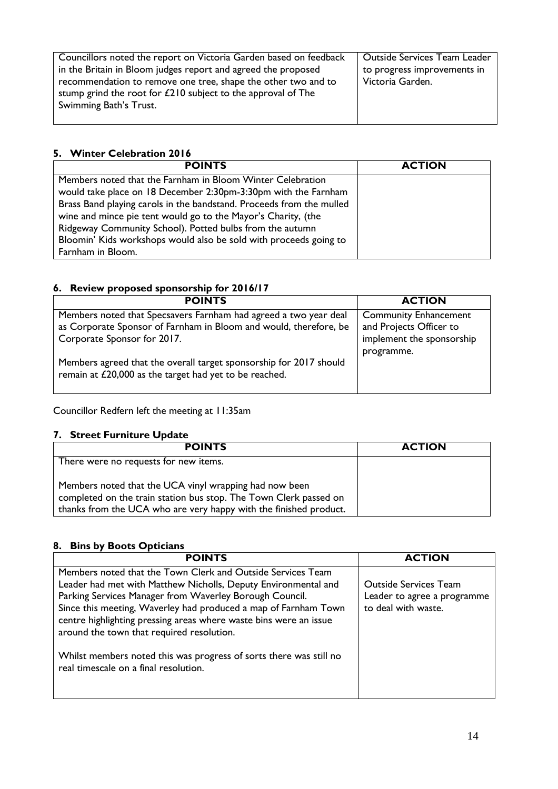| Councillors noted the report on Victoria Garden based on feedback | Outside Services Team Leader |
|-------------------------------------------------------------------|------------------------------|
| in the Britain in Bloom judges report and agreed the proposed     | to progress improvements in  |
| recommendation to remove one tree, shape the other two and to     | Victoria Garden.             |
| stump grind the root for £210 subject to the approval of The      |                              |
| Swimming Bath's Trust.                                            |                              |
|                                                                   |                              |

# **5. Winter Celebration 2016**

| <b>POINTS</b>                                                        | <b>ACTION</b> |
|----------------------------------------------------------------------|---------------|
| Members noted that the Farnham in Bloom Winter Celebration           |               |
| would take place on 18 December 2:30pm-3:30pm with the Farnham       |               |
| Brass Band playing carols in the bandstand. Proceeds from the mulled |               |
| wine and mince pie tent would go to the Mayor's Charity, (the        |               |
| Ridgeway Community School). Potted bulbs from the autumn             |               |
| Bloomin' Kids workshops would also be sold with proceeds going to    |               |
| Farnham in Bloom.                                                    |               |

#### **6. Review proposed sponsorship for 2016/17**

| <b>POINTS</b>                                                                                                                                                        | <b>ACTION</b>                                                                                      |
|----------------------------------------------------------------------------------------------------------------------------------------------------------------------|----------------------------------------------------------------------------------------------------|
| Members noted that Specsavers Farnham had agreed a two year deal<br>as Corporate Sponsor of Farnham in Bloom and would, therefore, be<br>Corporate Sponsor for 2017. | <b>Community Enhancement</b><br>and Projects Officer to<br>implement the sponsorship<br>programme. |
| Members agreed that the overall target sponsorship for 2017 should<br>remain at £20,000 as the target had yet to be reached.                                         |                                                                                                    |

Councillor Redfern left the meeting at 11:35am

#### **7. Street Furniture Update**

| <b>POINTS</b>                                                     | <b>ACTION</b> |
|-------------------------------------------------------------------|---------------|
| There were no requests for new items.                             |               |
| Members noted that the UCA vinyl wrapping had now been            |               |
| completed on the train station bus stop. The Town Clerk passed on |               |
| thanks from the UCA who are very happy with the finished product. |               |

### **8. Bins by Boots Opticians**

| <b>POINTS</b>                                                                                                                                                                                                                                                                                                                                                                                                                                                                                | <b>ACTION</b>                                                                      |
|----------------------------------------------------------------------------------------------------------------------------------------------------------------------------------------------------------------------------------------------------------------------------------------------------------------------------------------------------------------------------------------------------------------------------------------------------------------------------------------------|------------------------------------------------------------------------------------|
| Members noted that the Town Clerk and Outside Services Team<br>Leader had met with Matthew Nicholls, Deputy Environmental and<br>Parking Services Manager from Waverley Borough Council.<br>Since this meeting, Waverley had produced a map of Farnham Town<br>centre highlighting pressing areas where waste bins were an issue<br>around the town that required resolution.<br>Whilst members noted this was progress of sorts there was still no<br>real timescale on a final resolution. | <b>Outside Services Team</b><br>Leader to agree a programme<br>to deal with waste. |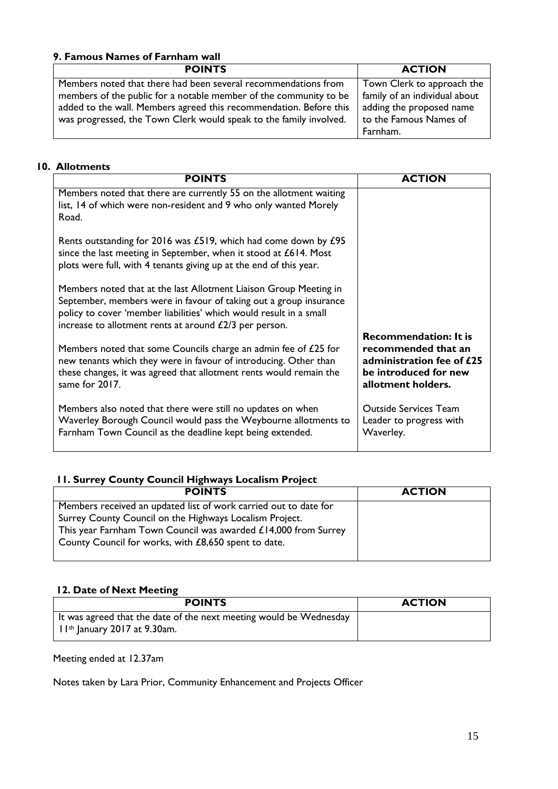#### **9. Famous Names of Farnham wall**

| <b>POINTS</b>                                                                                                                            | <b>ACTION</b>                                                  |
|------------------------------------------------------------------------------------------------------------------------------------------|----------------------------------------------------------------|
| Members noted that there had been several recommendations from<br>members of the public for a notable member of the community to be      | Town Clerk to approach the<br>family of an individual about    |
| added to the wall. Members agreed this recommendation. Before this<br>was progressed, the Town Clerk would speak to the family involved. | adding the proposed name<br>to the Famous Names of<br>Farnham. |

#### **10. Allotments**

| <b>POINTS</b>                                                                                                                                                                                                                                                           | <b>ACTION</b>                                                                                                                   |
|-------------------------------------------------------------------------------------------------------------------------------------------------------------------------------------------------------------------------------------------------------------------------|---------------------------------------------------------------------------------------------------------------------------------|
| Members noted that there are currently 55 on the allotment waiting<br>list, 14 of which were non-resident and 9 who only wanted Morely<br>Road.                                                                                                                         |                                                                                                                                 |
| Rents outstanding for 2016 was £519, which had come down by £95<br>since the last meeting in September, when it stood at £614. Most<br>plots were full, with 4 tenants giving up at the end of this year.                                                               |                                                                                                                                 |
| Members noted that at the last Allotment Liaison Group Meeting in<br>September, members were in favour of taking out a group insurance<br>policy to cover 'member liabilities' which would result in a small<br>increase to allotment rents at around $E/3$ per person. |                                                                                                                                 |
| Members noted that some Councils charge an admin fee of $E25$ for<br>new tenants which they were in favour of introducing. Other than<br>these changes, it was agreed that allotment rents would remain the<br>same for 2017.                                           | <b>Recommendation: It is</b><br>recommended that an<br>administration fee of £25<br>be introduced for new<br>allotment holders. |
| Members also noted that there were still no updates on when<br>Waverley Borough Council would pass the Weybourne allotments to<br>Farnham Town Council as the deadline kept being extended.                                                                             | <b>Outside Services Team</b><br>Leader to progress with<br>Waverley.                                                            |

## **11. Surrey County Council Highways Localism Project**

| <b>POINTS</b>                                                                                                                                                                                                                                         | <b>ACTION</b> |
|-------------------------------------------------------------------------------------------------------------------------------------------------------------------------------------------------------------------------------------------------------|---------------|
| Members received an updated list of work carried out to date for<br>Surrey County Council on the Highways Localism Project.<br>This year Farnham Town Council was awarded £14,000 from Surrey<br>County Council for works, with £8,650 spent to date. |               |

### **12. Date of Next Meeting**

| <b>POINTS</b>                                                                                                  | <b>ACTION</b> |
|----------------------------------------------------------------------------------------------------------------|---------------|
| It was agreed that the date of the next meeting would be Wednesday<br>II <sup>th</sup> January 2017 at 9.30am. |               |

#### Meeting ended at 12.37am

Notes taken by Lara Prior, Community Enhancement and Projects Officer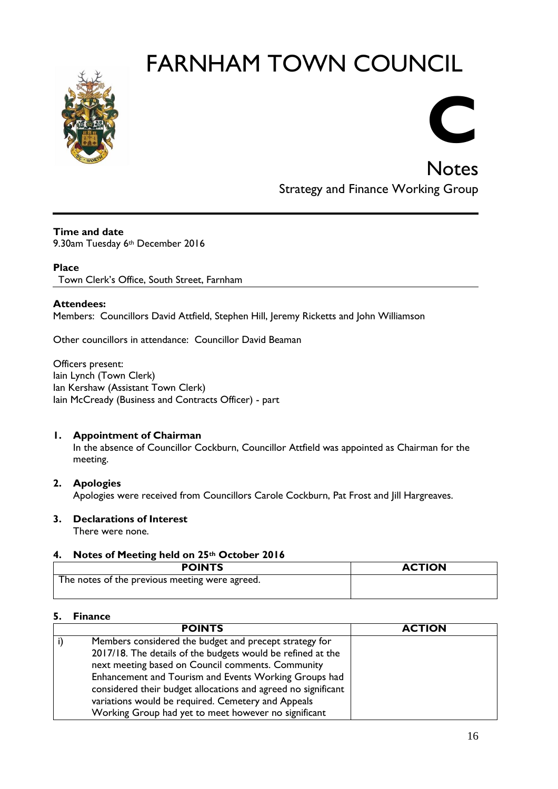

# **C**

Notes Strategy and Finance Working Group

#### **Time and date**

9.30am Tuesday 6th December 2016

#### **Place**

Town Clerk's Office, South Street, Farnham

#### **Attendees:**

Members: Councillors David Attfield, Stephen Hill, Jeremy Ricketts and John Williamson

Other councillors in attendance: Councillor David Beaman

Officers present: Iain Lynch (Town Clerk) Ian Kershaw (Assistant Town Clerk) Iain McCready (Business and Contracts Officer) - part

#### **1. Appointment of Chairman**

In the absence of Councillor Cockburn, Councillor Attfield was appointed as Chairman for the meeting.

#### **2. Apologies**

Apologies were received from Councillors Carole Cockburn, Pat Frost and Jill Hargreaves.

#### **3. Declarations of Interest**

There were none.

#### **4. Notes of Meeting held on 25th October 2016**

| <b>POINTS</b>                                  | <b>ACTION</b> |
|------------------------------------------------|---------------|
| The notes of the previous meeting were agreed. |               |

#### **5. Finance**

| <b>POINTS</b>                                                 | <b>ACTION</b> |
|---------------------------------------------------------------|---------------|
| Members considered the budget and precept strategy for        |               |
| 2017/18. The details of the budgets would be refined at the   |               |
| next meeting based on Council comments. Community             |               |
| Enhancement and Tourism and Events Working Groups had         |               |
| considered their budget allocations and agreed no significant |               |
| variations would be required. Cemetery and Appeals            |               |
| Working Group had yet to meet however no significant          |               |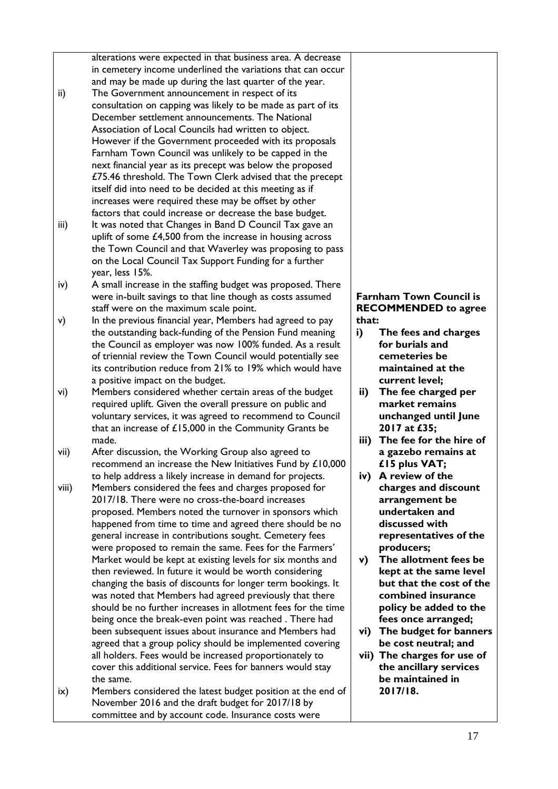alterations were expected in that business area. A decrease in cemetery income underlined the variations that can occur and may be made up during the last quarter of the year. ii) The Government announcement in respect of its consultation on capping was likely to be made as part of its December settlement announcements. The National Association of Local Councils had written to object. However if the Government proceeded with its proposals Farnham Town Council was unlikely to be capped in the next financial year as its precept was below the proposed £75.46 threshold. The Town Clerk advised that the precept itself did into need to be decided at this meeting as if increases were required these may be offset by other factors that could increase or decrease the base budget. iii) It was noted that Changes in Band D Council Tax gave an uplift of some £4,500 from the increase in housing across the Town Council and that Waverley was proposing to pass on the Local Council Tax Support Funding for a further year, less 15%. iv) A small increase in the staffing budget was proposed. There were in-built savings to that line though as costs assumed staff were on the maximum scale point. v) In the previous financial year, Members had agreed to pay the outstanding back-funding of the Pension Fund meaning the Council as employer was now 100% funded. As a result of triennial review the Town Council would potentially see its contribution reduce from 21% to 19% which would have a positive impact on the budget. vi) Members considered whether certain areas of the budget required uplift. Given the overall pressure on public and voluntary services, it was agreed to recommend to Council that an increase of £15,000 in the Community Grants be made. vii) After discussion, the Working Group also agreed to recommend an increase the New Initiatives Fund by £10,000 to help address a likely increase in demand for projects. viii) Members considered the fees and charges proposed for 2017/18. There were no cross-the-board increases proposed. Members noted the turnover in sponsors which happened from time to time and agreed there should be no general increase in contributions sought. Cemetery fees were proposed to remain the same. Fees for the Farmers' Market would be kept at existing levels for six months and then reviewed. In future it would be worth considering changing the basis of discounts for longer term bookings. It was noted that Members had agreed previously that there should be no further increases in allotment fees for the time being once the break-even point was reached . There had been subsequent issues about insurance and Members had agreed that a group policy should be implemented covering all holders. Fees would be increased proportionately to cover this additional service. Fees for banners would stay the same. ix) Members considered the latest budget position at the end of November 2016 and the draft budget for 2017/18 by committee and by account code. Insurance costs were **Farnham Town Council is RECOMMENDED to agree that: i) The fees and charges for burials and cemeteries be maintained at the current level; ii) The fee charged per market remains unchanged until June 2017 at £35; iii) The fee for the hire of a gazebo remains at £15 plus VAT; iv) A review of the charges and discount arrangement be undertaken and discussed with representatives of the producers; v) The allotment fees be kept at the same level but that the cost of the combined insurance policy be added to the fees once arranged; vi) The budget for banners be cost neutral; and vii) The charges for use of the ancillary services be maintained in 2017/18.**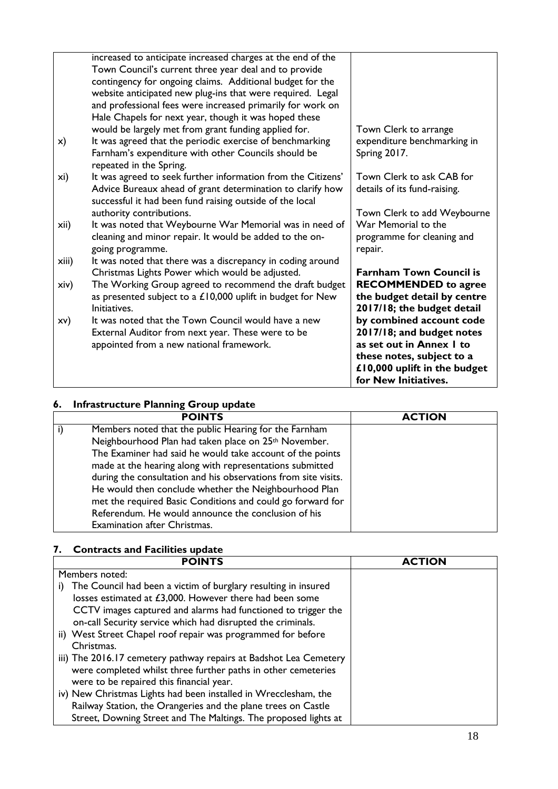|       | increased to anticipate increased charges at the end of the<br>Town Council's current three year deal and to provide |                                |
|-------|----------------------------------------------------------------------------------------------------------------------|--------------------------------|
|       | contingency for ongoing claims. Additional budget for the                                                            |                                |
|       | website anticipated new plug-ins that were required. Legal                                                           |                                |
|       | and professional fees were increased primarily for work on                                                           |                                |
|       | Hale Chapels for next year, though it was hoped these                                                                |                                |
|       | would be largely met from grant funding applied for.                                                                 | Town Clerk to arrange          |
| x)    | It was agreed that the periodic exercise of benchmarking                                                             | expenditure benchmarking in    |
|       | Farnham's expenditure with other Councils should be                                                                  | Spring 2017.                   |
|       | repeated in the Spring.                                                                                              |                                |
| xi)   | It was agreed to seek further information from the Citizens'                                                         | Town Clerk to ask CAB for      |
|       | Advice Bureaux ahead of grant determination to clarify how                                                           | details of its fund-raising.   |
|       | successful it had been fund raising outside of the local                                                             |                                |
|       | authority contributions.                                                                                             | Town Clerk to add Weybourne    |
| xii)  | It was noted that Weybourne War Memorial was in need of                                                              | War Memorial to the            |
|       | cleaning and minor repair. It would be added to the on-                                                              | programme for cleaning and     |
|       | going programme.                                                                                                     | repair.                        |
| xiii) | It was noted that there was a discrepancy in coding around                                                           |                                |
|       | Christmas Lights Power which would be adjusted.                                                                      | <b>Farnham Town Council is</b> |
| xiiv) | The Working Group agreed to recommend the draft budget                                                               | <b>RECOMMENDED</b> to agree    |
|       | as presented subject to a $£10,000$ uplift in budget for New                                                         | the budget detail by centre    |
|       | Initiatives.                                                                                                         | 2017/18; the budget detail     |
| xv)   | It was noted that the Town Council would have a new                                                                  | by combined account code       |
|       | External Auditor from next year. These were to be                                                                    | 2017/18; and budget notes      |
|       | appointed from a new national framework.                                                                             | as set out in Annex I to       |
|       |                                                                                                                      | these notes, subject to a      |
|       |                                                                                                                      | £10,000 uplift in the budget   |
|       |                                                                                                                      | for New Initiatives.           |

#### **6. Infrastructure Planning Group update**

| <b>POINTS</b>                                                    | <b>ACTION</b> |
|------------------------------------------------------------------|---------------|
| Members noted that the public Hearing for the Farnham            |               |
| Neighbourhood Plan had taken place on 25 <sup>th</sup> November. |               |
| The Examiner had said he would take account of the points        |               |
| made at the hearing along with representations submitted         |               |
| during the consultation and his observations from site visits.   |               |
| He would then conclude whether the Neighbourhood Plan            |               |
| met the required Basic Conditions and could go forward for       |               |
| Referendum. He would announce the conclusion of his              |               |
| <b>Examination after Christmas.</b>                              |               |

### **7. Contracts and Facilities update**

| <b>POINTS</b>                                                     | <b>ACTION</b> |
|-------------------------------------------------------------------|---------------|
| Members noted:                                                    |               |
| The Council had been a victim of burglary resulting in insured    |               |
| losses estimated at £3,000. However there had been some           |               |
| CCTV images captured and alarms had functioned to trigger the     |               |
| on-call Security service which had disrupted the criminals.       |               |
| ii) West Street Chapel roof repair was programmed for before      |               |
| Christmas.                                                        |               |
| iii) The 2016.17 cemetery pathway repairs at Badshot Lea Cemetery |               |
| were completed whilst three further paths in other cemeteries     |               |
| were to be repaired this financial year.                          |               |
| iv) New Christmas Lights had been installed in Wrecclesham, the   |               |
| Railway Station, the Orangeries and the plane trees on Castle     |               |
| Street, Downing Street and The Maltings. The proposed lights at   |               |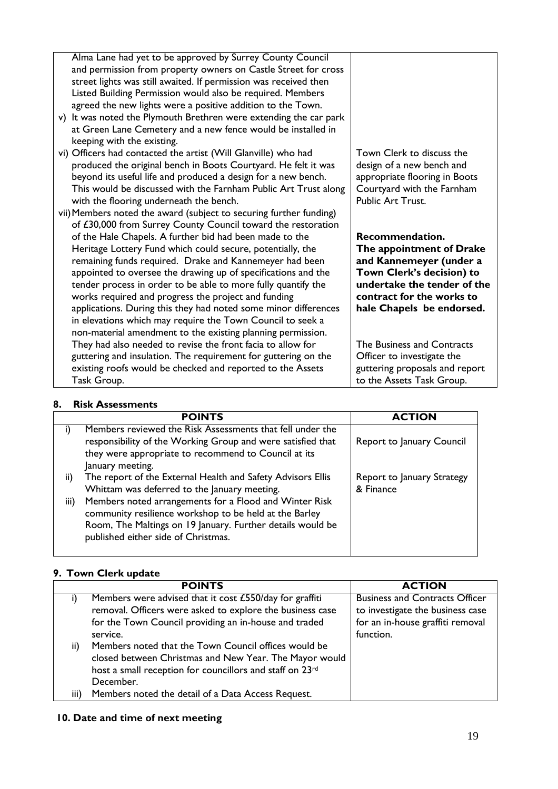| Alma Lane had yet to be approved by Surrey County Council<br>and permission from property owners on Castle Street for cross<br>street lights was still awaited. If permission was received then<br>Listed Building Permission would also be required. Members<br>agreed the new lights were a positive addition to the Town.<br>v) It was noted the Plymouth Brethren were extending the car park<br>at Green Lane Cemetery and a new fence would be installed in<br>keeping with the existing.                                                                           |                                                                                                                                                                                              |
|---------------------------------------------------------------------------------------------------------------------------------------------------------------------------------------------------------------------------------------------------------------------------------------------------------------------------------------------------------------------------------------------------------------------------------------------------------------------------------------------------------------------------------------------------------------------------|----------------------------------------------------------------------------------------------------------------------------------------------------------------------------------------------|
| vi) Officers had contacted the artist (Will Glanville) who had<br>produced the original bench in Boots Courtyard. He felt it was<br>beyond its useful life and produced a design for a new bench.<br>This would be discussed with the Farnham Public Art Trust along<br>with the flooring underneath the bench.<br>vii) Members noted the award (subject to securing further funding)<br>of £30,000 from Surrey County Council toward the restoration                                                                                                                     | Town Clerk to discuss the<br>design of a new bench and<br>appropriate flooring in Boots<br>Courtyard with the Farnham<br><b>Public Art Trust.</b>                                            |
| of the Hale Chapels. A further bid had been made to the<br>Heritage Lottery Fund which could secure, potentially, the<br>remaining funds required. Drake and Kannemeyer had been<br>appointed to oversee the drawing up of specifications and the<br>tender process in order to be able to more fully quantify the<br>works required and progress the project and funding<br>applications. During this they had noted some minor differences<br>in elevations which may require the Town Council to seek a<br>non-material amendment to the existing planning permission. | Recommendation.<br>The appointment of Drake<br>and Kannemeyer (under a<br>Town Clerk's decision) to<br>undertake the tender of the<br>contract for the works to<br>hale Chapels be endorsed. |
| They had also needed to revise the front facia to allow for<br>guttering and insulation. The requirement for guttering on the<br>existing roofs would be checked and reported to the Assets<br>Task Group.                                                                                                                                                                                                                                                                                                                                                                | The Business and Contracts<br>Officer to investigate the<br>guttering proposals and report<br>to the Assets Task Group.                                                                      |

#### **8. Risk Assessments**

|             | <b>POINTS</b>                                                                                                                                                                                                                                                                                                                        | <b>ACTION</b>                           |
|-------------|--------------------------------------------------------------------------------------------------------------------------------------------------------------------------------------------------------------------------------------------------------------------------------------------------------------------------------------|-----------------------------------------|
|             | Members reviewed the Risk Assessments that fell under the<br>responsibility of the Working Group and were satisfied that<br>they were appropriate to recommend to Council at its<br>January meeting.                                                                                                                                 | Report to January Council               |
| ii)<br>iii) | The report of the External Health and Safety Advisors Ellis<br>Whittam was deferred to the January meeting.<br>Members noted arrangements for a Flood and Winter Risk<br>community resilience workshop to be held at the Barley<br>Room, The Maltings on 19 January. Further details would be<br>published either side of Christmas. | Report to January Strategy<br>& Finance |

# **9. Town Clerk update**

|      | <b>POINTS</b>                                             | <b>ACTION</b>                         |
|------|-----------------------------------------------------------|---------------------------------------|
|      | Members were advised that it cost £550/day for graffiti   | <b>Business and Contracts Officer</b> |
|      | removal. Officers were asked to explore the business case | to investigate the business case      |
|      | for the Town Council providing an in-house and traded     | for an in-house graffiti removal      |
|      | service.                                                  | function.                             |
| ii)  | Members noted that the Town Council offices would be      |                                       |
|      | closed between Christmas and New Year. The Mayor would    |                                       |
|      | host a small reception for councillors and staff on 23rd  |                                       |
|      | December.                                                 |                                       |
| iii) | Members noted the detail of a Data Access Request.        |                                       |

### **10. Date and time of next meeting**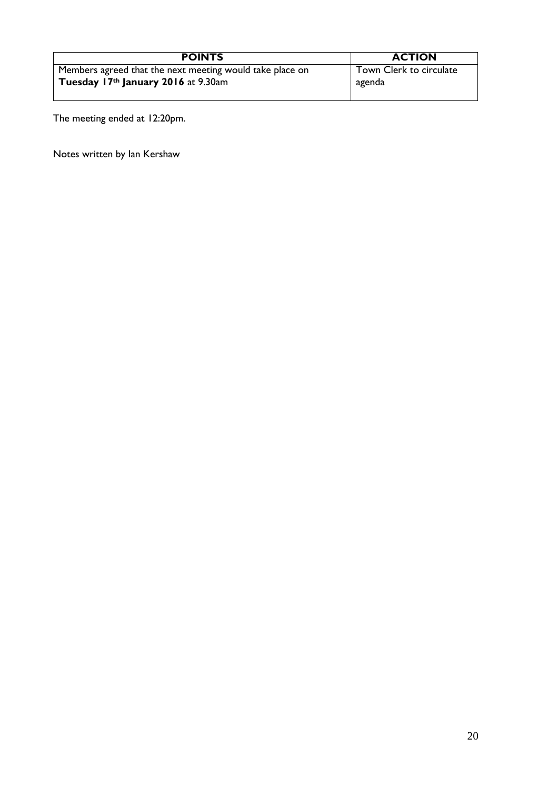| <b>POINTS</b>                                            | <b>ACTION</b>           |
|----------------------------------------------------------|-------------------------|
| Members agreed that the next meeting would take place on | Town Clerk to circulate |
| Tuesday 17th January 2016 at 9.30am                      | agenda                  |
|                                                          |                         |

The meeting ended at 12:20pm.

Notes written by Ian Kershaw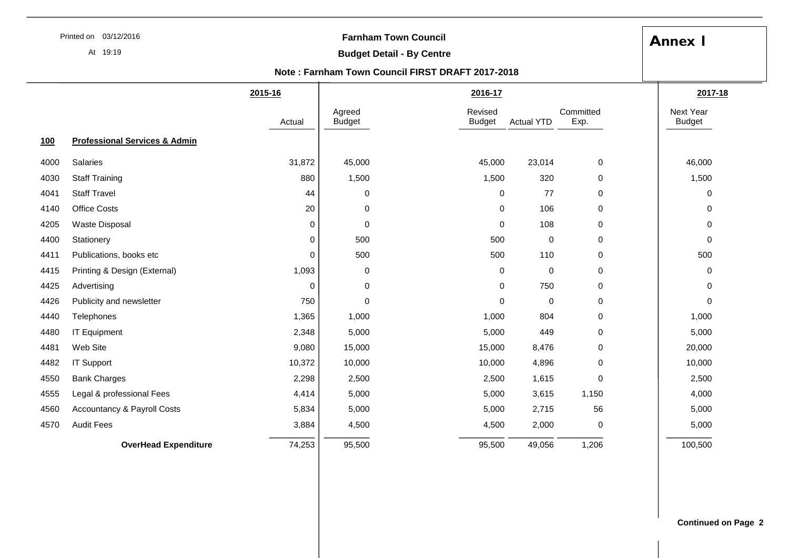At 19:19

#### **Farnham Town Council**

# **Annex 1**

**Budget Detail - By Centre** 

|            |                                          | 2015-16 |                         | 2016-17                  |                   |                   | 2017-18                    |
|------------|------------------------------------------|---------|-------------------------|--------------------------|-------------------|-------------------|----------------------------|
|            |                                          | Actual  | Agreed<br><b>Budget</b> | Revised<br><b>Budget</b> | <b>Actual YTD</b> | Committed<br>Exp. | Next Year<br><b>Budget</b> |
| <u>100</u> | <b>Professional Services &amp; Admin</b> |         |                         |                          |                   |                   |                            |
| 4000       | Salaries                                 | 31,872  | 45,000                  | 45,000                   | 23,014            | $\pmb{0}$         | 46,000                     |
| 4030       | <b>Staff Training</b>                    | 880     | 1,500                   | 1,500                    | 320               | $\pmb{0}$         | 1,500                      |
| 4041       | <b>Staff Travel</b>                      | 44      | $\pmb{0}$               | 0                        | 77                | $\pmb{0}$         | 0                          |
| 4140       | <b>Office Costs</b>                      | 20      | 0                       | 0                        | 106               | $\pmb{0}$         | 0                          |
| 4205       | Waste Disposal                           | 0       | $\pmb{0}$               | $\mathbf 0$              | 108               | $\pmb{0}$         | 0                          |
| 4400       | Stationery                               | 0       | 500                     | 500                      | $\pmb{0}$         | $\pmb{0}$         | $\mathbf 0$                |
| 4411       | Publications, books etc                  | 0       | 500                     | 500                      | 110               | 0                 | 500                        |
| 4415       | Printing & Design (External)             | 1,093   | 0                       | 0                        | 0                 | $\pmb{0}$         | 0                          |
| 4425       | Advertising                              | 0       | $\pmb{0}$               | 0                        | 750               | $\pmb{0}$         | 0                          |
| 4426       | Publicity and newsletter                 | 750     | $\pmb{0}$               | 0                        | $\mathbf 0$       | $\pmb{0}$         | 0                          |
| 4440       | Telephones                               | 1,365   | 1,000                   | 1,000                    | 804               | $\pmb{0}$         | 1,000                      |
| 4480       | <b>IT Equipment</b>                      | 2,348   | 5,000                   | 5,000                    | 449               | $\pmb{0}$         | 5,000                      |
| 4481       | Web Site                                 | 9,080   | 15,000                  | 15,000                   | 8,476             | $\mathbf 0$       | 20,000                     |
| 4482       | <b>IT Support</b>                        | 10,372  | 10,000                  | 10,000                   | 4,896             | 0                 | 10,000                     |
| 4550       | <b>Bank Charges</b>                      | 2,298   | 2,500                   | 2,500                    | 1,615             | $\pmb{0}$         | 2,500                      |
| 4555       | Legal & professional Fees                | 4,414   | 5,000                   | 5,000                    | 3,615             | 1,150             | 4,000                      |
| 4560       | Accountancy & Payroll Costs              | 5,834   | 5,000                   | 5,000                    | 2,715             | 56                | 5,000                      |
| 4570       | <b>Audit Fees</b>                        | 3,884   | 4,500                   | 4,500                    | 2,000             | $\mathbf 0$       | 5,000                      |
|            | <b>OverHead Expenditure</b>              | 74,253  | 95,500                  | 95,500                   | 49,056            | 1,206             | 100,500                    |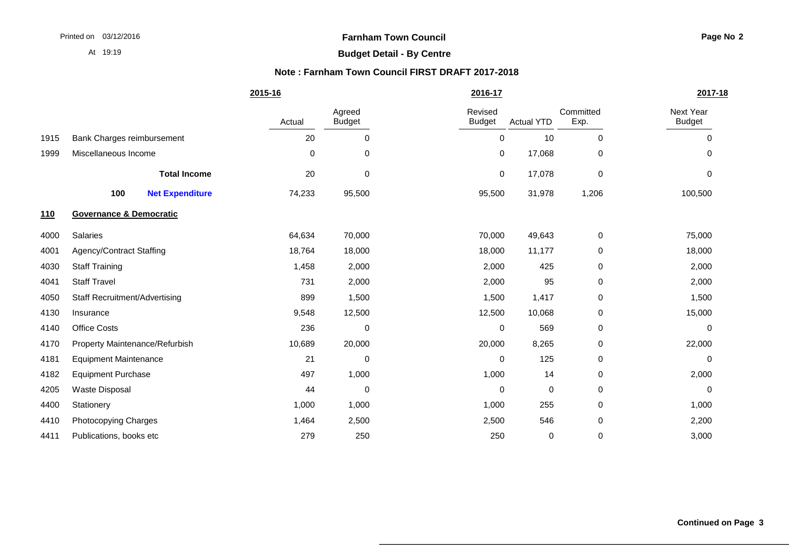#### **Farnham Town Council**

At 19:19

#### **Budget Detail - By Centre**

|      |                                      | 2015-16     |                         | 2016-17                  |                   |                   | 2017-18                    |
|------|--------------------------------------|-------------|-------------------------|--------------------------|-------------------|-------------------|----------------------------|
|      |                                      | Actual      | Agreed<br><b>Budget</b> | Revised<br><b>Budget</b> | <b>Actual YTD</b> | Committed<br>Exp. | Next Year<br><b>Budget</b> |
| 1915 | Bank Charges reimbursement           | 20          | 0                       | 0                        | 10                | $\Omega$          | 0                          |
| 1999 | Miscellaneous Income                 | $\mathbf 0$ | $\mathbf 0$             | 0                        | 17,068            | 0                 | 0                          |
|      | <b>Total Income</b>                  | 20          | $\pmb{0}$               | 0                        | 17,078            | $\pmb{0}$         | 0                          |
|      | 100<br><b>Net Expenditure</b>        | 74,233      | 95,500                  | 95,500                   | 31,978            | 1,206             | 100,500                    |
| 110  | <b>Governance &amp; Democratic</b>   |             |                         |                          |                   |                   |                            |
| 4000 | Salaries                             | 64,634      | 70,000                  | 70,000                   | 49,643            | $\mathbf 0$       | 75,000                     |
| 4001 | <b>Agency/Contract Staffing</b>      | 18,764      | 18,000                  | 18,000                   | 11,177            | 0                 | 18,000                     |
| 4030 | <b>Staff Training</b>                | 1,458       | 2,000                   | 2,000                    | 425               | 0                 | 2,000                      |
| 4041 | <b>Staff Travel</b>                  | 731         | 2,000                   | 2,000                    | 95                | $\pmb{0}$         | 2,000                      |
| 4050 | <b>Staff Recruitment/Advertising</b> | 899         | 1,500                   | 1,500                    | 1,417             | 0                 | 1,500                      |
| 4130 | Insurance                            | 9,548       | 12,500                  | 12,500                   | 10,068            | 0                 | 15,000                     |
| 4140 | <b>Office Costs</b>                  | 236         | $\mathbf 0$             | 0                        | 569               | 0                 | $\Omega$                   |
| 4170 | Property Maintenance/Refurbish       | 10,689      | 20,000                  | 20,000                   | 8,265             | 0                 | 22,000                     |
| 4181 | <b>Equipment Maintenance</b>         | 21          | 0                       | 0                        | 125               | $\mathbf 0$       | 0                          |
| 4182 | <b>Equipment Purchase</b>            | 497         | 1,000                   | 1,000                    | 14                | 0                 | 2,000                      |
| 4205 | <b>Waste Disposal</b>                | 44          | $\mathbf 0$             | 0                        | 0                 | 0                 | 0                          |
| 4400 | Stationery                           | 1,000       | 1,000                   | 1,000                    | 255               | $\Omega$          | 1,000                      |
| 4410 | Photocopying Charges                 | 1,464       | 2,500                   | 2,500                    | 546               | 0                 | 2,200                      |
| 4411 | Publications, books etc              | 279         | 250                     | 250                      | $\mathbf 0$       | 0                 | 3,000                      |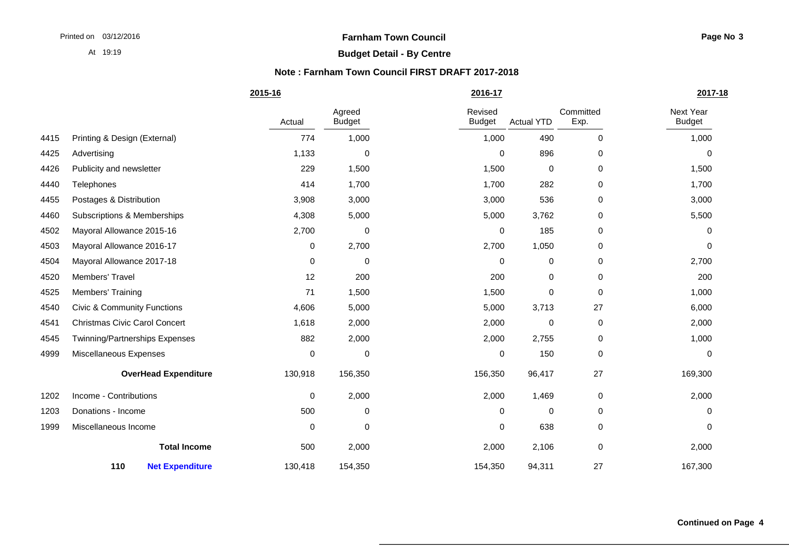#### At 19:19

#### **Farnham Town Council**

**Page No 3** 

#### **Budget Detail - By Centre**

|      | 2015-16                                |         | 2016-17                 |                          |                   | 2017-18           |                            |
|------|----------------------------------------|---------|-------------------------|--------------------------|-------------------|-------------------|----------------------------|
|      |                                        | Actual  | Agreed<br><b>Budget</b> | Revised<br><b>Budget</b> | <b>Actual YTD</b> | Committed<br>Exp. | Next Year<br><b>Budget</b> |
| 4415 | Printing & Design (External)           | 774     | 1,000                   | 1,000                    | 490               | 0                 | 1,000                      |
| 4425 | Advertising                            | 1,133   | 0                       | 0                        | 896               | 0                 | 0                          |
| 4426 | Publicity and newsletter               | 229     | 1,500                   | 1,500                    | $\mathbf 0$       | 0                 | 1,500                      |
| 4440 | Telephones                             | 414     | 1,700                   | 1,700                    | 282               | 0                 | 1,700                      |
| 4455 | Postages & Distribution                | 3,908   | 3,000                   | 3,000                    | 536               | 0                 | 3,000                      |
| 4460 | <b>Subscriptions &amp; Memberships</b> | 4,308   | 5,000                   | 5,000                    | 3,762             | 0                 | 5,500                      |
| 4502 | Mayoral Allowance 2015-16              | 2,700   | 0                       | $\mathbf 0$              | 185               | 0                 | 0                          |
| 4503 | Mayoral Allowance 2016-17              | 0       | 2,700                   | 2,700                    | 1,050             | 0                 | 0                          |
| 4504 | Mayoral Allowance 2017-18              | 0       | 0                       | 0                        | $\mathbf 0$       | 0                 | 2,700                      |
| 4520 | Members' Travel                        | 12      | 200                     | 200                      | 0                 | 0                 | 200                        |
| 4525 | Members' Training                      | 71      | 1,500                   | 1,500                    | 0                 | 0                 | 1,000                      |
| 4540 | <b>Civic &amp; Community Functions</b> | 4,606   | 5,000                   | 5,000                    | 3,713             | 27                | 6,000                      |
| 4541 | <b>Christmas Civic Carol Concert</b>   | 1,618   | 2,000                   | 2,000                    | 0                 | 0                 | 2,000                      |
| 4545 | Twinning/Partnerships Expenses         | 882     | 2,000                   | 2,000                    | 2,755             | 0                 | 1,000                      |
| 4999 | Miscellaneous Expenses                 | 0       | 0                       | 0                        | 150               | 0                 | 0                          |
|      | <b>OverHead Expenditure</b>            | 130,918 | 156,350                 | 156,350                  | 96,417            | 27                | 169,300                    |
| 1202 | Income - Contributions                 | 0       | 2,000                   | 2,000                    | 1,469             | 0                 | 2,000                      |
| 1203 | Donations - Income                     | 500     | 0                       | 0                        | 0                 | 0                 | 0                          |
| 1999 | Miscellaneous Income                   | 0       | 0                       | 0                        | 638               | 0                 | 0                          |
|      | <b>Total Income</b>                    | 500     | 2,000                   | 2,000                    | 2,106             | 0                 | 2,000                      |
|      | 110<br><b>Net Expenditure</b>          | 130,418 | 154,350                 | 154,350                  | 94,311            | 27                | 167,300                    |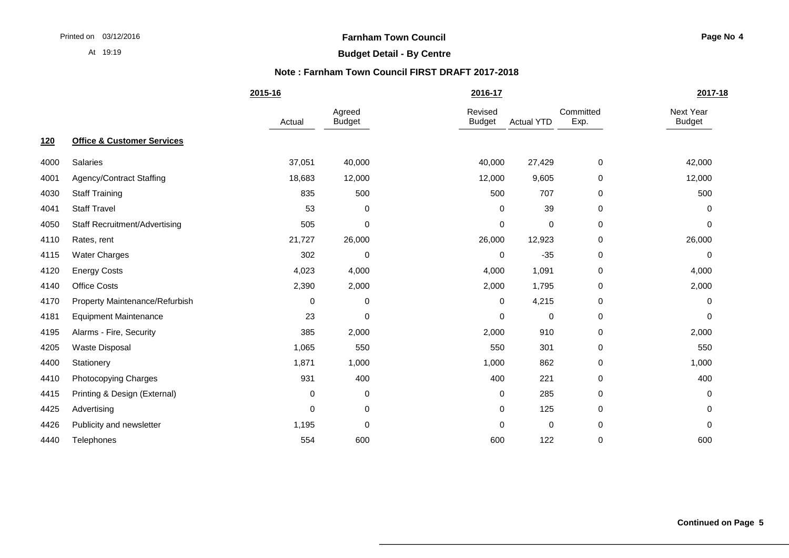#### At 19:19

#### **Farnham Town Council**

**Page No 4** 

#### **Budget Detail - By Centre**

|            | 2015-16                               |             |                         | 2016-17                  | 2017-18           |                   |                            |
|------------|---------------------------------------|-------------|-------------------------|--------------------------|-------------------|-------------------|----------------------------|
|            |                                       | Actual      | Agreed<br><b>Budget</b> | Revised<br><b>Budget</b> | <b>Actual YTD</b> | Committed<br>Exp. | Next Year<br><b>Budget</b> |
| <u>120</u> | <b>Office &amp; Customer Services</b> |             |                         |                          |                   |                   |                            |
| 4000       | Salaries                              | 37,051      | 40,000                  | 40,000                   | 27,429            | 0                 | 42,000                     |
| 4001       | <b>Agency/Contract Staffing</b>       | 18,683      | 12,000                  | 12,000                   | 9,605             | 0                 | 12,000                     |
| 4030       | <b>Staff Training</b>                 | 835         | 500                     | 500                      | 707               | 0                 | 500                        |
| 4041       | <b>Staff Travel</b>                   | 53          | 0                       | 0                        | 39                | 0                 | 0                          |
| 4050       | <b>Staff Recruitment/Advertising</b>  | 505         | $\Omega$                | $\mathbf 0$              | 0                 | 0                 | 0                          |
| 4110       | Rates, rent                           | 21,727      | 26,000                  | 26,000                   | 12,923            | 0                 | 26,000                     |
| 4115       | <b>Water Charges</b>                  | 302         | 0                       | $\pmb{0}$                | $-35$             | 0                 | $\mathbf 0$                |
| 4120       | <b>Energy Costs</b>                   | 4,023       | 4,000                   | 4,000                    | 1,091             | $\Omega$          | 4,000                      |
| 4140       | Office Costs                          | 2,390       | 2,000                   | 2,000                    | 1,795             | 0                 | 2,000                      |
| 4170       | Property Maintenance/Refurbish        | 0           | 0                       | 0                        | 4,215             | 0                 | 0                          |
| 4181       | <b>Equipment Maintenance</b>          | 23          | $\mathbf 0$             | $\pmb{0}$                | 0                 | 0                 | 0                          |
| 4195       | Alarms - Fire, Security               | 385         | 2,000                   | 2,000                    | 910               | 0                 | 2,000                      |
| 4205       | Waste Disposal                        | 1,065       | 550                     | 550                      | 301               | 0                 | 550                        |
| 4400       | Stationery                            | 1,871       | 1,000                   | 1,000                    | 862               | 0                 | 1,000                      |
| 4410       | Photocopying Charges                  | 931         | 400                     | 400                      | 221               | 0                 | 400                        |
| 4415       | Printing & Design (External)          | $\mathbf 0$ | $\mathbf 0$             | 0                        | 285               | 0                 | 0                          |
| 4425       | Advertising                           | $\Omega$    | $\mathbf 0$             | 0                        | 125               | 0                 | 0                          |
| 4426       | Publicity and newsletter              | 1,195       | $\mathbf 0$             | 0                        | 0                 | 0                 | 0                          |
| 4440       | Telephones                            | 554         | 600                     | 600                      | 122               | 0                 | 600                        |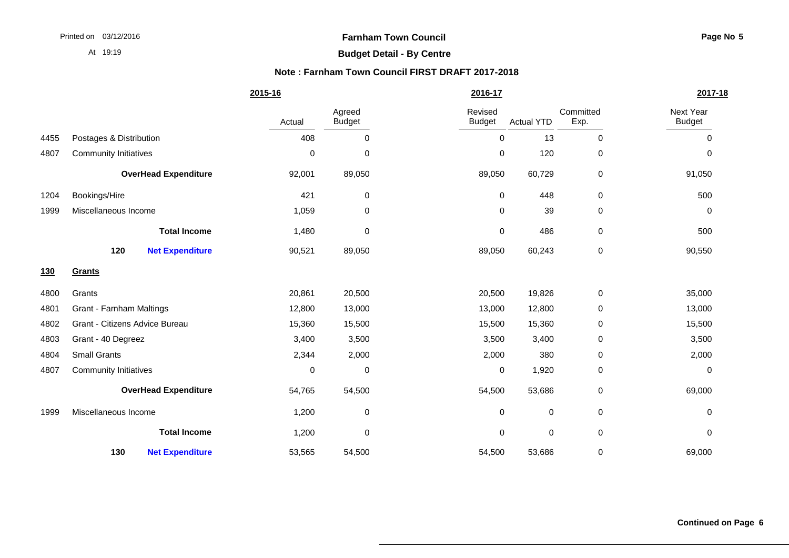At 19:19

# **Farnham Town Council Budget Detail - By Centre**

|            | 2015-16                         |             |                         |                          |                   | <u>2017-18</u>    |                            |
|------------|---------------------------------|-------------|-------------------------|--------------------------|-------------------|-------------------|----------------------------|
|            |                                 | Actual      | Agreed<br><b>Budget</b> | Revised<br><b>Budget</b> | <b>Actual YTD</b> | Committed<br>Exp. | Next Year<br><b>Budget</b> |
| 4455       | Postages & Distribution         | 408         | $\mathbf 0$             | $\mathbf 0$              | 13                | 0                 | 0                          |
| 4807       | <b>Community Initiatives</b>    | 0           | 0                       | $\pmb{0}$                | 120               | 0                 | 0                          |
|            | <b>OverHead Expenditure</b>     | 92,001      | 89,050                  | 89,050                   | 60,729            | 0                 | 91,050                     |
| 1204       | Bookings/Hire                   | 421         | $\mathbf 0$             | 0                        | 448               | 0                 | 500                        |
| 1999       | Miscellaneous Income            | 1,059       | $\mathbf 0$             | 0                        | 39                | 0                 | 0                          |
|            | <b>Total Income</b>             | 1,480       | 0                       | 0                        | 486               | 0                 | 500                        |
|            | 120<br><b>Net Expenditure</b>   | 90,521      | 89,050                  | 89,050                   | 60,243            | 0                 | 90,550                     |
| <u>130</u> | Grants                          |             |                         |                          |                   |                   |                            |
| 4800       | Grants                          | 20,861      | 20,500                  | 20,500                   | 19,826            | 0                 | 35,000                     |
| 4801       | <b>Grant - Farnham Maltings</b> | 12,800      | 13,000                  | 13,000                   | 12,800            | 0                 | 13,000                     |
| 4802       | Grant - Citizens Advice Bureau  | 15,360      | 15,500                  | 15,500                   | 15,360            | 0                 | 15,500                     |
| 4803       | Grant - 40 Degreez              | 3,400       | 3,500                   | 3,500                    | 3,400             | 0                 | 3,500                      |
| 4804       | <b>Small Grants</b>             | 2,344       | 2,000                   | 2,000                    | 380               | 0                 | 2,000                      |
| 4807       | <b>Community Initiatives</b>    | $\mathbf 0$ | 0                       | 0                        | 1,920             | 0                 | $\mathbf 0$                |
|            | <b>OverHead Expenditure</b>     | 54,765      | 54,500                  | 54,500                   | 53,686            | 0                 | 69,000                     |
| 1999       | Miscellaneous Income            | 1,200       | $\mathbf 0$             | 0                        | 0                 | 0                 | 0                          |
|            | <b>Total Income</b>             | 1,200       | $\pmb{0}$               | $\pmb{0}$                | $\pmb{0}$         | 0                 | 0                          |
|            | 130<br><b>Net Expenditure</b>   | 53,565      | 54,500                  | 54,500                   | 53,686            | 0                 | 69,000                     |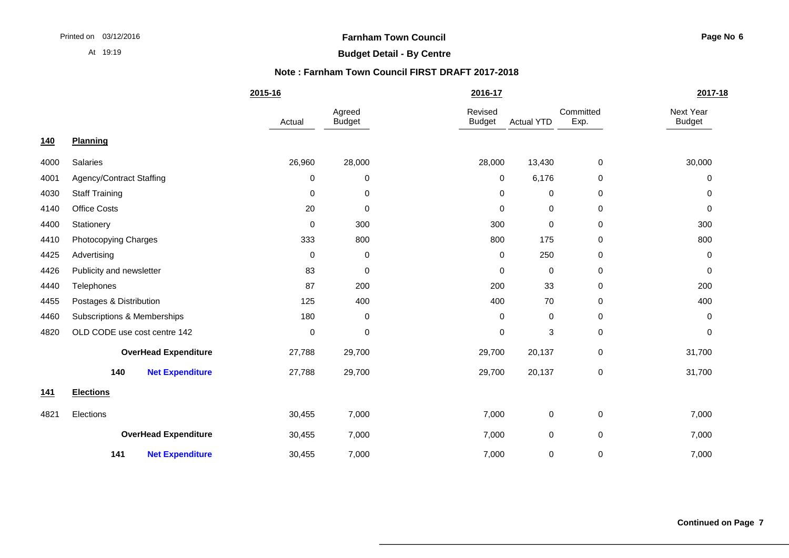At 19:19

#### **Farnham Town Council**

**Page No 6** 

#### **Budget Detail - By Centre**

|             | 2015-16                         |             | 2016-17                 |                          |                   | 2017-18           |                            |
|-------------|---------------------------------|-------------|-------------------------|--------------------------|-------------------|-------------------|----------------------------|
|             |                                 | Actual      | Agreed<br><b>Budget</b> | Revised<br><b>Budget</b> | <b>Actual YTD</b> | Committed<br>Exp. | Next Year<br><b>Budget</b> |
| <u>140</u>  | Planning                        |             |                         |                          |                   |                   |                            |
| 4000        | Salaries                        | 26,960      | 28,000                  | 28,000                   | 13,430            | $\pmb{0}$         | 30,000                     |
| 4001        | <b>Agency/Contract Staffing</b> | 0           | $\mathbf 0$             | $\pmb{0}$                | 6,176             | 0                 | 0                          |
| 4030        | <b>Staff Training</b>           | $\mathbf 0$ | $\mathbf 0$             | 0                        | 0                 | 0                 | 0                          |
| 4140        | Office Costs                    | 20          | $\mathbf 0$             | $\pmb{0}$                | $\Omega$          | 0                 | 0                          |
| 4400        | Stationery                      | $\Omega$    | 300                     | 300                      | $\mathbf 0$       | $\Omega$          | 300                        |
| 4410        | Photocopying Charges            | 333         | 800                     | 800                      | 175               | 0                 | 800                        |
| 4425        | Advertising                     | 0           | 0                       | 0                        | 250               | 0                 | 0                          |
| 4426        | Publicity and newsletter        | 83          | $\mathbf 0$             | $\pmb{0}$                | $\mathbf 0$       | 0                 | 0                          |
| 4440        | Telephones                      | 87          | 200                     | 200                      | 33                | 0                 | 200                        |
| 4455        | Postages & Distribution         | 125         | 400                     | 400                      | 70                | 0                 | 400                        |
| 4460        | Subscriptions & Memberships     | 180         | $\mathbf 0$             | 0                        | $\mathbf 0$       | 0                 | 0                          |
| 4820        | OLD CODE use cost centre 142    | $\mathbf 0$ | $\mathbf 0$             | 0                        | 3                 | 0                 | $\mathbf 0$                |
|             | <b>OverHead Expenditure</b>     | 27,788      | 29,700                  | 29,700                   | 20,137            | 0                 | 31,700                     |
|             | 140<br><b>Net Expenditure</b>   | 27,788      | 29,700                  | 29,700                   | 20,137            | $\pmb{0}$         | 31,700                     |
| <u> 141</u> | <b>Elections</b>                |             |                         |                          |                   |                   |                            |
| 4821        | Elections                       | 30,455      | 7,000                   | 7,000                    | $\pmb{0}$         | $\boldsymbol{0}$  | 7,000                      |
|             | <b>OverHead Expenditure</b>     | 30,455      | 7,000                   | 7,000                    | 0                 | 0                 | 7,000                      |
|             | 141<br><b>Net Expenditure</b>   | 30,455      | 7,000                   | 7,000                    | 0                 | 0                 | 7,000                      |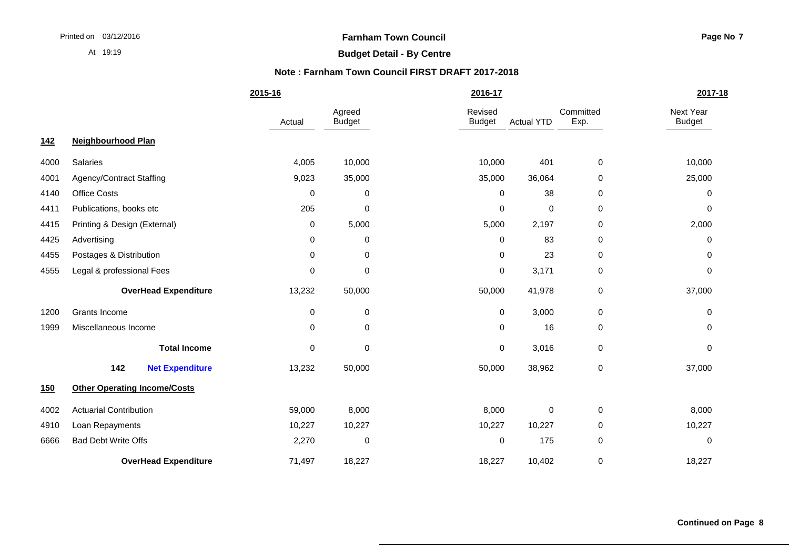#### At 19:19

#### **Farnham Town Council**

**Page No 7** 

#### **Budget Detail - By Centre**

|            | 2015-16                             |             |                         | 2016-17                  |                   |                   | 2017-18                    |  |
|------------|-------------------------------------|-------------|-------------------------|--------------------------|-------------------|-------------------|----------------------------|--|
|            |                                     | Actual      | Agreed<br><b>Budget</b> | Revised<br><b>Budget</b> | <b>Actual YTD</b> | Committed<br>Exp. | Next Year<br><b>Budget</b> |  |
| <u>142</u> | <b>Neighbourhood Plan</b>           |             |                         |                          |                   |                   |                            |  |
| 4000       | <b>Salaries</b>                     | 4,005       | 10,000                  | 10,000                   | 401               | $\mathbf 0$       | 10,000                     |  |
| 4001       | <b>Agency/Contract Staffing</b>     | 9,023       | 35,000                  | 35,000                   | 36,064            | 0                 | 25,000                     |  |
| 4140       | Office Costs                        | $\mathbf 0$ | $\mathbf 0$             | $\pmb{0}$                | 38                | 0                 | 0                          |  |
| 4411       | Publications, books etc             | 205         | $\mathbf 0$             | $\,0\,$                  | $\pmb{0}$         | 0                 | 0                          |  |
| 4415       | Printing & Design (External)        | 0           | 5,000                   | 5,000                    | 2,197             | 0                 | 2,000                      |  |
| 4425       | Advertising                         | 0           | 0                       | 0                        | 83                | 0                 | 0                          |  |
| 4455       | Postages & Distribution             | $\mathbf 0$ | $\mathbf 0$             | 0                        | 23                | $\mathbf 0$       | 0                          |  |
| 4555       | Legal & professional Fees           | $\mathbf 0$ | $\mathbf 0$             | 0                        | 3,171             | 0                 | 0                          |  |
|            | <b>OverHead Expenditure</b>         | 13,232      | 50,000                  | 50,000                   | 41,978            | 0                 | 37,000                     |  |
| 1200       | Grants Income                       | $\mathbf 0$ | $\mathbf 0$             | 0                        | 3,000             | 0                 | 0                          |  |
| 1999       | Miscellaneous Income                | $\Omega$    | $\mathbf 0$             | 0                        | 16                | 0                 | 0                          |  |
|            | <b>Total Income</b>                 | $\mathbf 0$ | $\mathbf 0$             | 0                        | 3,016             | $\mathbf 0$       | $\Omega$                   |  |
|            | 142<br><b>Net Expenditure</b>       | 13,232      | 50,000                  | 50,000                   | 38,962            | 0                 | 37,000                     |  |
| <u>150</u> | <b>Other Operating Income/Costs</b> |             |                         |                          |                   |                   |                            |  |
| 4002       | <b>Actuarial Contribution</b>       | 59,000      | 8,000                   | 8,000                    | 0                 | 0                 | 8,000                      |  |
| 4910       | Loan Repayments                     | 10,227      | 10,227                  | 10,227                   | 10,227            | 0                 | 10,227                     |  |
| 6666       | <b>Bad Debt Write Offs</b>          | 2,270       | $\mathbf 0$             | 0                        | 175               | 0                 | 0                          |  |
|            | <b>OverHead Expenditure</b>         | 71,497      | 18,227                  | 18,227                   | 10,402            | $\mathbf 0$       | 18,227                     |  |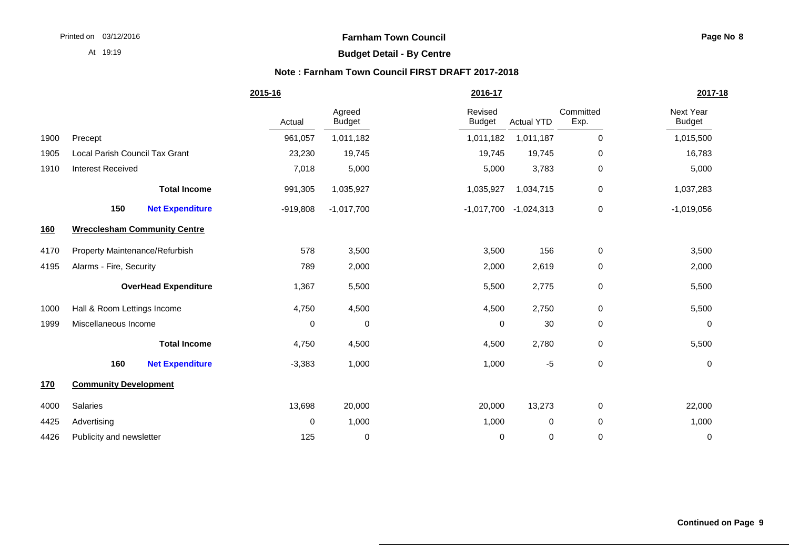At 19:19

#### **Farnham Town Council**

**Page No 8** 

#### **Budget Detail - By Centre**

|            | 2015-16                             |                             |            | 2016-17                 |                          |                       | 2017-18           |                            |
|------------|-------------------------------------|-----------------------------|------------|-------------------------|--------------------------|-----------------------|-------------------|----------------------------|
|            |                                     |                             | Actual     | Agreed<br><b>Budget</b> | Revised<br><b>Budget</b> | <b>Actual YTD</b>     | Committed<br>Exp. | Next Year<br><b>Budget</b> |
| 1900       | Precept                             |                             | 961,057    | 1,011,182               | 1,011,182                | 1,011,187             | 0                 | 1,015,500                  |
| 1905       | Local Parish Council Tax Grant      |                             | 23,230     | 19,745                  | 19,745                   | 19,745                | 0                 | 16,783                     |
| 1910       | <b>Interest Received</b>            |                             | 7,018      | 5,000                   | 5,000                    | 3,783                 | 0                 | 5,000                      |
|            |                                     | <b>Total Income</b>         | 991,305    | 1,035,927               | 1,035,927                | 1,034,715             | 0                 | 1,037,283                  |
|            | 150                                 | <b>Net Expenditure</b>      | $-919,808$ | $-1,017,700$            |                          | -1,017,700 -1,024,313 | 0                 | $-1,019,056$               |
| <u>160</u> | <b>Wrecclesham Community Centre</b> |                             |            |                         |                          |                       |                   |                            |
| 4170       | Property Maintenance/Refurbish      |                             | 578        | 3,500                   | 3,500                    | 156                   | 0                 | 3,500                      |
| 4195       | Alarms - Fire, Security             |                             | 789        | 2,000                   | 2,000                    | 2,619                 | 0                 | 2,000                      |
|            |                                     | <b>OverHead Expenditure</b> | 1,367      | 5,500                   | 5,500                    | 2,775                 | 0                 | 5,500                      |
| 1000       | Hall & Room Lettings Income         |                             | 4,750      | 4,500                   | 4,500                    | 2,750                 | 0                 | 5,500                      |
| 1999       | Miscellaneous Income                |                             | 0          | 0                       | 0                        | 30                    | 0                 | $\pmb{0}$                  |
|            |                                     | <b>Total Income</b>         | 4,750      | 4,500                   | 4,500                    | 2,780                 | 0                 | 5,500                      |
|            | 160                                 | <b>Net Expenditure</b>      | $-3,383$   | 1,000                   | 1,000                    | $-5$                  | 0                 | 0                          |
| 170        | <b>Community Development</b>        |                             |            |                         |                          |                       |                   |                            |
| 4000       | Salaries                            |                             | 13,698     | 20,000                  | 20,000                   | 13,273                | 0                 | 22,000                     |
| 4425       | Advertising                         |                             | 0          | 1,000                   | 1,000                    | 0                     | 0                 | 1,000                      |
| 4426       | Publicity and newsletter            |                             | 125        | 0                       | 0                        | 0                     | 0                 | 0                          |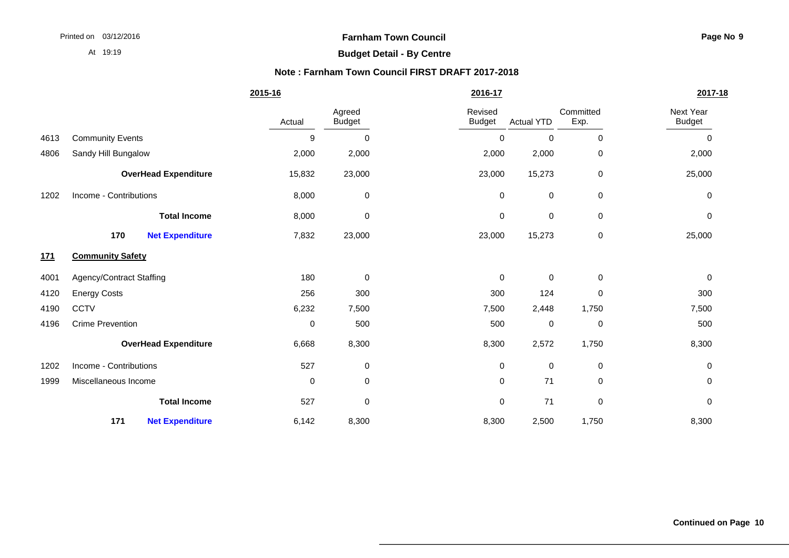#### **Farnham Town Council**

At 19:19

#### **Budget Detail - By Centre**

|            | <u>2015-16</u>                |             |                         | 2016-17                  |                   |                   | <u>2017-18</u>             |
|------------|-------------------------------|-------------|-------------------------|--------------------------|-------------------|-------------------|----------------------------|
|            |                               | Actual      | Agreed<br><b>Budget</b> | Revised<br><b>Budget</b> | <b>Actual YTD</b> | Committed<br>Exp. | Next Year<br><b>Budget</b> |
| 4613       | <b>Community Events</b>       | 9           | 0                       | 0                        | 0                 | 0                 | 0                          |
| 4806       | Sandy Hill Bungalow           | 2,000       | 2,000                   | 2,000                    | 2,000             | 0                 | 2,000                      |
|            | <b>OverHead Expenditure</b>   | 15,832      | 23,000                  | 23,000                   | 15,273            | 0                 | 25,000                     |
| 1202       | Income - Contributions        | 8,000       | 0                       | 0                        | 0                 | 0                 | 0                          |
|            | <b>Total Income</b>           | 8,000       | $\pmb{0}$               | $\,0\,$                  | 0                 | 0                 | 0                          |
|            | 170<br><b>Net Expenditure</b> | 7,832       | 23,000                  | 23,000                   | 15,273            | 0                 | 25,000                     |
| <u>171</u> | <b>Community Safety</b>       |             |                         |                          |                   |                   |                            |
| 4001       | Agency/Contract Staffing      | 180         | $\pmb{0}$               | $\,0\,$                  | $\pmb{0}$         | $\mathbf 0$       | 0                          |
| 4120       | <b>Energy Costs</b>           | 256         | 300                     | 300                      | 124               | 0                 | 300                        |
| 4190       | <b>CCTV</b>                   | 6,232       | 7,500                   | 7,500                    | 2,448             | 1,750             | 7,500                      |
| 4196       | <b>Crime Prevention</b>       | 0           | 500                     | 500                      | 0                 | 0                 | 500                        |
|            | <b>OverHead Expenditure</b>   | 6,668       | 8,300                   | 8,300                    | 2,572             | 1,750             | 8,300                      |
| 1202       | Income - Contributions        | 527         | $\mathbf 0$             | 0                        | $\mathbf 0$       | 0                 | 0                          |
| 1999       | Miscellaneous Income          | $\mathbf 0$ | 0                       | 0                        | 71                | 0                 | $\mathbf 0$                |
|            | <b>Total Income</b>           | 527         | 0                       | 0                        | 71                | 0                 | 0                          |
|            | 171<br><b>Net Expenditure</b> | 6,142       | 8,300                   | 8,300                    | 2,500             | 1,750             | 8,300                      |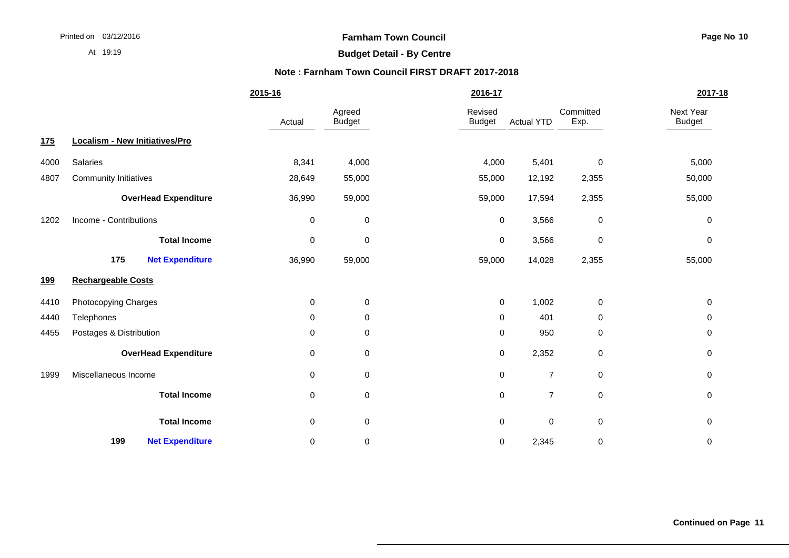At 19:19

#### **Farnham Town Council**

**Page No 10** 

#### **Budget Detail - By Centre**

|            | 2015-16                        |             |                         | 2016-17                  |                   |                   | 2017-18                    |
|------------|--------------------------------|-------------|-------------------------|--------------------------|-------------------|-------------------|----------------------------|
|            |                                | Actual      | Agreed<br><b>Budget</b> | Revised<br><b>Budget</b> | <b>Actual YTD</b> | Committed<br>Exp. | Next Year<br><b>Budget</b> |
| 175        | Localism - New Initiatives/Pro |             |                         |                          |                   |                   |                            |
| 4000       | Salaries                       | 8,341       | 4,000                   | 4,000                    | 5,401             | $\mathbf 0$       | 5,000                      |
| 4807       | <b>Community Initiatives</b>   | 28,649      | 55,000                  | 55,000                   | 12,192            | 2,355             | 50,000                     |
|            | <b>OverHead Expenditure</b>    | 36,990      | 59,000                  | 59,000                   | 17,594            | 2,355             | 55,000                     |
| 1202       | Income - Contributions         | $\mathbf 0$ | $\mathbf 0$             | 0                        | 3,566             | 0                 | 0                          |
|            | <b>Total Income</b>            | $\mathbf 0$ | 0                       | $\pmb{0}$                | 3,566             | 0                 | 0                          |
|            | 175<br><b>Net Expenditure</b>  | 36,990      | 59,000                  | 59,000                   | 14,028            | 2,355             | 55,000                     |
| <u>199</u> | <b>Rechargeable Costs</b>      |             |                         |                          |                   |                   |                            |
| 4410       | Photocopying Charges           | $\mathbf 0$ | $\pmb{0}$               | $\pmb{0}$                | 1,002             | 0                 | 0                          |
| 4440       | <b>Telephones</b>              | 0           | 0                       | 0                        | 401               | 0                 | 0                          |
| 4455       | Postages & Distribution        | 0           | 0                       | 0                        | 950               | 0                 | 0                          |
|            | <b>OverHead Expenditure</b>    | $\mathbf 0$ | 0                       | $\pmb{0}$                | 2,352             | 0                 | 0                          |
| 1999       | Miscellaneous Income           | $\mathbf 0$ | $\pmb{0}$               | $\pmb{0}$                | $\overline{7}$    | 0                 | 0                          |
|            | <b>Total Income</b>            | 0           | $\mathbf 0$             | 0                        | $\overline{7}$    | $\mathbf 0$       | 0                          |
|            | <b>Total Income</b>            | 0           | 0                       | 0                        | 0                 | 0                 | 0                          |
|            | 199<br><b>Net Expenditure</b>  | 0           | $\mathbf 0$             | $\mathbf 0$              | 2,345             | 0                 | 0                          |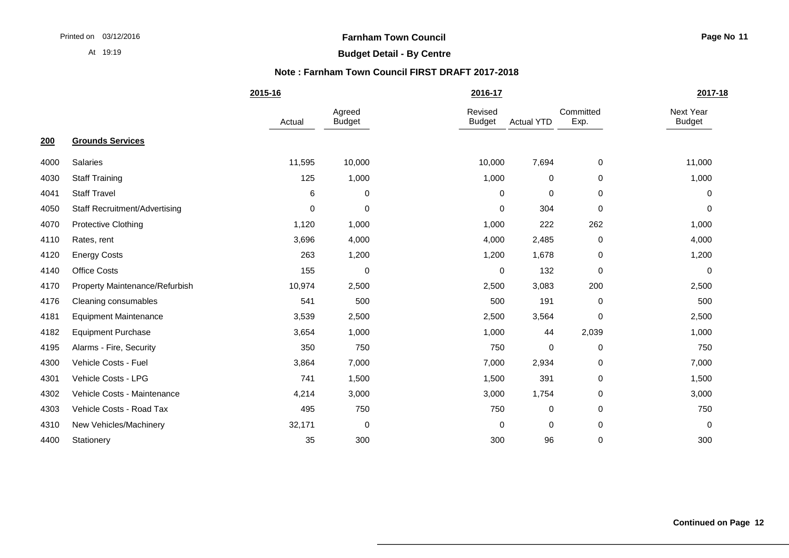#### **Farnham Town Council**

**Page No 11** 

#### **Budget Detail - By Centre**

|      | 2015-16                              |          |                         | 2016-17                  |                   |                   | 2017-18                    |  |
|------|--------------------------------------|----------|-------------------------|--------------------------|-------------------|-------------------|----------------------------|--|
|      |                                      | Actual   | Agreed<br><b>Budget</b> | Revised<br><b>Budget</b> | <b>Actual YTD</b> | Committed<br>Exp. | Next Year<br><b>Budget</b> |  |
| 200  | <b>Grounds Services</b>              |          |                         |                          |                   |                   |                            |  |
| 4000 | Salaries                             | 11,595   | 10,000                  | 10,000                   | 7,694             | 0                 | 11,000                     |  |
| 4030 | <b>Staff Training</b>                | 125      | 1,000                   | 1,000                    | 0                 | 0                 | 1,000                      |  |
| 4041 | <b>Staff Travel</b>                  | 6        | 0                       | 0                        | 0                 | 0                 | 0                          |  |
| 4050 | <b>Staff Recruitment/Advertising</b> | $\Omega$ | $\Omega$                | $\mathbf 0$              | 304               | $\Omega$          | $\Omega$                   |  |
| 4070 | <b>Protective Clothing</b>           | 1,120    | 1,000                   | 1,000                    | 222               | 262               | 1,000                      |  |
| 4110 | Rates, rent                          | 3,696    | 4,000                   | 4,000                    | 2,485             | 0                 | 4,000                      |  |
| 4120 | <b>Energy Costs</b>                  | 263      | 1,200                   | 1,200                    | 1,678             | 0                 | 1,200                      |  |
| 4140 | Office Costs                         | 155      | $\mathbf 0$             | $\pmb{0}$                | 132               | 0                 | 0                          |  |
| 4170 | Property Maintenance/Refurbish       | 10,974   | 2,500                   | 2,500                    | 3,083             | 200               | 2,500                      |  |
| 4176 | Cleaning consumables                 | 541      | 500                     | 500                      | 191               | 0                 | 500                        |  |
| 4181 | <b>Equipment Maintenance</b>         | 3,539    | 2,500                   | 2,500                    | 3,564             | 0                 | 2,500                      |  |
| 4182 | <b>Equipment Purchase</b>            | 3,654    | 1,000                   | 1,000                    | 44                | 2,039             | 1,000                      |  |
| 4195 | Alarms - Fire, Security              | 350      | 750                     | 750                      | $\mathbf 0$       | 0                 | 750                        |  |
| 4300 | Vehicle Costs - Fuel                 | 3,864    | 7,000                   | 7,000                    | 2,934             | $\mathbf 0$       | 7,000                      |  |
| 4301 | Vehicle Costs - LPG                  | 741      | 1,500                   | 1,500                    | 391               | $\mathbf 0$       | 1,500                      |  |
| 4302 | Vehicle Costs - Maintenance          | 4,214    | 3,000                   | 3,000                    | 1,754             | 0                 | 3,000                      |  |
| 4303 | Vehicle Costs - Road Tax             | 495      | 750                     | 750                      | $\mathbf 0$       | $\mathbf 0$       | 750                        |  |
| 4310 | New Vehicles/Machinery               | 32,171   | $\mathbf 0$             | 0                        | 0                 | 0                 | 0                          |  |
| 4400 | Stationery                           | 35       | 300                     | 300                      | 96                | 0                 | 300                        |  |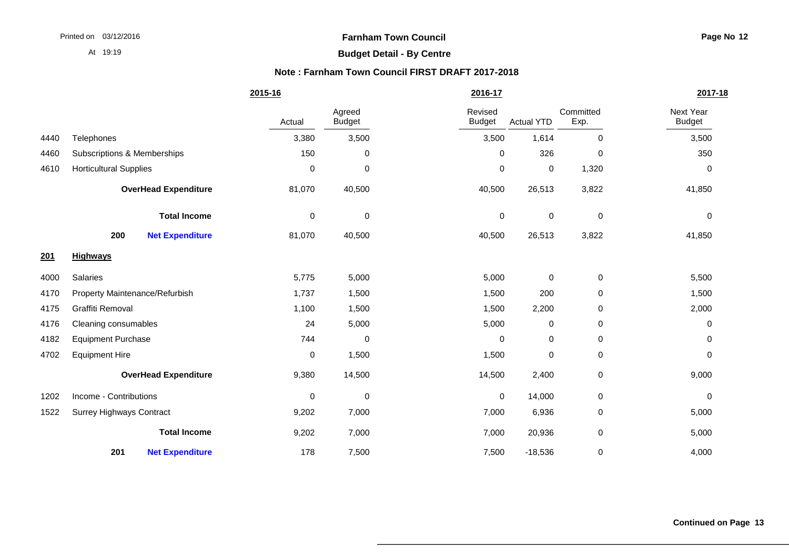At 19:19

#### **Farnham Town Council**

**Page No 12** 

#### **Budget Detail - By Centre**

|            | 2015-16                                |           | 2016-17                 |                          |                   | <u>2017-18</u>    |                            |
|------------|----------------------------------------|-----------|-------------------------|--------------------------|-------------------|-------------------|----------------------------|
|            |                                        | Actual    | Agreed<br><b>Budget</b> | Revised<br><b>Budget</b> | <b>Actual YTD</b> | Committed<br>Exp. | Next Year<br><b>Budget</b> |
| 4440       | Telephones                             | 3,380     | 3,500                   | 3,500                    | 1,614             | 0                 | 3,500                      |
| 4460       | <b>Subscriptions &amp; Memberships</b> | 150       | $\mathbf 0$             | $\mathbf 0$              | 326               | $\mathbf 0$       | 350                        |
| 4610       | <b>Horticultural Supplies</b>          | 0         | $\mathbf 0$             | $\pmb{0}$                | 0                 | 1,320             | 0                          |
|            | <b>OverHead Expenditure</b>            | 81,070    | 40,500                  | 40,500                   | 26,513            | 3,822             | 41,850                     |
|            | <b>Total Income</b>                    | $\pmb{0}$ | $\mathbf 0$             | $\pmb{0}$                | $\mathbf 0$       | 0                 | 0                          |
|            | 200<br><b>Net Expenditure</b>          | 81,070    | 40,500                  | 40,500                   | 26,513            | 3,822             | 41,850                     |
| <u>201</u> | <b>Highways</b>                        |           |                         |                          |                   |                   |                            |
| 4000       | Salaries                               | 5,775     | 5,000                   | 5,000                    | $\mathbf 0$       | 0                 | 5,500                      |
| 4170       | Property Maintenance/Refurbish         | 1,737     | 1,500                   | 1,500                    | 200               | 0                 | 1,500                      |
| 4175       | Graffiti Removal                       | 1,100     | 1,500                   | 1,500                    | 2,200             | 0                 | 2,000                      |
| 4176       | Cleaning consumables                   | 24        | 5,000                   | 5,000                    | 0                 | 0                 | 0                          |
| 4182       | <b>Equipment Purchase</b>              | 744       | 0                       | $\mathbf 0$              | 0                 | 0                 | 0                          |
| 4702       | <b>Equipment Hire</b>                  | 0         | 1,500                   | 1,500                    | 0                 | 0                 | 0                          |
|            | <b>OverHead Expenditure</b>            | 9,380     | 14,500                  | 14,500                   | 2,400             | 0                 | 9,000                      |
| 1202       | Income - Contributions                 | 0         | $\mathbf 0$             | 0                        | 14,000            | 0                 | 0                          |
| 1522       | <b>Surrey Highways Contract</b>        | 9,202     | 7,000                   | 7,000                    | 6,936             | 0                 | 5,000                      |
|            | <b>Total Income</b>                    | 9,202     | 7,000                   | 7,000                    | 20,936            | 0                 | 5,000                      |
|            | 201<br><b>Net Expenditure</b>          | 178       | 7,500                   | 7,500                    | $-18,536$         | 0                 | 4,000                      |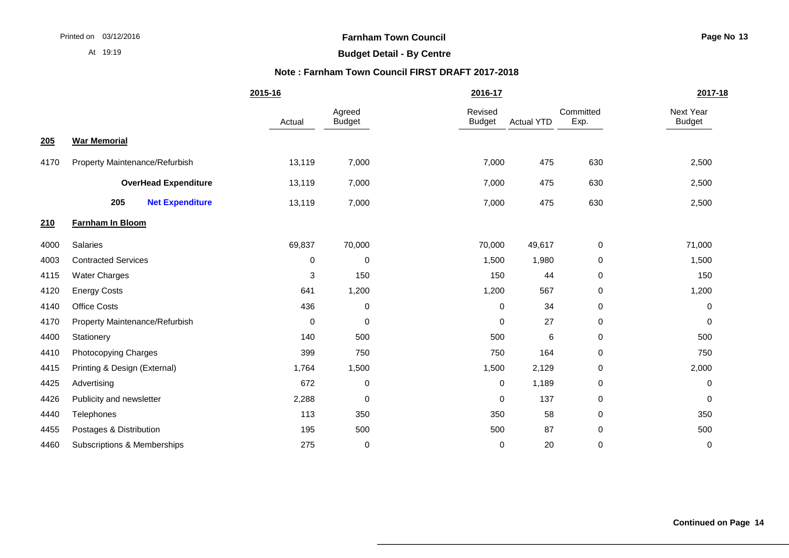At 19:19

#### **Farnham Town Council**

**Page No 13** 

#### **Budget Detail - By Centre**

|      | 2015-16                        |             |                         | 2016-17                  |                   |                   | 2017-18                    |  |
|------|--------------------------------|-------------|-------------------------|--------------------------|-------------------|-------------------|----------------------------|--|
|      |                                | Actual      | Agreed<br><b>Budget</b> | Revised<br><b>Budget</b> | <b>Actual YTD</b> | Committed<br>Exp. | Next Year<br><b>Budget</b> |  |
| 205  | <b>War Memorial</b>            |             |                         |                          |                   |                   |                            |  |
| 4170 | Property Maintenance/Refurbish | 13,119      | 7,000                   | 7,000                    | 475               | 630               | 2,500                      |  |
|      | <b>OverHead Expenditure</b>    | 13,119      | 7,000                   | 7,000                    | 475               | 630               | 2,500                      |  |
|      | 205<br><b>Net Expenditure</b>  | 13,119      | 7,000                   | 7,000                    | 475               | 630               | 2,500                      |  |
| 210  | Farnham In Bloom               |             |                         |                          |                   |                   |                            |  |
| 4000 | Salaries                       | 69,837      | 70,000                  | 70,000                   | 49,617            | 0                 | 71,000                     |  |
| 4003 | <b>Contracted Services</b>     | 0           | $\mathbf 0$             | 1,500                    | 1,980             | 0                 | 1,500                      |  |
| 4115 | <b>Water Charges</b>           | 3           | 150                     | 150                      | 44                | $\pmb{0}$         | 150                        |  |
| 4120 | <b>Energy Costs</b>            | 641         | 1,200                   | 1,200                    | 567               | 0                 | 1,200                      |  |
| 4140 | Office Costs                   | 436         | $\mathbf 0$             | 0                        | 34                | $\mathbf 0$       | 0                          |  |
| 4170 | Property Maintenance/Refurbish | $\mathbf 0$ | $\mathbf 0$             | $\pmb{0}$                | 27                | $\mathbf 0$       | $\Omega$                   |  |
| 4400 | Stationery                     | 140         | 500                     | 500                      | 6                 | $\pmb{0}$         | 500                        |  |
| 4410 | Photocopying Charges           | 399         | 750                     | 750                      | 164               | 0                 | 750                        |  |
| 4415 | Printing & Design (External)   | 1,764       | 1,500                   | 1,500                    | 2,129             | 0                 | 2,000                      |  |
| 4425 | Advertising                    | 672         | $\mathbf 0$             | 0                        | 1,189             | $\mathbf 0$       | 0                          |  |
| 4426 | Publicity and newsletter       | 2,288       | $\mathbf 0$             | $\,0\,$                  | 137               | 0                 | $\mathbf 0$                |  |
| 4440 | Telephones                     | 113         | 350                     | 350                      | 58                | 0                 | 350                        |  |
| 4455 | Postages & Distribution        | 195         | 500                     | 500                      | 87                | $\mathbf 0$       | 500                        |  |
| 4460 | Subscriptions & Memberships    | 275         | $\mathbf 0$             | $\mathbf 0$              | 20                | 0                 | 0                          |  |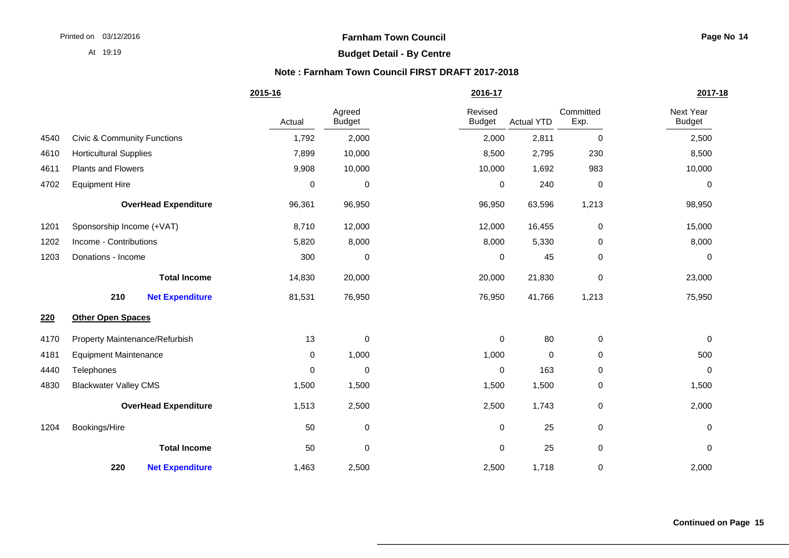#### At 19:19

#### **Farnham Town Council**

**Page No 14** 

#### **Budget Detail - By Centre**

|      | 2015-16                                |             | 2016-17                 |                          |                   | <u>2017-18</u>    |                            |
|------|----------------------------------------|-------------|-------------------------|--------------------------|-------------------|-------------------|----------------------------|
|      |                                        | Actual      | Agreed<br><b>Budget</b> | Revised<br><b>Budget</b> | <b>Actual YTD</b> | Committed<br>Exp. | Next Year<br><b>Budget</b> |
| 4540 | <b>Civic &amp; Community Functions</b> | 1,792       | 2,000                   | 2,000                    | 2,811             | $\pmb{0}$         | 2,500                      |
| 4610 | <b>Horticultural Supplies</b>          | 7,899       | 10,000                  | 8,500                    | 2,795             | 230               | 8,500                      |
| 4611 | <b>Plants and Flowers</b>              | 9,908       | 10,000                  | 10,000                   | 1,692             | 983               | 10,000                     |
| 4702 | <b>Equipment Hire</b>                  | 0           | 0                       | 0                        | 240               | 0                 | 0                          |
|      | <b>OverHead Expenditure</b>            | 96,361      | 96,950                  | 96,950                   | 63,596            | 1,213             | 98,950                     |
| 1201 | Sponsorship Income (+VAT)              | 8,710       | 12,000                  | 12,000                   | 16,455            | 0                 | 15,000                     |
| 1202 | Income - Contributions                 | 5,820       | 8,000                   | 8,000                    | 5,330             | 0                 | 8,000                      |
| 1203 | Donations - Income                     | 300         | 0                       | 0                        | 45                | 0                 | 0                          |
|      | <b>Total Income</b>                    | 14,830      | 20,000                  | 20,000                   | 21,830            | 0                 | 23,000                     |
|      | 210<br><b>Net Expenditure</b>          | 81,531      | 76,950                  | 76,950                   | 41,766            | 1,213             | 75,950                     |
| 220  | <b>Other Open Spaces</b>               |             |                         |                          |                   |                   |                            |
| 4170 | Property Maintenance/Refurbish         | 13          | 0                       | 0                        | 80                | 0                 | $\mathbf 0$                |
| 4181 | <b>Equipment Maintenance</b>           | $\mathbf 0$ | 1,000                   | 1,000                    | $\mathbf 0$       | 0                 | 500                        |
| 4440 | Telephones                             | $\mathbf 0$ | 0                       | 0                        | 163               | 0                 | $\mathbf 0$                |
| 4830 | <b>Blackwater Valley CMS</b>           | 1,500       | 1,500                   | 1,500                    | 1,500             | 0                 | 1,500                      |
|      | <b>OverHead Expenditure</b>            | 1,513       | 2,500                   | 2,500                    | 1,743             | 0                 | 2,000                      |
| 1204 | Bookings/Hire                          | 50          | 0                       | 0                        | 25                | 0                 | $\mathbf 0$                |
|      | <b>Total Income</b>                    | 50          | 0                       | 0                        | 25                | 0                 | 0                          |
|      | 220<br><b>Net Expenditure</b>          | 1,463       | 2,500                   | 2,500                    | 1,718             | 0                 | 2,000                      |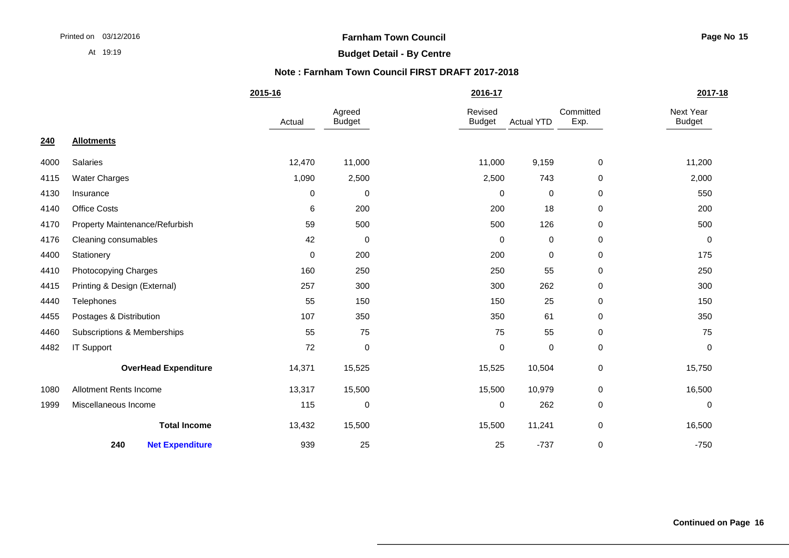At 19:19

#### **Farnham Town Council**

**Page No 15** 

#### **Budget Detail - By Centre**

|      | 2015-16                        |        |                         | 2016-17                  |                   |                   | 2017-18                    |  |
|------|--------------------------------|--------|-------------------------|--------------------------|-------------------|-------------------|----------------------------|--|
|      |                                | Actual | Agreed<br><b>Budget</b> | Revised<br><b>Budget</b> | <b>Actual YTD</b> | Committed<br>Exp. | Next Year<br><b>Budget</b> |  |
| 240  | <b>Allotments</b>              |        |                         |                          |                   |                   |                            |  |
| 4000 | Salaries                       | 12,470 | 11,000                  | 11,000                   | 9,159             | 0                 | 11,200                     |  |
| 4115 | <b>Water Charges</b>           | 1,090  | 2,500                   | 2,500                    | 743               | 0                 | 2,000                      |  |
| 4130 | Insurance                      | 0      | $\mathbf 0$             | $\pmb{0}$                | $\mathbf 0$       | 0                 | 550                        |  |
| 4140 | Office Costs                   | 6      | 200                     | 200                      | 18                | $\pmb{0}$         | 200                        |  |
| 4170 | Property Maintenance/Refurbish | 59     | 500                     | 500                      | 126               | 0                 | 500                        |  |
| 4176 | Cleaning consumables           | 42     | $\mathbf 0$             | 0                        | $\mathbf 0$       | $\mathbf 0$       | $\mathbf 0$                |  |
| 4400 | Stationery                     | 0      | 200                     | 200                      | $\mathbf 0$       | 0                 | 175                        |  |
| 4410 | Photocopying Charges           | 160    | 250                     | 250                      | 55                | 0                 | 250                        |  |
| 4415 | Printing & Design (External)   | 257    | 300                     | 300                      | 262               | 0                 | 300                        |  |
| 4440 | Telephones                     | 55     | 150                     | 150                      | 25                | 0                 | 150                        |  |
| 4455 | Postages & Distribution        | 107    | 350                     | 350                      | 61                | 0                 | 350                        |  |
| 4460 | Subscriptions & Memberships    | 55     | 75                      | 75                       | 55                | 0                 | 75                         |  |
| 4482 | IT Support                     | 72     | $\mathbf 0$             | $\pmb{0}$                | 0                 | 0                 | 0                          |  |
|      | <b>OverHead Expenditure</b>    | 14,371 | 15,525                  | 15,525                   | 10,504            | $\pmb{0}$         | 15,750                     |  |
| 1080 | Allotment Rents Income         | 13,317 | 15,500                  | 15,500                   | 10,979            | 0                 | 16,500                     |  |
| 1999 | Miscellaneous Income           | 115    | $\mathbf 0$             | 0                        | 262               | 0                 | 0                          |  |
|      | <b>Total Income</b>            | 13,432 | 15,500                  | 15,500                   | 11,241            | 0                 | 16,500                     |  |
|      | 240<br><b>Net Expenditure</b>  | 939    | 25                      | 25                       | $-737$            | $\pmb{0}$         | $-750$                     |  |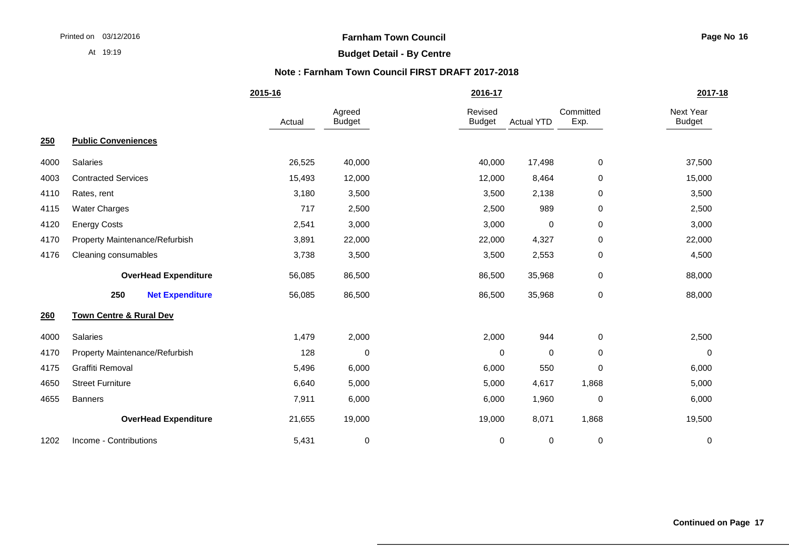#### **Farnham Town Council**

**Page No 16** 

#### **Budget Detail - By Centre**

|      |                                    | 2015-16 |                         |                          | 2016-17           |                   |                            |
|------|------------------------------------|---------|-------------------------|--------------------------|-------------------|-------------------|----------------------------|
|      |                                    | Actual  | Agreed<br><b>Budget</b> | Revised<br><b>Budget</b> | <b>Actual YTD</b> | Committed<br>Exp. | Next Year<br><b>Budget</b> |
| 250  | <b>Public Conveniences</b>         |         |                         |                          |                   |                   |                            |
| 4000 | Salaries                           | 26,525  | 40,000                  | 40,000                   | 17,498            | 0                 | 37,500                     |
| 4003 | <b>Contracted Services</b>         | 15,493  | 12,000                  | 12,000                   | 8,464             | 0                 | 15,000                     |
| 4110 | Rates, rent                        | 3,180   | 3,500                   | 3,500                    | 2,138             | 0                 | 3,500                      |
| 4115 | <b>Water Charges</b>               | 717     | 2,500                   | 2,500                    | 989               | 0                 | 2,500                      |
| 4120 | <b>Energy Costs</b>                | 2,541   | 3,000                   | 3,000                    | 0                 | 0                 | 3,000                      |
| 4170 | Property Maintenance/Refurbish     | 3,891   | 22,000                  | 22,000                   | 4,327             | 0                 | 22,000                     |
| 4176 | Cleaning consumables               | 3,738   | 3,500                   | 3,500                    | 2,553             | 0                 | 4,500                      |
|      | <b>OverHead Expenditure</b>        | 56,085  | 86,500                  | 86,500                   | 35,968            | 0                 | 88,000                     |
|      | 250<br><b>Net Expenditure</b>      | 56,085  | 86,500                  | 86,500                   | 35,968            | $\pmb{0}$         | 88,000                     |
| 260  | <b>Town Centre &amp; Rural Dev</b> |         |                         |                          |                   |                   |                            |
| 4000 | <b>Salaries</b>                    | 1,479   | 2,000                   | 2,000                    | 944               | 0                 | 2,500                      |
| 4170 | Property Maintenance/Refurbish     | 128     | $\mathbf 0$             | $\mathbf 0$              | 0                 | 0                 | $\mathbf 0$                |
| 4175 | Graffiti Removal                   | 5,496   | 6,000                   | 6,000                    | 550               | 0                 | 6,000                      |
| 4650 | <b>Street Furniture</b>            | 6,640   | 5,000                   | 5,000                    | 4,617             | 1,868             | 5,000                      |
| 4655 | <b>Banners</b>                     | 7,911   | 6,000                   | 6,000                    | 1,960             | 0                 | 6,000                      |
|      | <b>OverHead Expenditure</b>        | 21,655  | 19,000                  | 19,000                   | 8,071             | 1,868             | 19,500                     |
| 1202 | Income - Contributions             | 5,431   | $\mathbf 0$             | 0                        | 0                 | 0                 | 0                          |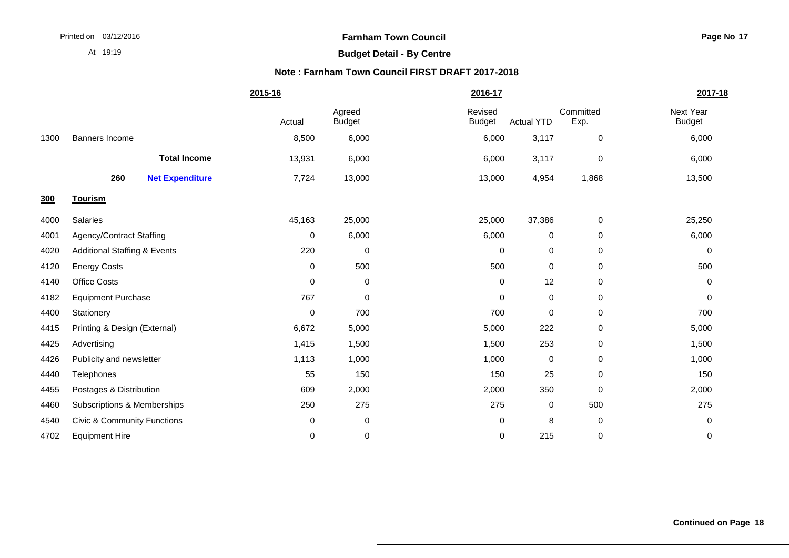At 19:19

# **Farnham Town Council**

**Page No 17** 

# **Budget Detail - By Centre**

|      |                                         |                        | 2015-16  |                         | 2016-17                  |                   |                   | 2017-18                    |
|------|-----------------------------------------|------------------------|----------|-------------------------|--------------------------|-------------------|-------------------|----------------------------|
|      |                                         |                        | Actual   | Agreed<br><b>Budget</b> | Revised<br><b>Budget</b> | <b>Actual YTD</b> | Committed<br>Exp. | Next Year<br><b>Budget</b> |
| 1300 | <b>Banners Income</b>                   |                        | 8,500    | 6,000                   | 6,000                    | 3,117             | $\mathbf 0$       | 6,000                      |
|      |                                         | <b>Total Income</b>    | 13,931   | 6,000                   | 6,000                    | 3,117             | 0                 | 6,000                      |
|      | 260                                     | <b>Net Expenditure</b> | 7,724    | 13,000                  | 13,000                   | 4,954             | 1,868             | 13,500                     |
| 300  | <b>Tourism</b>                          |                        |          |                         |                          |                   |                   |                            |
| 4000 | Salaries                                |                        | 45,163   | 25,000                  | 25,000                   | 37,386            | $\pmb{0}$         | 25,250                     |
| 4001 | Agency/Contract Staffing                |                        | 0        | 6,000                   | 6,000                    | 0                 | 0                 | 6,000                      |
| 4020 | <b>Additional Staffing &amp; Events</b> |                        | 220      | 0                       | 0                        | 0                 | 0                 | 0                          |
| 4120 | <b>Energy Costs</b>                     |                        | 0        | 500                     | 500                      | $\mathbf 0$       | 0                 | 500                        |
| 4140 | <b>Office Costs</b>                     |                        | $\Omega$ | 0                       | 0                        | 12                | 0                 | 0                          |
| 4182 | <b>Equipment Purchase</b>               |                        | 767      | 0                       | 0                        | $\mathbf 0$       | 0                 | 0                          |
| 4400 | Stationery                              |                        | 0        | 700                     | 700                      | $\mathbf 0$       | 0                 | 700                        |
| 4415 | Printing & Design (External)            |                        | 6,672    | 5,000                   | 5,000                    | 222               | 0                 | 5,000                      |
| 4425 | Advertising                             |                        | 1,415    | 1,500                   | 1,500                    | 253               | 0                 | 1,500                      |
| 4426 | Publicity and newsletter                |                        | 1,113    | 1,000                   | 1,000                    | 0                 | 0                 | 1,000                      |
| 4440 | Telephones                              |                        | 55       | 150                     | 150                      | 25                | 0                 | 150                        |
| 4455 | Postages & Distribution                 |                        | 609      | 2,000                   | 2,000                    | 350               | 0                 | 2,000                      |
| 4460 | Subscriptions & Memberships             |                        | 250      | 275                     | 275                      | $\mathbf 0$       | 500               | 275                        |
| 4540 | <b>Civic &amp; Community Functions</b>  |                        | 0        | $\mathbf 0$             | 0                        | 8                 | $\mathbf 0$       | 0                          |
| 4702 | <b>Equipment Hire</b>                   |                        | 0        | $\mathbf 0$             | 0                        | 215               | 0                 | 0                          |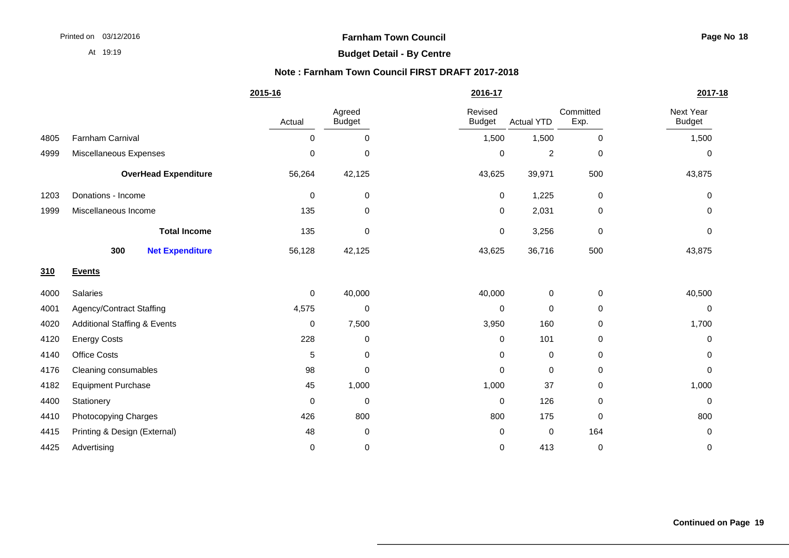# **Farnham Town Council**

At 19:19

# **Budget Detail - By Centre**

|      |                                         | 2015-16     |                         | 2016-17                  |                   |                   | <u>2017-18</u>             |
|------|-----------------------------------------|-------------|-------------------------|--------------------------|-------------------|-------------------|----------------------------|
|      |                                         | Actual      | Agreed<br><b>Budget</b> | Revised<br><b>Budget</b> | <b>Actual YTD</b> | Committed<br>Exp. | Next Year<br><b>Budget</b> |
| 4805 | Farnham Carnival                        | $\Omega$    | $\mathbf 0$             | 1,500                    | 1,500             | 0                 | 1,500                      |
| 4999 | Miscellaneous Expenses                  | $\Omega$    | 0                       | 0                        | $\overline{c}$    | $\mathbf 0$       | $\Omega$                   |
|      | <b>OverHead Expenditure</b>             | 56,264      | 42,125                  | 43,625                   | 39,971            | 500               | 43,875                     |
| 1203 | Donations - Income                      | $\mathbf 0$ | $\mathbf 0$             | 0                        | 1,225             | 0                 | $\mathbf 0$                |
| 1999 | Miscellaneous Income                    | 135         | 0                       | $\mathbf 0$              | 2,031             | 0                 | $\Omega$                   |
|      | <b>Total Income</b>                     | 135         | 0                       | 0                        | 3,256             | 0                 | $\Omega$                   |
|      | 300<br><b>Net Expenditure</b>           | 56,128      | 42,125                  | 43,625                   | 36,716            | 500               | 43,875                     |
| 310  | <b>Events</b>                           |             |                         |                          |                   |                   |                            |
| 4000 | Salaries                                | $\mathbf 0$ | 40,000                  | 40,000                   | $\mathbf 0$       | 0                 | 40,500                     |
| 4001 | Agency/Contract Staffing                | 4,575       | 0                       | $\mathbf 0$              | $\mathbf 0$       | $\Omega$          | $\Omega$                   |
| 4020 | <b>Additional Staffing &amp; Events</b> | 0           | 7,500                   | 3,950                    | 160               | 0                 | 1,700                      |
| 4120 | <b>Energy Costs</b>                     | 228         | 0                       | 0                        | 101               | 0                 | 0                          |
| 4140 | <b>Office Costs</b>                     | 5           | 0                       | 0                        | 0                 | 0                 | 0                          |
| 4176 | Cleaning consumables                    | 98          | 0                       | $\mathbf 0$              | $\mathbf 0$       | 0                 | $\Omega$                   |
| 4182 | <b>Equipment Purchase</b>               | 45          | 1,000                   | 1,000                    | 37                | 0                 | 1,000                      |
| 4400 | Stationery                              | $\Omega$    | 0                       | 0                        | 126               | 0                 | 0                          |
| 4410 | Photocopying Charges                    | 426         | 800                     | 800                      | 175               | 0                 | 800                        |
| 4415 | Printing & Design (External)            | 48          | 0                       | 0                        | $\mathbf 0$       | 164               | $\Omega$                   |
| 4425 | Advertising                             | $\Omega$    | 0                       | 0                        | 413               | 0                 | 0                          |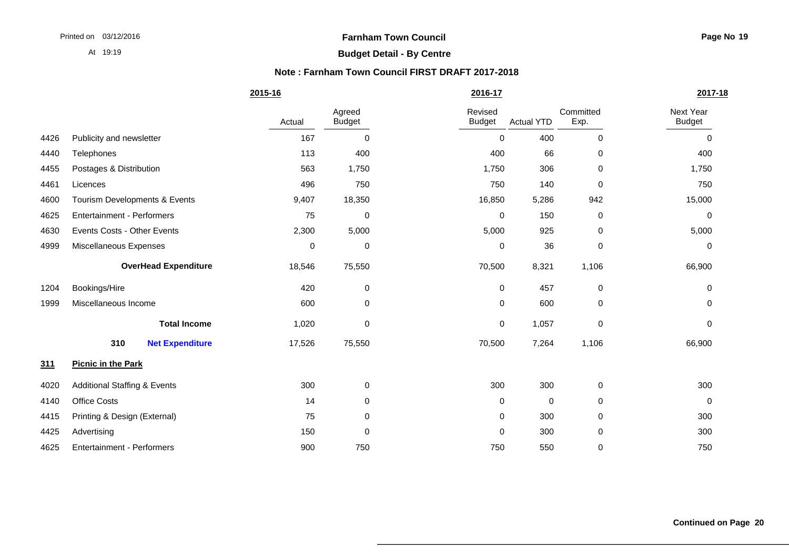# **Farnham Town Council**

At 19:19

# **Budget Detail - By Centre**

|      |                                         | 2015-16 |                         | 2016-17                  |                   |                   | <u>2017-18</u>             |
|------|-----------------------------------------|---------|-------------------------|--------------------------|-------------------|-------------------|----------------------------|
|      |                                         | Actual  | Agreed<br><b>Budget</b> | Revised<br><b>Budget</b> | <b>Actual YTD</b> | Committed<br>Exp. | Next Year<br><b>Budget</b> |
| 4426 | Publicity and newsletter                | 167     | 0                       | 0                        | 400               | 0                 | 0                          |
| 4440 | Telephones                              | 113     | 400                     | 400                      | 66                | 0                 | 400                        |
| 4455 | Postages & Distribution                 | 563     | 1,750                   | 1,750                    | 306               | 0                 | 1,750                      |
| 4461 | Licences                                | 496     | 750                     | 750                      | 140               | 0                 | 750                        |
| 4600 | Tourism Developments & Events           | 9,407   | 18,350                  | 16,850                   | 5,286             | 942               | 15,000                     |
| 4625 | <b>Entertainment - Performers</b>       | 75      | 0                       | $\pmb{0}$                | 150               | 0                 | 0                          |
| 4630 | Events Costs - Other Events             | 2,300   | 5,000                   | 5,000                    | 925               | 0                 | 5,000                      |
| 4999 | Miscellaneous Expenses                  | 0       | 0                       | 0                        | 36                | 0                 | 0                          |
|      | <b>OverHead Expenditure</b>             | 18,546  | 75,550                  | 70,500                   | 8,321             | 1,106             | 66,900                     |
| 1204 | Bookings/Hire                           | 420     | 0                       | 0                        | 457               | 0                 | 0                          |
| 1999 | Miscellaneous Income                    | 600     | 0                       | 0                        | 600               | 0                 | 0                          |
|      | <b>Total Income</b>                     | 1,020   | 0                       | 0                        | 1,057             | 0                 | 0                          |
|      | 310<br><b>Net Expenditure</b>           | 17,526  | 75,550                  | 70,500                   | 7,264             | 1,106             | 66,900                     |
| 311  | <b>Picnic in the Park</b>               |         |                         |                          |                   |                   |                            |
| 4020 | <b>Additional Staffing &amp; Events</b> | 300     | 0                       | 300                      | 300               | 0                 | 300                        |
| 4140 | <b>Office Costs</b>                     | 14      | 0                       | 0                        | 0                 | 0                 | 0                          |
| 4415 | Printing & Design (External)            | 75      | 0                       | 0                        | 300               | 0                 | 300                        |
| 4425 | Advertising                             | 150     | 0                       | 0                        | 300               | 0                 | 300                        |
| 4625 | Entertainment - Performers              | 900     | 750                     | 750                      | 550               | 0                 | 750                        |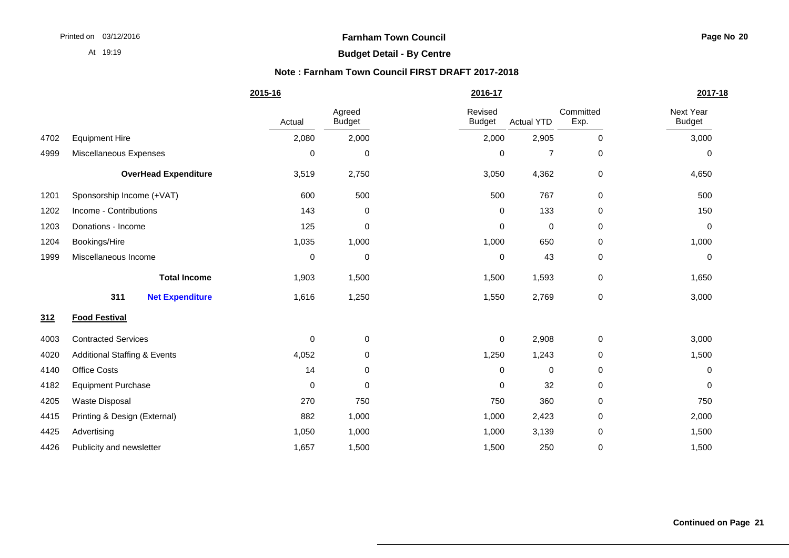#### At 19:19

# **Farnham Town Council**

**Page No 20** 

# **Budget Detail - By Centre**

|      | <u>2015-16</u>                          |             |                         |                          |                   | <u>2017-18</u>    |                            |
|------|-----------------------------------------|-------------|-------------------------|--------------------------|-------------------|-------------------|----------------------------|
|      |                                         | Actual      | Agreed<br><b>Budget</b> | Revised<br><b>Budget</b> | <b>Actual YTD</b> | Committed<br>Exp. | Next Year<br><b>Budget</b> |
| 4702 | <b>Equipment Hire</b>                   | 2,080       | 2,000                   | 2,000                    | 2,905             | 0                 | 3,000                      |
| 4999 | Miscellaneous Expenses                  | 0           | 0                       | $\mathbf 0$              | $\overline{7}$    | 0                 | $\mathbf 0$                |
|      | <b>OverHead Expenditure</b>             | 3,519       | 2,750                   | 3,050                    | 4,362             | 0                 | 4,650                      |
| 1201 | Sponsorship Income (+VAT)               | 600         | 500                     | 500                      | 767               | 0                 | 500                        |
| 1202 | Income - Contributions                  | 143         | $\mathbf 0$             | $\mathbf 0$              | 133               | 0                 | 150                        |
| 1203 | Donations - Income                      | 125         | 0                       | $\mathbf 0$              | 0                 | 0                 | 0                          |
| 1204 | Bookings/Hire                           | 1,035       | 1,000                   | 1,000                    | 650               | 0                 | 1,000                      |
| 1999 | Miscellaneous Income                    | 0           | 0                       | $\mathbf 0$              | 43                | 0                 | $\mathbf 0$                |
|      | <b>Total Income</b>                     | 1,903       | 1,500                   | 1,500                    | 1,593             | 0                 | 1,650                      |
|      | 311<br><b>Net Expenditure</b>           | 1,616       | 1,250                   | 1,550                    | 2,769             | 0                 | 3,000                      |
| 312  | <b>Food Festival</b>                    |             |                         |                          |                   |                   |                            |
| 4003 | <b>Contracted Services</b>              | $\mathbf 0$ | $\mathbf 0$             | 0                        | 2,908             | 0                 | 3,000                      |
| 4020 | <b>Additional Staffing &amp; Events</b> | 4,052       | 0                       | 1,250                    | 1,243             | 0                 | 1,500                      |
| 4140 | Office Costs                            | 14          | 0                       | $\pmb{0}$                | $\mathbf 0$       | 0                 | 0                          |
| 4182 | <b>Equipment Purchase</b>               | $\mathbf 0$ | $\mathbf 0$             | $\mathbf 0$              | 32                | 0                 | $\mathbf 0$                |
| 4205 | <b>Waste Disposal</b>                   | 270         | 750                     | 750                      | 360               | 0                 | 750                        |
| 4415 | Printing & Design (External)            | 882         | 1,000                   | 1,000                    | 2,423             | 0                 | 2,000                      |
| 4425 | Advertising                             | 1,050       | 1,000                   | 1,000                    | 3,139             | 0                 | 1,500                      |
| 4426 | Publicity and newsletter                | 1,657       | 1,500                   | 1,500                    | 250               | 0                 | 1,500                      |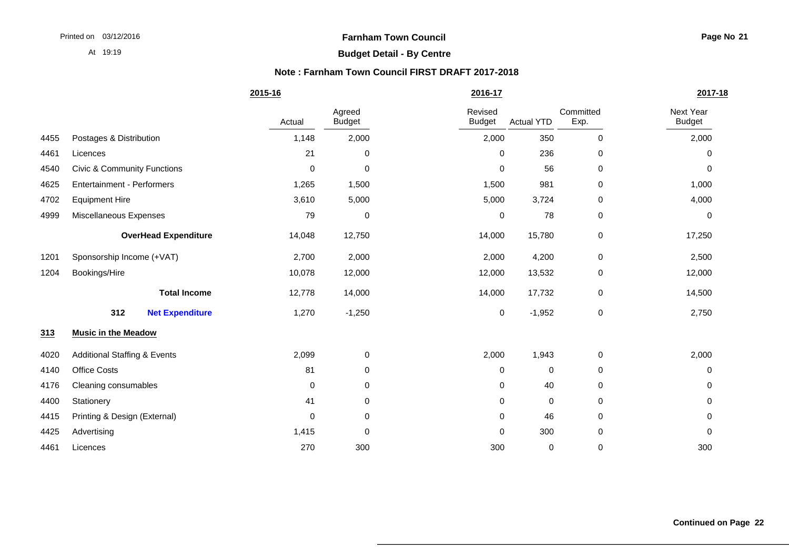# **Farnham Town Council**

**Page No 21** 

# **Budget Detail - By Centre**

|      |                                         | <u>2015-16</u> |                         | 2016-17                  |                   |                   | <u>2017-18</u>             |
|------|-----------------------------------------|----------------|-------------------------|--------------------------|-------------------|-------------------|----------------------------|
|      |                                         | Actual         | Agreed<br><b>Budget</b> | Revised<br><b>Budget</b> | <b>Actual YTD</b> | Committed<br>Exp. | Next Year<br><b>Budget</b> |
| 4455 | Postages & Distribution                 | 1,148          | 2,000                   | 2,000                    | 350               | 0                 | 2,000                      |
| 4461 | Licences                                | 21             | $\mathbf 0$             | $\pmb{0}$                | 236               | 0                 | 0                          |
| 4540 | <b>Civic &amp; Community Functions</b>  | 0              | 0                       | 0                        | 56                | 0                 | 0                          |
| 4625 | <b>Entertainment - Performers</b>       | 1,265          | 1,500                   | 1,500                    | 981               | 0                 | 1,000                      |
| 4702 | <b>Equipment Hire</b>                   | 3,610          | 5,000                   | 5,000                    | 3,724             | 0                 | 4,000                      |
| 4999 | Miscellaneous Expenses                  | 79             | 0                       | $\pmb{0}$                | 78                | 0                 | $\mathbf 0$                |
|      | <b>OverHead Expenditure</b>             | 14,048         | 12,750                  | 14,000                   | 15,780            | 0                 | 17,250                     |
| 1201 | Sponsorship Income (+VAT)               | 2,700          | 2,000                   | 2,000                    | 4,200             | 0                 | 2,500                      |
| 1204 | Bookings/Hire                           | 10,078         | 12,000                  | 12,000                   | 13,532            | 0                 | 12,000                     |
|      | <b>Total Income</b>                     | 12,778         | 14,000                  | 14,000                   | 17,732            | 0                 | 14,500                     |
|      | 312<br><b>Net Expenditure</b>           | 1,270          | $-1,250$                | $\pmb{0}$                | $-1,952$          | 0                 | 2,750                      |
| 313  | <b>Music in the Meadow</b>              |                |                         |                          |                   |                   |                            |
| 4020 | <b>Additional Staffing &amp; Events</b> | 2,099          | 0                       | 2,000                    | 1,943             | 0                 | 2,000                      |
| 4140 | <b>Office Costs</b>                     | 81             | $\mathbf 0$             | $\pmb{0}$                | $\pmb{0}$         | 0                 | 0                          |
| 4176 | Cleaning consumables                    | $\Omega$       | 0                       | 0                        | 40                | 0                 | 0                          |
| 4400 | Stationery                              | 41             | 0                       | 0                        | $\mathbf 0$       | 0                 | 0                          |
| 4415 | Printing & Design (External)            | $\mathbf 0$    | 0                       | $\pmb{0}$                | 46                | 0                 | 0                          |
| 4425 | Advertising                             | 1,415          | $\mathbf 0$             | $\pmb{0}$                | 300               | 0                 | $\Omega$                   |
| 4461 | Licences                                | 270            | 300                     | 300                      | 0                 | 0                 | 300                        |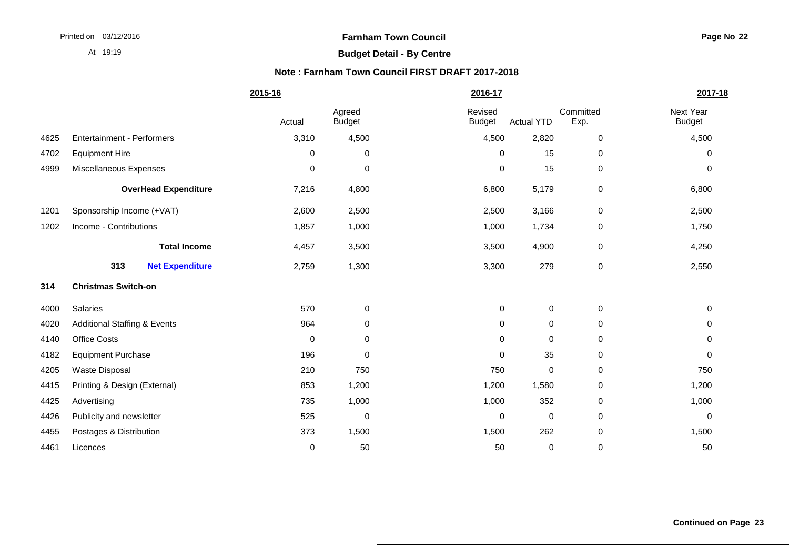At 19:19

# **Farnham Town Council**

**Page No 22** 

# **Budget Detail - By Centre**

|      | <u>2015-16</u>                          |             |                         | 2016-17                  |                   |                   | <u>2017-18</u>             |
|------|-----------------------------------------|-------------|-------------------------|--------------------------|-------------------|-------------------|----------------------------|
|      |                                         | Actual      | Agreed<br><b>Budget</b> | Revised<br><b>Budget</b> | <b>Actual YTD</b> | Committed<br>Exp. | Next Year<br><b>Budget</b> |
| 4625 | <b>Entertainment - Performers</b>       | 3,310       | 4,500                   | 4,500                    | 2,820             | 0                 | 4,500                      |
| 4702 | <b>Equipment Hire</b>                   | 0           | 0                       | 0                        | 15                | 0                 | 0                          |
| 4999 | Miscellaneous Expenses                  | $\mathbf 0$ | 0                       | 0                        | 15                | 0                 | 0                          |
|      | <b>OverHead Expenditure</b>             | 7,216       | 4,800                   | 6,800                    | 5,179             | 0                 | 6,800                      |
| 1201 | Sponsorship Income (+VAT)               | 2,600       | 2,500                   | 2,500                    | 3,166             | 0                 | 2,500                      |
| 1202 | Income - Contributions                  | 1,857       | 1,000                   | 1,000                    | 1,734             | 0                 | 1,750                      |
|      | <b>Total Income</b>                     | 4,457       | 3,500                   | 3,500                    | 4,900             | 0                 | 4,250                      |
|      | 313<br><b>Net Expenditure</b>           | 2,759       | 1,300                   | 3,300                    | 279               | 0                 | 2,550                      |
| 314  | <b>Christmas Switch-on</b>              |             |                         |                          |                   |                   |                            |
| 4000 | Salaries                                | 570         | 0                       | 0                        | $\mathbf 0$       | $\mathbf 0$       | $\mathbf 0$                |
| 4020 | <b>Additional Staffing &amp; Events</b> | 964         | 0                       | 0                        | $\mathbf 0$       | 0                 | $\Omega$                   |
| 4140 | Office Costs                            | $\mathbf 0$ | 0                       | 0                        | 0                 | 0                 | 0                          |
| 4182 | <b>Equipment Purchase</b>               | 196         | 0                       | $\mathbf 0$              | 35                | 0                 | $\Omega$                   |
| 4205 | Waste Disposal                          | 210         | 750                     | 750                      | $\mathbf 0$       | 0                 | 750                        |
| 4415 | Printing & Design (External)            | 853         | 1,200                   | 1,200                    | 1,580             | 0                 | 1,200                      |
| 4425 | Advertising                             | 735         | 1,000                   | 1,000                    | 352               | 0                 | 1,000                      |
| 4426 | Publicity and newsletter                | 525         | 0                       | 0                        | 0                 | 0                 | 0                          |
| 4455 | Postages & Distribution                 | 373         | 1,500                   | 1,500                    | 262               | 0                 | 1,500                      |
| 4461 | Licences                                | $\mathbf 0$ | 50                      | 50                       | 0                 | 0                 | 50                         |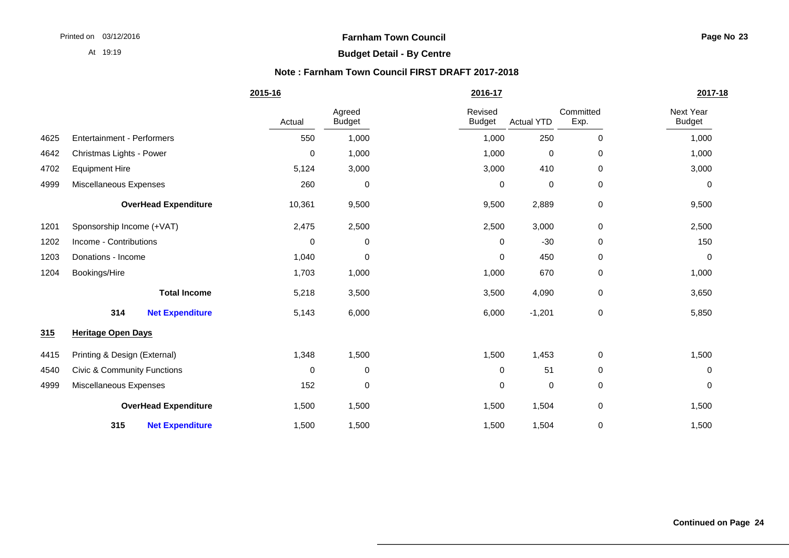# **Farnham Town Council**

At 19:19

# **Budget Detail - By Centre**

|      |                                        | <u>2015-16</u> |                         | 2016-17                  |                   |                   | <u>2017-18</u>                    |
|------|----------------------------------------|----------------|-------------------------|--------------------------|-------------------|-------------------|-----------------------------------|
|      |                                        | Actual         | Agreed<br><b>Budget</b> | Revised<br><b>Budget</b> | <b>Actual YTD</b> | Committed<br>Exp. | <b>Next Year</b><br><b>Budget</b> |
| 4625 | <b>Entertainment - Performers</b>      | 550            | 1,000                   | 1,000                    | 250               | 0                 | 1,000                             |
| 4642 | Christmas Lights - Power               | 0              | 1,000                   | 1,000                    | 0                 | 0                 | 1,000                             |
| 4702 | <b>Equipment Hire</b>                  | 5,124          | 3,000                   | 3,000                    | 410               | 0                 | 3,000                             |
| 4999 | Miscellaneous Expenses                 | 260            | 0                       | 0                        | 0                 | 0                 | 0                                 |
|      | <b>OverHead Expenditure</b>            | 10,361         | 9,500                   | 9,500                    | 2,889             | 0                 | 9,500                             |
| 1201 | Sponsorship Income (+VAT)              | 2,475          | 2,500                   | 2,500                    | 3,000             | 0                 | 2,500                             |
| 1202 | Income - Contributions                 | 0              | 0                       | 0                        | $-30$             | 0                 | 150                               |
| 1203 | Donations - Income                     | 1,040          | $\mathbf 0$             | 0                        | 450               | 0                 | 0                                 |
| 1204 | Bookings/Hire                          | 1,703          | 1,000                   | 1,000                    | 670               | 0                 | 1,000                             |
|      | <b>Total Income</b>                    | 5,218          | 3,500                   | 3,500                    | 4,090             | 0                 | 3,650                             |
|      | 314<br><b>Net Expenditure</b>          | 5,143          | 6,000                   | 6,000                    | $-1,201$          | 0                 | 5,850                             |
| 315  | <b>Heritage Open Days</b>              |                |                         |                          |                   |                   |                                   |
| 4415 | Printing & Design (External)           | 1,348          | 1,500                   | 1,500                    | 1,453             | 0                 | 1,500                             |
| 4540 | <b>Civic &amp; Community Functions</b> | 0              | 0                       | 0                        | 51                | 0                 | 0                                 |
| 4999 | Miscellaneous Expenses                 | 152            | 0                       | 0                        | $\mathbf 0$       | 0                 | $\mathbf 0$                       |
|      | <b>OverHead Expenditure</b>            | 1,500          | 1,500                   | 1,500                    | 1,504             | 0                 | 1,500                             |
|      | 315<br><b>Net Expenditure</b>          | 1,500          | 1,500                   | 1,500                    | 1,504             | 0                 | 1,500                             |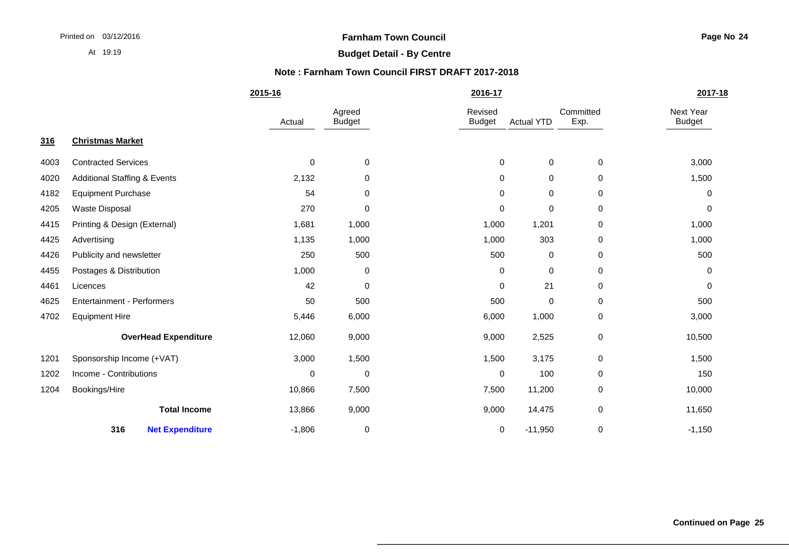# **Farnham Town Council**

**Page No 24** 

# **Budget Detail - By Centre**

|      | 2015-16                                 |             |                         | 2016-17                  |                   |                   | 2017-18                    |
|------|-----------------------------------------|-------------|-------------------------|--------------------------|-------------------|-------------------|----------------------------|
|      |                                         | Actual      | Agreed<br><b>Budget</b> | Revised<br><b>Budget</b> | <b>Actual YTD</b> | Committed<br>Exp. | Next Year<br><b>Budget</b> |
| 316  | <b>Christmas Market</b>                 |             |                         |                          |                   |                   |                            |
| 4003 | <b>Contracted Services</b>              | $\mathbf 0$ | $\mathbf 0$             | 0                        | $\mathbf 0$       | 0                 | 3,000                      |
| 4020 | <b>Additional Staffing &amp; Events</b> | 2,132       | 0                       | $\mathbf 0$              | $\mathbf 0$       | 0                 | 1,500                      |
| 4182 | <b>Equipment Purchase</b>               | 54          | 0                       | 0                        | 0                 | 0                 | 0                          |
| 4205 | Waste Disposal                          | 270         | 0                       | 0                        | 0                 | 0                 | 0                          |
| 4415 | Printing & Design (External)            | 1,681       | 1,000                   | 1,000                    | 1,201             | 0                 | 1,000                      |
| 4425 | Advertising                             | 1,135       | 1,000                   | 1,000                    | 303               | 0                 | 1,000                      |
| 4426 | Publicity and newsletter                | 250         | 500                     | 500                      | 0                 | 0                 | 500                        |
| 4455 | Postages & Distribution                 | 1,000       | $\mathbf 0$             | 0                        | $\Omega$          | 0                 | $\Omega$                   |
| 4461 | Licences                                | 42          | 0                       | 0                        | 21                | 0                 | $\Omega$                   |
| 4625 | <b>Entertainment - Performers</b>       | 50          | 500                     | 500                      | 0                 | 0                 | 500                        |
| 4702 | <b>Equipment Hire</b>                   | 5,446       | 6,000                   | 6,000                    | 1,000             | 0                 | 3,000                      |
|      | <b>OverHead Expenditure</b>             | 12,060      | 9,000                   | 9,000                    | 2,525             | 0                 | 10,500                     |
| 1201 | Sponsorship Income (+VAT)               | 3,000       | 1,500                   | 1,500                    | 3,175             | 0                 | 1,500                      |
| 1202 | Income - Contributions                  | $\mathbf 0$ | 0                       | 0                        | 100               | 0                 | 150                        |
| 1204 | Bookings/Hire                           | 10,866      | 7,500                   | 7,500                    | 11,200            | 0                 | 10,000                     |
|      | <b>Total Income</b>                     | 13,866      | 9,000                   | 9,000                    | 14,475            | 0                 | 11,650                     |
|      | 316<br><b>Net Expenditure</b>           | $-1,806$    | 0                       | 0                        | $-11,950$         | 0                 | $-1,150$                   |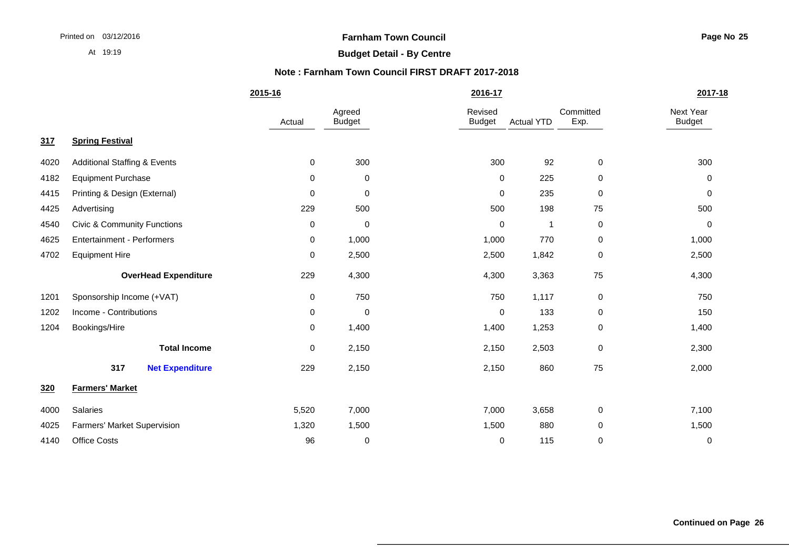# **Farnham Town Council**

**Page No 25** 

# **Budget Detail - By Centre**

|      |                                         | 2015-16     |                         | 2016-17                  |                   |                   | 2017-18                           |
|------|-----------------------------------------|-------------|-------------------------|--------------------------|-------------------|-------------------|-----------------------------------|
|      |                                         | Actual      | Agreed<br><b>Budget</b> | Revised<br><b>Budget</b> | <b>Actual YTD</b> | Committed<br>Exp. | <b>Next Year</b><br><b>Budget</b> |
| 317  | <b>Spring Festival</b>                  |             |                         |                          |                   |                   |                                   |
| 4020 | <b>Additional Staffing &amp; Events</b> | 0           | 300                     | 300                      | 92                | $\mathbf 0$       | 300                               |
| 4182 | <b>Equipment Purchase</b>               | $\mathbf 0$ | 0                       | 0                        | 225               | 0                 | 0                                 |
| 4415 | Printing & Design (External)            | 0           | $\mathbf 0$             | $\,0\,$                  | 235               | 0                 | 0                                 |
| 4425 | Advertising                             | 229         | 500                     | 500                      | 198               | 75                | 500                               |
| 4540 | <b>Civic &amp; Community Functions</b>  | 0           | $\mathbf 0$             | $\mathbf 0$              | -1                | $\pmb{0}$         | 0                                 |
| 4625 | <b>Entertainment - Performers</b>       | 0           | 1,000                   | 1,000                    | 770               | 0                 | 1,000                             |
| 4702 | <b>Equipment Hire</b>                   | $\mathbf 0$ | 2,500                   | 2,500                    | 1,842             | $\pmb{0}$         | 2,500                             |
|      | <b>OverHead Expenditure</b>             | 229         | 4,300                   | 4,300                    | 3,363             | 75                | 4,300                             |
| 1201 | Sponsorship Income (+VAT)               | 0           | 750                     | 750                      | 1,117             | $\boldsymbol{0}$  | 750                               |
| 1202 | Income - Contributions                  | $\mathbf 0$ | $\mathbf 0$             | $\,0\,$                  | 133               | $\pmb{0}$         | 150                               |
| 1204 | Bookings/Hire                           | $\mathbf 0$ | 1,400                   | 1,400                    | 1,253             | 0                 | 1,400                             |
|      | <b>Total Income</b>                     | 0           | 2,150                   | 2,150                    | 2,503             | 0                 | 2,300                             |
|      | 317<br><b>Net Expenditure</b>           | 229         | 2,150                   | 2,150                    | 860               | 75                | 2,000                             |
| 320  | <b>Farmers' Market</b>                  |             |                         |                          |                   |                   |                                   |
| 4000 | Salaries                                | 5,520       | 7,000                   | 7,000                    | 3,658             | $\mathbf 0$       | 7,100                             |
| 4025 | Farmers' Market Supervision             | 1,320       | 1,500                   | 1,500                    | 880               | $\mathbf 0$       | 1,500                             |
| 4140 | Office Costs                            | 96          | $\mathbf 0$             | 0                        | 115               | 0                 | 0                                 |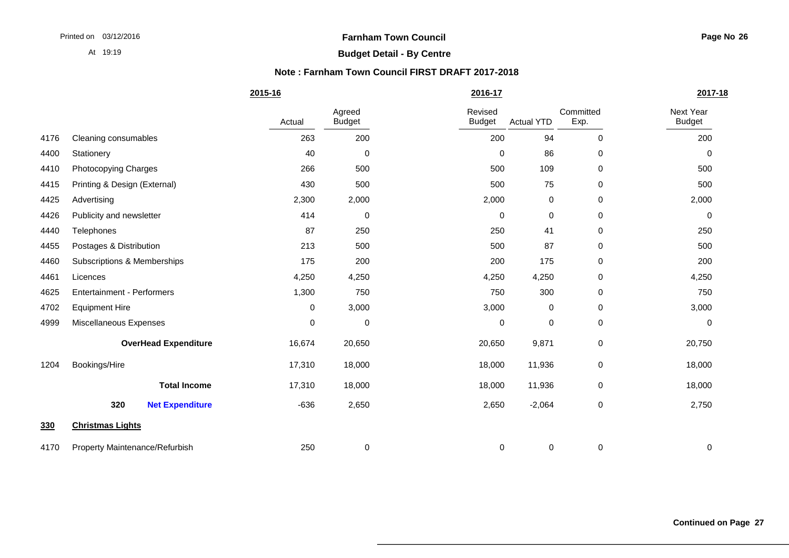# **Farnham Town Council**

**Page No 26** 

# **Budget Detail - By Centre**

|      |                                | 2015-16     |                         | 2016-17                  |                   |                   | <u>2017-18</u>             |
|------|--------------------------------|-------------|-------------------------|--------------------------|-------------------|-------------------|----------------------------|
|      |                                | Actual      | Agreed<br><b>Budget</b> | Revised<br><b>Budget</b> | <b>Actual YTD</b> | Committed<br>Exp. | Next Year<br><b>Budget</b> |
| 4176 | Cleaning consumables           | 263         | 200                     | 200                      | 94                | 0                 | 200                        |
| 4400 | Stationery                     | 40          | $\pmb{0}$               | $\mathbf 0$              | 86                | 0                 | $\mathbf 0$                |
| 4410 | Photocopying Charges           | 266         | 500                     | 500                      | 109               | 0                 | 500                        |
| 4415 | Printing & Design (External)   | 430         | 500                     | 500                      | 75                | 0                 | 500                        |
| 4425 | Advertising                    | 2,300       | 2,000                   | 2,000                    | 0                 | 0                 | 2,000                      |
| 4426 | Publicity and newsletter       | 414         | 0                       | 0                        | 0                 | 0                 | 0                          |
| 4440 | Telephones                     | 87          | 250                     | 250                      | 41                | 0                 | 250                        |
| 4455 | Postages & Distribution        | 213         | 500                     | 500                      | 87                | 0                 | 500                        |
| 4460 | Subscriptions & Memberships    | 175         | 200                     | 200                      | 175               | 0                 | 200                        |
| 4461 | Licences                       | 4,250       | 4,250                   | 4,250                    | 4,250             | 0                 | 4,250                      |
| 4625 | Entertainment - Performers     | 1,300       | 750                     | 750                      | 300               | 0                 | 750                        |
| 4702 | <b>Equipment Hire</b>          | 0           | 3,000                   | 3,000                    | 0                 | 0                 | 3,000                      |
| 4999 | Miscellaneous Expenses         | $\mathbf 0$ | 0                       | 0                        | 0                 | 0                 | 0                          |
|      | <b>OverHead Expenditure</b>    | 16,674      | 20,650                  | 20,650                   | 9,871             | 0                 | 20,750                     |
| 1204 | Bookings/Hire                  | 17,310      | 18,000                  | 18,000                   | 11,936            | 0                 | 18,000                     |
|      | <b>Total Income</b>            | 17,310      | 18,000                  | 18,000                   | 11,936            | 0                 | 18,000                     |
|      | 320<br><b>Net Expenditure</b>  | $-636$      | 2,650                   | 2,650                    | $-2,064$          | 0                 | 2,750                      |
| 330  | <b>Christmas Lights</b>        |             |                         |                          |                   |                   |                            |
| 4170 | Property Maintenance/Refurbish | 250         | 0                       | 0                        | 0                 | 0                 | $\,0\,$                    |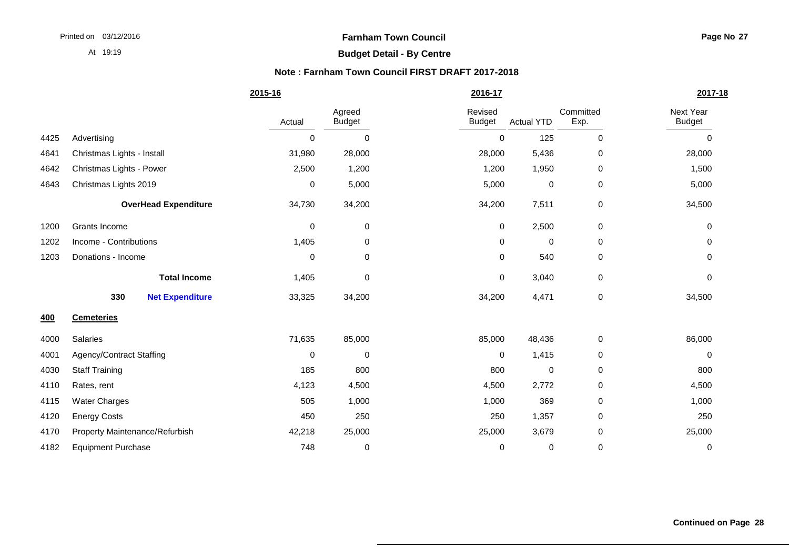# **Farnham Town Council**

At 19:19

# **Budget Detail - By Centre**

|            | 2015-16                        |        |                         |                          |                   | <u>2017-18</u>    |                            |
|------------|--------------------------------|--------|-------------------------|--------------------------|-------------------|-------------------|----------------------------|
|            |                                | Actual | Agreed<br><b>Budget</b> | Revised<br><b>Budget</b> | <b>Actual YTD</b> | Committed<br>Exp. | Next Year<br><b>Budget</b> |
| 4425       | Advertising                    | 0      | 0                       | 0                        | 125               | 0                 | $\mathbf 0$                |
| 4641       | Christmas Lights - Install     | 31,980 | 28,000                  | 28,000                   | 5,436             | 0                 | 28,000                     |
| 4642       | Christmas Lights - Power       | 2,500  | 1,200                   | 1,200                    | 1,950             | 0                 | 1,500                      |
| 4643       | Christmas Lights 2019          | 0      | 5,000                   | 5,000                    | 0                 | 0                 | 5,000                      |
|            | <b>OverHead Expenditure</b>    | 34,730 | 34,200                  | 34,200                   | 7,511             | 0                 | 34,500                     |
| 1200       | Grants Income                  | 0      | 0                       | 0                        | 2,500             | 0                 | 0                          |
| 1202       | Income - Contributions         | 1,405  | 0                       | 0                        | $\mathbf 0$       | 0                 | 0                          |
| 1203       | Donations - Income             | 0      | 0                       | 0                        | 540               | 0                 | $\Omega$                   |
|            | <b>Total Income</b>            | 1,405  | 0                       | 0                        | 3,040             | 0                 | $\Omega$                   |
|            | 330<br><b>Net Expenditure</b>  | 33,325 | 34,200                  | 34,200                   | 4,471             | 0                 | 34,500                     |
| <u>400</u> | <b>Cemeteries</b>              |        |                         |                          |                   |                   |                            |
| 4000       | <b>Salaries</b>                | 71,635 | 85,000                  | 85,000                   | 48,436            | 0                 | 86,000                     |
| 4001       | Agency/Contract Staffing       | 0      | 0                       | 0                        | 1,415             | 0                 | 0                          |
| 4030       | <b>Staff Training</b>          | 185    | 800                     | 800                      | 0                 | 0                 | 800                        |
| 4110       | Rates, rent                    | 4,123  | 4,500                   | 4,500                    | 2,772             | 0                 | 4,500                      |
| 4115       | <b>Water Charges</b>           | 505    | 1,000                   | 1,000                    | 369               | 0                 | 1,000                      |
| 4120       | <b>Energy Costs</b>            | 450    | 250                     | 250                      | 1,357             | 0                 | 250                        |
| 4170       | Property Maintenance/Refurbish | 42,218 | 25,000                  | 25,000                   | 3,679             | 0                 | 25,000                     |
| 4182       | <b>Equipment Purchase</b>      | 748    | 0                       | 0                        | 0                 | 0                 | 0                          |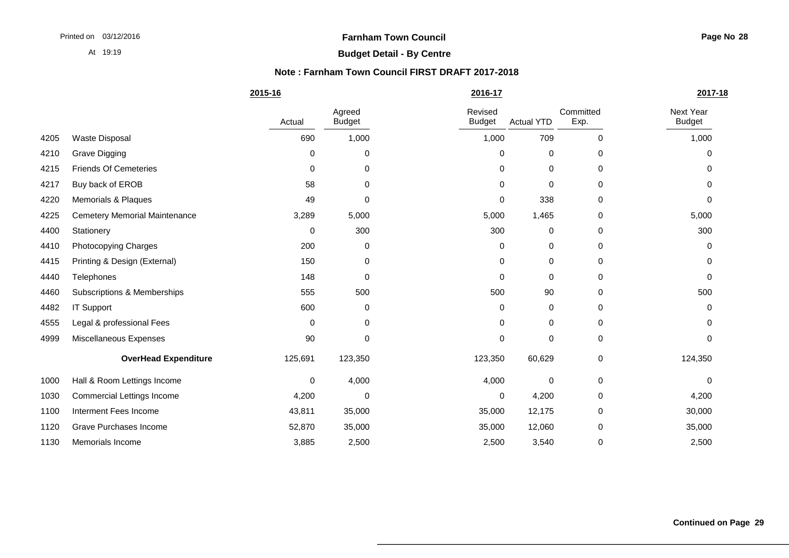# **Farnham Town Council**

At 19:19

# **Budget Detail - By Centre**

|      |                                      | <u>2015-16</u> |                         | 2016-17                  |                   |                   | <u>2017-18</u>             |
|------|--------------------------------------|----------------|-------------------------|--------------------------|-------------------|-------------------|----------------------------|
|      |                                      | Actual         | Agreed<br><b>Budget</b> | Revised<br><b>Budget</b> | <b>Actual YTD</b> | Committed<br>Exp. | Next Year<br><b>Budget</b> |
| 4205 | Waste Disposal                       | 690            | 1,000                   | 1,000                    | 709               | 0                 | 1,000                      |
| 4210 | Grave Digging                        | $\Omega$       | $\mathbf 0$             | 0                        | $\mathbf 0$       | $\Omega$          | 0                          |
| 4215 | <b>Friends Of Cemeteries</b>         | $\Omega$       | $\mathbf 0$             | 0                        | $\mathbf 0$       | 0                 | $\Omega$                   |
| 4217 | Buy back of EROB                     | 58             | $\Omega$                | 0                        | $\Omega$          | 0                 | O                          |
| 4220 | Memorials & Plaques                  | 49             | $\Omega$                | 0                        | 338               | 0                 | $\Omega$                   |
| 4225 | <b>Cemetery Memorial Maintenance</b> | 3,289          | 5,000                   | 5,000                    | 1,465             | $\Omega$          | 5,000                      |
| 4400 | Stationery                           | $\mathbf 0$    | 300                     | 300                      | 0                 | 0                 | 300                        |
| 4410 | Photocopying Charges                 | 200            | $\Omega$                | 0                        | 0                 | 0                 | 0                          |
| 4415 | Printing & Design (External)         | 150            | 0                       | 0                        | $\mathbf 0$       | 0                 | 0                          |
| 4440 | Telephones                           | 148            | $\mathbf 0$             | 0                        | 0                 | $\Omega$          | $\Omega$                   |
| 4460 | Subscriptions & Memberships          | 555            | 500                     | 500                      | 90                | 0                 | 500                        |
| 4482 | <b>IT Support</b>                    | 600            | $\mathbf 0$             | 0                        | 0                 | 0                 | 0                          |
| 4555 | Legal & professional Fees            | $\mathbf 0$    | $\mathbf 0$             | 0                        | $\mathbf 0$       | 0                 | 0                          |
| 4999 | Miscellaneous Expenses               | 90             | 0                       | 0                        | $\mathbf 0$       | 0                 | 0                          |
|      | <b>OverHead Expenditure</b>          | 125,691        | 123,350                 | 123,350                  | 60,629            | 0                 | 124,350                    |
| 1000 | Hall & Room Lettings Income          | $\mathbf 0$    | 4,000                   | 4,000                    | $\pmb{0}$         | $\mathbf 0$       | $\Omega$                   |
| 1030 | <b>Commercial Lettings Income</b>    | 4,200          | 0                       | 0                        | 4,200             | 0                 | 4,200                      |
| 1100 | Interment Fees Income                | 43,811         | 35,000                  | 35,000                   | 12,175            | 0                 | 30,000                     |
| 1120 | Grave Purchases Income               | 52,870         | 35,000                  | 35,000                   | 12,060            | 0                 | 35,000                     |
| 1130 | Memorials Income                     | 3,885          | 2,500                   | 2,500                    | 3,540             | 0                 | 2,500                      |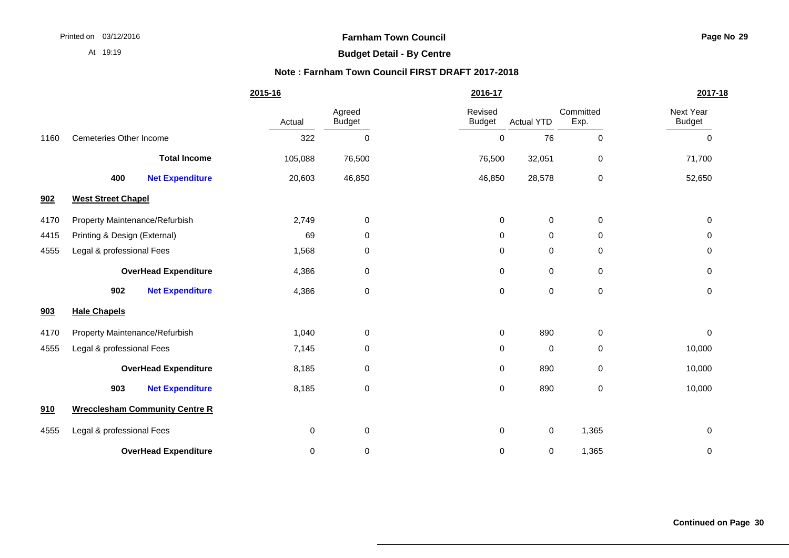At 19:19

# **Farnham Town Council**

**Budget Detail - By Centre** 

|      |                                       | 2015-16 |                         | 2016-17                  |                   |                   | 2017-18                    |
|------|---------------------------------------|---------|-------------------------|--------------------------|-------------------|-------------------|----------------------------|
|      |                                       | Actual  | Agreed<br><b>Budget</b> | Revised<br><b>Budget</b> | <b>Actual YTD</b> | Committed<br>Exp. | Next Year<br><b>Budget</b> |
| 1160 | <b>Cemeteries Other Income</b>        | 322     | $\mathbf 0$             | $\pmb{0}$                | 76                | 0                 | $\pmb{0}$                  |
|      | <b>Total Income</b>                   | 105,088 | 76,500                  | 76,500                   | 32,051            | 0                 | 71,700                     |
|      | 400<br><b>Net Expenditure</b>         | 20,603  | 46,850                  | 46,850                   | 28,578            | 0                 | 52,650                     |
| 902  | <b>West Street Chapel</b>             |         |                         |                          |                   |                   |                            |
| 4170 | Property Maintenance/Refurbish        | 2,749   | $\mathbf 0$             | 0                        | 0                 | 0                 | 0                          |
| 4415 | Printing & Design (External)          | 69      | $\mathbf 0$             | 0                        | $\mathbf 0$       | 0                 | 0                          |
| 4555 | Legal & professional Fees             | 1,568   | $\mathbf 0$             | 0                        | $\mathbf 0$       | $\mathbf 0$       | 0                          |
|      | <b>OverHead Expenditure</b>           | 4,386   | $\mathbf 0$             | 0                        | $\mathbf 0$       | $\mathbf 0$       | $\mathbf 0$                |
|      | 902<br><b>Net Expenditure</b>         | 4,386   | $\pmb{0}$               | 0                        | $\pmb{0}$         | $\pmb{0}$         | $\mathbf 0$                |
| 903  | <b>Hale Chapels</b>                   |         |                         |                          |                   |                   |                            |
| 4170 | Property Maintenance/Refurbish        | 1,040   | $\mathbf 0$             | 0                        | 890               | 0                 | 0                          |
| 4555 | Legal & professional Fees             | 7,145   | $\mathbf 0$             | 0                        | $\mathbf 0$       | 0                 | 10,000                     |
|      | <b>OverHead Expenditure</b>           | 8,185   | $\pmb{0}$               | 0                        | 890               | 0                 | 10,000                     |
|      | 903<br><b>Net Expenditure</b>         | 8,185   | $\mathbf 0$             | 0                        | 890               | 0                 | 10,000                     |
| 910  | <b>Wrecclesham Community Centre R</b> |         |                         |                          |                   |                   |                            |
| 4555 | Legal & professional Fees             | 0       | $\mathbf 0$             | 0                        | $\pmb{0}$         | 1,365             | 0                          |
|      | <b>OverHead Expenditure</b>           | 0       | 0                       | $\pmb{0}$                | 0                 | 1,365             | 0                          |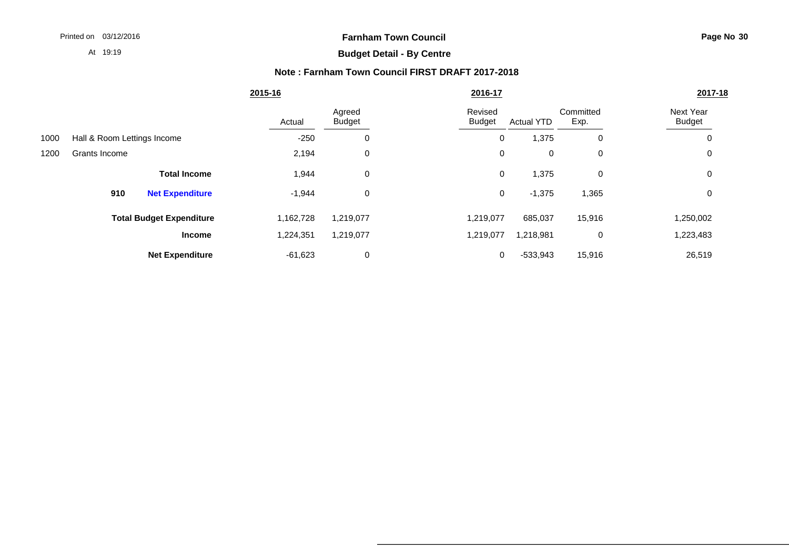# **Farnham Town Council**

At 19:19

# **Budget Detail - By Centre**

|      |                                 | <u>2015-16</u> |                         | 2016-17                  |                   |                   | 2017-18                    |
|------|---------------------------------|----------------|-------------------------|--------------------------|-------------------|-------------------|----------------------------|
|      |                                 | Actual         | Agreed<br><b>Budget</b> | Revised<br><b>Budget</b> | <b>Actual YTD</b> | Committed<br>Exp. | Next Year<br><b>Budget</b> |
| 1000 | Hall & Room Lettings Income     | $-250$         | 0                       | 0                        | 1,375             | 0                 | 0                          |
| 1200 | Grants Income                   | 2,194          | 0                       | 0                        | 0                 | $\mathbf 0$       | 0                          |
|      | <b>Total Income</b>             | 1,944          | 0                       | 0                        | 1,375             | $\mathbf 0$       | 0                          |
|      | 910<br><b>Net Expenditure</b>   | $-1,944$       | 0                       | 0                        | $-1,375$          | 1,365             | 0                          |
|      | <b>Total Budget Expenditure</b> | 1,162,728      | 1,219,077               | 1,219,077                | 685,037           | 15,916            | 1,250,002                  |
|      | <b>Income</b>                   | 1,224,351      | 1,219,077               | 1,219,077                | 1,218,981         | $\mathbf 0$       | 1,223,483                  |
|      | <b>Net Expenditure</b>          | $-61,623$      | 0                       | 0                        | $-533,943$        | 15,916            | 26,519                     |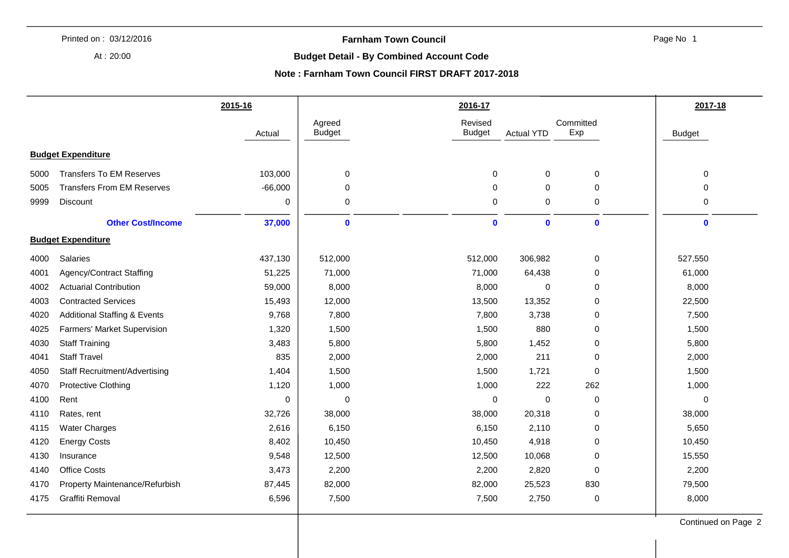**Farnham Town Council** 

Page No 1

At : 20:00

# **Budget Detail - By Combined Account Code**

# **Note : Farnham Town Council FIRST DRAFT 2017-2018**

|      |                                         | 2015-16   |                         | 2016-17                  |                   |                  |               | 2017-18     |
|------|-----------------------------------------|-----------|-------------------------|--------------------------|-------------------|------------------|---------------|-------------|
|      |                                         | Actual    | Agreed<br><b>Budget</b> | Revised<br><b>Budget</b> | <b>Actual YTD</b> | Committed<br>Exp | <b>Budget</b> |             |
|      | <b>Budget Expenditure</b>               |           |                         |                          |                   |                  |               |             |
| 5000 | <b>Transfers To EM Reserves</b>         | 103,000   | $\mathbf 0$             | $\mathbf 0$              | 0                 | $\boldsymbol{0}$ |               | $\mathbf 0$ |
| 5005 | <b>Transfers From EM Reserves</b>       | $-66,000$ | $\mathbf 0$             | $\Omega$                 | $\mathbf 0$       | $\pmb{0}$        |               | $\mathbf 0$ |
| 9999 | <b>Discount</b>                         | 0         | $\mathbf 0$             | $\mathbf 0$              | $\mathbf 0$       | 0                |               | $\mathbf 0$ |
|      | <b>Other Cost/Income</b>                | 37,000    | $\mathbf 0$             | $\mathbf 0$              | $\mathbf 0$       | $\mathbf 0$      |               | $\mathbf 0$ |
|      | <b>Budget Expenditure</b>               |           |                         |                          |                   |                  |               |             |
| 4000 | Salaries                                | 437,130   | 512,000                 | 512,000                  | 306,982           | 0                | 527,550       |             |
| 4001 | <b>Agency/Contract Staffing</b>         | 51,225    | 71,000                  | 71,000                   | 64,438            | 0                | 61,000        |             |
| 4002 | <b>Actuarial Contribution</b>           | 59,000    | 8,000                   | 8,000                    | 0                 | 0                |               | 8,000       |
| 4003 | <b>Contracted Services</b>              | 15,493    | 12,000                  | 13,500                   | 13,352            | 0                | 22,500        |             |
| 4020 | <b>Additional Staffing &amp; Events</b> | 9,768     | 7,800                   | 7,800                    | 3,738             | 0                |               | 7,500       |
| 4025 | Farmers' Market Supervision             | 1,320     | 1,500                   | 1,500                    | 880               | 0                | 1,500         |             |
| 4030 | <b>Staff Training</b>                   | 3,483     | 5,800                   | 5,800                    | 1,452             | 0                |               | 5,800       |
| 4041 | <b>Staff Travel</b>                     | 835       | 2,000                   | 2,000                    | 211               | 0                |               | 2,000       |
| 4050 | <b>Staff Recruitment/Advertising</b>    | 1,404     | 1,500                   | 1,500                    | 1,721             | 0                | 1,500         |             |
| 4070 | <b>Protective Clothing</b>              | 1,120     | 1,000                   | 1,000                    | 222               | 262              | 1,000         |             |
| 4100 | Rent                                    | 0         | $\mathbf 0$             | $\mathbf 0$              | $\mathbf 0$       | 0                |               | $\mathbf 0$ |
| 4110 | Rates, rent                             | 32,726    | 38,000                  | 38,000                   | 20,318            | 0                | 38,000        |             |
| 4115 | <b>Water Charges</b>                    | 2,616     | 6,150                   | 6,150                    | 2,110             | 0                |               | 5,650       |
| 4120 | <b>Energy Costs</b>                     | 8,402     | 10,450                  | 10,450                   | 4,918             | $\pmb{0}$        | 10,450        |             |
| 4130 | Insurance                               | 9,548     | 12,500                  | 12,500                   | 10,068            | 0                | 15,550        |             |
| 4140 | <b>Office Costs</b>                     | 3,473     | 2,200                   | 2,200                    | 2,820             | 0                |               | 2,200       |
| 4170 | Property Maintenance/Refurbish          | 87,445    | 82,000                  | 82,000                   | 25,523            | 830              | 79,500        |             |
| 4175 | Graffiti Removal                        | 6,596     | 7,500                   | 7,500                    | 2,750             | 0                |               | 8,000       |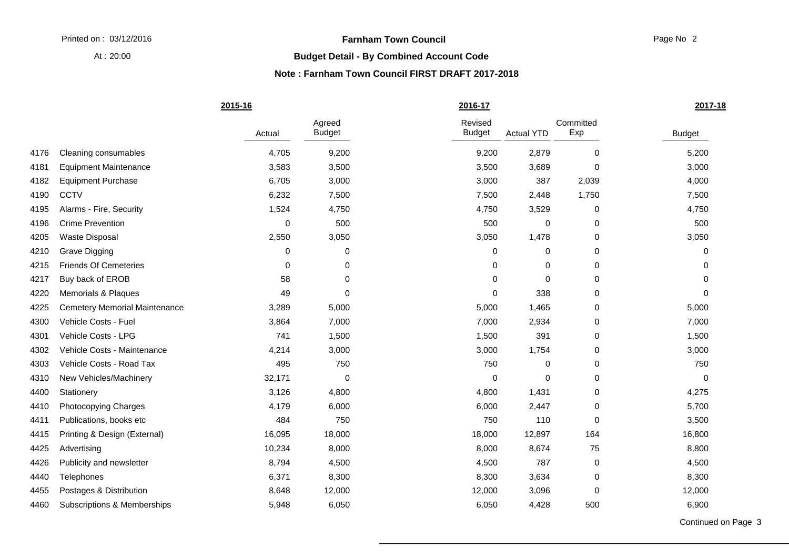### At : 20:00

# **Farnham Town Council Budget Detail - By Combined Account Code**

# **Note : Farnham Town Council FIRST DRAFT 2017-2018**

|      |                                      | 2015-16     | 2016-17                 | 2017-18                  |                   |                  |               |
|------|--------------------------------------|-------------|-------------------------|--------------------------|-------------------|------------------|---------------|
|      |                                      | Actual      | Agreed<br><b>Budget</b> | Revised<br><b>Budget</b> | <b>Actual YTD</b> | Committed<br>Exp | <b>Budget</b> |
| 4176 | Cleaning consumables                 | 4,705       | 9,200                   | 9,200                    | 2,879             | 0                | 5,200         |
| 4181 | <b>Equipment Maintenance</b>         | 3,583       | 3,500                   | 3,500                    | 3,689             | $\mathbf 0$      | 3,000         |
| 4182 | <b>Equipment Purchase</b>            | 6,705       | 3,000                   | 3,000                    | 387               | 2,039            | 4,000         |
| 4190 | <b>CCTV</b>                          | 6,232       | 7,500                   | 7,500                    | 2,448             | 1,750            | 7,500         |
| 4195 | Alarms - Fire, Security              | 1,524       | 4,750                   | 4,750                    | 3,529             | $\mathbf 0$      | 4,750         |
| 4196 | <b>Crime Prevention</b>              | $\mathbf 0$ | 500                     | 500                      | 0                 | 0                | 500           |
| 4205 | Waste Disposal                       | 2,550       | 3,050                   | 3,050                    | 1,478             | $\mathbf 0$      | 3,050         |
| 4210 | <b>Grave Digging</b>                 | $\mathbf 0$ | 0                       | 0                        | 0                 | 0                | 0             |
| 4215 | <b>Friends Of Cemeteries</b>         | $\mathbf 0$ | 0                       | 0                        | $\Omega$          | $\mathbf 0$      | 0             |
| 4217 | Buy back of EROB                     | 58          | 0                       | 0                        | $\mathbf 0$       | $\mathbf 0$      | 0             |
| 4220 | <b>Memorials &amp; Plaques</b>       | 49          | 0                       | $\Omega$                 | 338               | 0                | $\Omega$      |
| 4225 | <b>Cemetery Memorial Maintenance</b> | 3,289       | 5,000                   | 5,000                    | 1,465             | 0                | 5,000         |
| 4300 | Vehicle Costs - Fuel                 | 3,864       | 7,000                   | 7,000                    | 2,934             | 0                | 7,000         |
| 4301 | Vehicle Costs - LPG                  | 741         | 1,500                   | 1,500                    | 391               | 0                | 1,500         |
| 4302 | Vehicle Costs - Maintenance          | 4,214       | 3,000                   | 3,000                    | 1,754             | 0                | 3,000         |
| 4303 | Vehicle Costs - Road Tax             | 495         | 750                     | 750                      | 0                 | $\mathbf 0$      | 750           |
| 4310 | New Vehicles/Machinery               | 32,171      | 0                       | $\mathbf 0$              | $\mathbf 0$       | $\mathbf 0$      | 0             |
| 4400 | Stationery                           | 3,126       | 4,800                   | 4,800                    | 1,431             | 0                | 4,275         |
| 4410 | Photocopying Charges                 | 4,179       | 6,000                   | 6,000                    | 2,447             | 0                | 5,700         |
| 4411 | Publications, books etc              | 484         | 750                     | 750                      | 110               | $\mathbf 0$      | 3,500         |
| 4415 | Printing & Design (External)         | 16,095      | 18,000                  | 18,000                   | 12,897            | 164              | 16,800        |
| 4425 | Advertising                          | 10,234      | 8,000                   | 8,000                    | 8,674             | 75               | 8,800         |
| 4426 | Publicity and newsletter             | 8,794       | 4,500                   | 4,500                    | 787               | 0                | 4,500         |
| 4440 | Telephones                           | 6,371       | 8,300                   | 8,300                    | 3,634             | 0                | 8,300         |
| 4455 | Postages & Distribution              | 8,648       | 12,000                  | 12,000                   | 3,096             | $\Omega$         | 12,000        |
| 4460 | Subscriptions & Memberships          | 5,948       | 6,050                   | 6,050                    | 4,428             | 500              | 6,900         |
|      |                                      |             |                         |                          |                   |                  |               |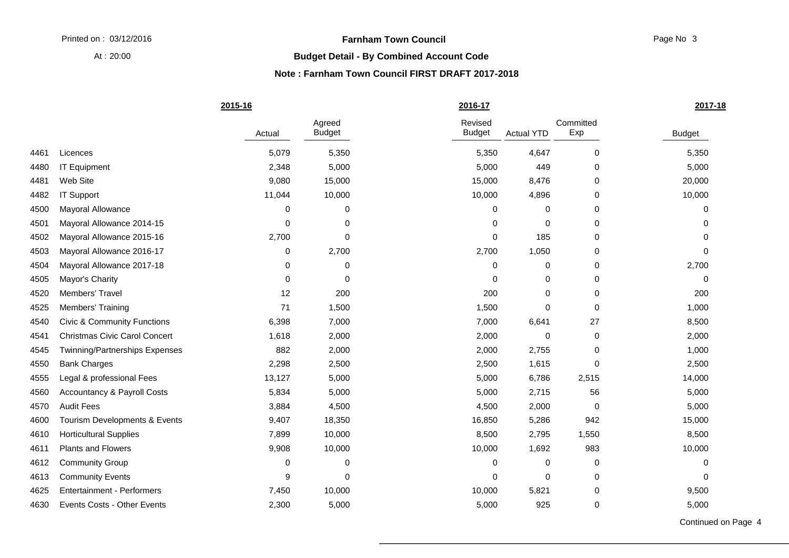# **Farnham Town Council**

#### At : 20:00

# **Budget Detail - By Combined Account Code**

# **Note : Farnham Town Council FIRST DRAFT 2017-2018**

|      |                                        | <u>2016-17</u> |                         |                          |                   |                  |               |
|------|----------------------------------------|----------------|-------------------------|--------------------------|-------------------|------------------|---------------|
|      |                                        | Actual         | Agreed<br><b>Budget</b> | Revised<br><b>Budget</b> | <b>Actual YTD</b> | Committed<br>Exp | <b>Budget</b> |
| 4461 | Licences                               | 5,079          | 5,350                   | 5,350                    | 4,647             | 0                | 5,350         |
| 4480 | <b>IT Equipment</b>                    | 2,348          | 5,000                   | 5,000                    | 449               | 0                | 5,000         |
| 4481 | Web Site                               | 9,080          | 15,000                  | 15,000                   | 8,476             | 0                | 20,000        |
| 4482 | <b>IT Support</b>                      | 11,044         | 10,000                  | 10,000                   | 4,896             | 0                | 10,000        |
| 4500 | Mayoral Allowance                      | $\Omega$       | 0                       | $\Omega$                 | $\Omega$          | $\Omega$         | 0             |
| 4501 | Mayoral Allowance 2014-15              | 0              | 0                       | 0                        | $\mathbf 0$       | 0                | 0             |
| 4502 | Mayoral Allowance 2015-16              | 2,700          | 0                       | 0                        | 185               | 0                | 0             |
| 4503 | Mayoral Allowance 2016-17              | $\mathbf 0$    | 2,700                   | 2,700                    | 1,050             | 0                | 0             |
| 4504 | Mayoral Allowance 2017-18              | $\mathbf 0$    | 0                       | $\Omega$                 | $\mathbf 0$       | 0                | 2,700         |
| 4505 | Mayor's Charity                        | $\Omega$       | 0                       | $\Omega$                 | $\mathbf 0$       | $\mathbf 0$      | 0             |
| 4520 | Members' Travel                        | 12             | 200                     | 200                      | $\Omega$          | 0                | 200           |
| 4525 | Members' Training                      | 71             | 1,500                   | 1,500                    | $\Omega$          | $\Omega$         | 1,000         |
| 4540 | <b>Civic &amp; Community Functions</b> | 6,398          | 7,000                   | 7,000                    | 6,641             | 27               | 8,500         |
| 4541 | <b>Christmas Civic Carol Concert</b>   | 1,618          | 2,000                   | 2,000                    | $\mathbf 0$       | 0                | 2,000         |
| 4545 | Twinning/Partnerships Expenses         | 882            | 2,000                   | 2,000                    | 2,755             | 0                | 1,000         |
| 4550 | <b>Bank Charges</b>                    | 2,298          | 2,500                   | 2,500                    | 1,615             | $\Omega$         | 2,500         |
| 4555 | Legal & professional Fees              | 13,127         | 5,000                   | 5,000                    | 6,786             | 2,515            | 14,000        |
| 4560 | Accountancy & Payroll Costs            | 5,834          | 5,000                   | 5,000                    | 2,715             | 56               | 5,000         |
| 4570 | <b>Audit Fees</b>                      | 3,884          | 4,500                   | 4,500                    | 2,000             | $\Omega$         | 5,000         |
| 4600 | Tourism Developments & Events          | 9,407          | 18,350                  | 16,850                   | 5,286             | 942              | 15,000        |
| 4610 | <b>Horticultural Supplies</b>          | 7,899          | 10,000                  | 8,500                    | 2,795             | 1,550            | 8,500         |
| 4611 | <b>Plants and Flowers</b>              | 9,908          | 10,000                  | 10,000                   | 1,692             | 983              | 10,000        |
| 4612 | <b>Community Group</b>                 | 0              | 0                       | 0                        | 0                 | 0                | 0             |
| 4613 | <b>Community Events</b>                | 9              | $\Omega$                | $\Omega$                 | $\Omega$          | 0                | O             |
| 4625 | <b>Entertainment - Performers</b>      | 7,450          | 10,000                  | 10,000                   | 5,821             | $\mathbf 0$      | 9,500         |
| 4630 | Events Costs - Other Events            | 2,300          | 5,000                   | 5,000                    | 925               | 0                | 5,000         |
|      |                                        |                |                         |                          |                   |                  |               |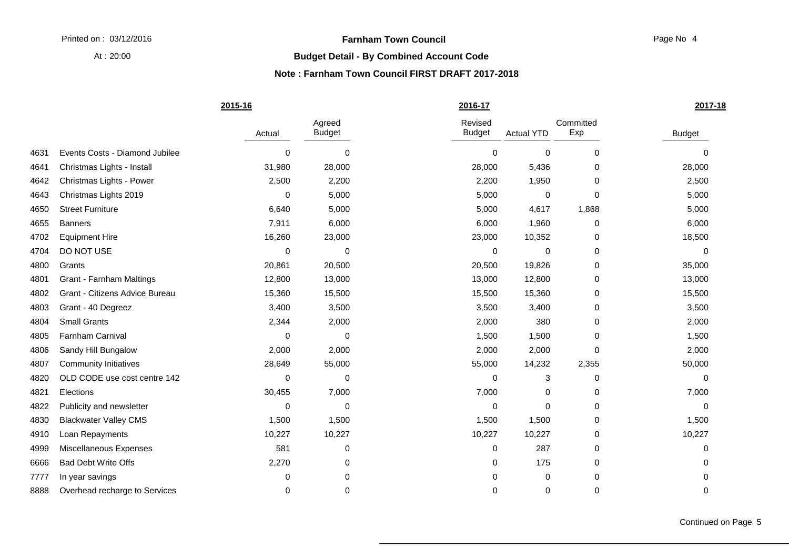# **Farnham Town Council**

#### At : 20:00

# **Budget Detail - By Combined Account Code**

# **Note : Farnham Town Council FIRST DRAFT 2017-2018**

|      |                                | <u>2015-16</u> | <u>2016-17</u>          | <u>2017-18</u>           |                   |                  |               |
|------|--------------------------------|----------------|-------------------------|--------------------------|-------------------|------------------|---------------|
|      |                                | Actual         | Agreed<br><b>Budget</b> | Revised<br><b>Budget</b> | <b>Actual YTD</b> | Committed<br>Exp | <b>Budget</b> |
| 4631 | Events Costs - Diamond Jubilee | $\mathbf 0$    | 0                       | 0                        | $\mathbf 0$       | 0                | $\Omega$      |
| 4641 | Christmas Lights - Install     | 31,980         | 28,000                  | 28,000                   | 5,436             | 0                | 28,000        |
| 4642 | Christmas Lights - Power       | 2,500          | 2,200                   | 2,200                    | 1,950             | 0                | 2,500         |
| 4643 | Christmas Lights 2019          | 0              | 5,000                   | 5,000                    | 0                 | 0                | 5,000         |
| 4650 | <b>Street Furniture</b>        | 6,640          | 5,000                   | 5,000                    | 4,617             | 1,868            | 5,000         |
| 4655 | <b>Banners</b>                 | 7,911          | 6,000                   | 6,000                    | 1,960             | 0                | 6,000         |
| 4702 | <b>Equipment Hire</b>          | 16,260         | 23,000                  | 23,000                   | 10,352            | 0                | 18,500        |
| 4704 | DO NOT USE                     | $\Omega$       | 0                       | 0                        | 0                 | 0                | $\Omega$      |
| 4800 | Grants                         | 20,861         | 20,500                  | 20,500                   | 19,826            | 0                | 35,000        |
| 4801 | Grant - Farnham Maltings       | 12,800         | 13,000                  | 13,000                   | 12,800            | 0                | 13,000        |
| 4802 | Grant - Citizens Advice Bureau | 15,360         | 15,500                  | 15,500                   | 15,360            | 0                | 15,500        |
| 4803 | Grant - 40 Degreez             | 3,400          | 3,500                   | 3,500                    | 3,400             | 0                | 3,500         |
| 4804 | <b>Small Grants</b>            | 2,344          | 2,000                   | 2,000                    | 380               | 0                | 2,000         |
| 4805 | Farnham Carnival               | 0              | 0                       | 1,500                    | 1,500             | 0                | 1,500         |
| 4806 | Sandy Hill Bungalow            | 2,000          | 2,000                   | 2,000                    | 2,000             | 0                | 2,000         |
| 4807 | <b>Community Initiatives</b>   | 28,649         | 55,000                  | 55,000                   | 14,232            | 2,355            | 50,000        |
| 4820 | OLD CODE use cost centre 142   | $\Omega$       | 0                       | 0                        | 3                 | 0                | $\Omega$      |
| 4821 | Elections                      | 30,455         | 7,000                   | 7,000                    | 0                 | 0                | 7,000         |
| 4822 | Publicity and newsletter       | 0              | 0                       | 0                        | $\Omega$          | 0                | $\mathbf 0$   |
| 4830 | <b>Blackwater Valley CMS</b>   | 1,500          | 1,500                   | 1,500                    | 1,500             | 0                | 1,500         |
| 4910 | Loan Repayments                | 10,227         | 10,227                  | 10,227                   | 10,227            | 0                | 10,227        |
| 4999 | Miscellaneous Expenses         | 581            | 0                       | 0                        | 287               | 0                | 0             |
| 6666 | Bad Debt Write Offs            | 2,270          | 0                       | 0                        | 175               | 0                | 0             |
| 7777 | In year savings                | 0              | 0                       | 0                        | 0                 | 0                | 0             |
| 8888 | Overhead recharge to Services  | $\Omega$       | 0                       | 0                        | $\mathbf 0$       | 0                | $\Omega$      |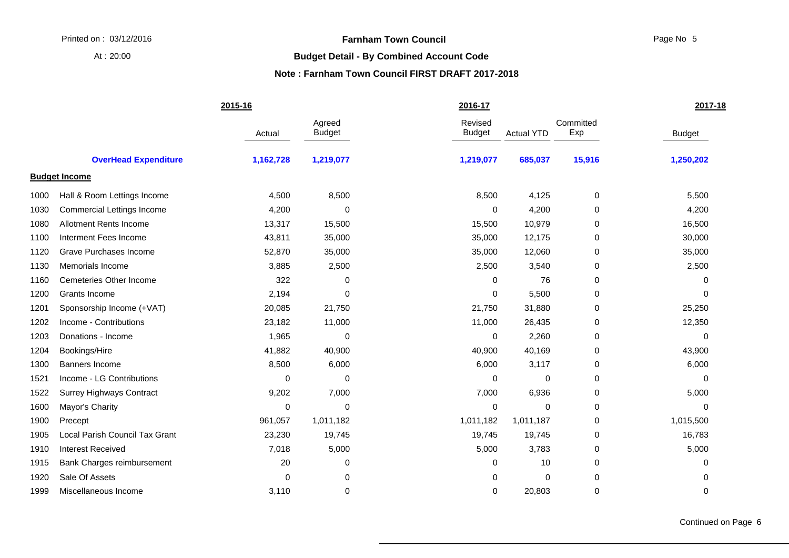At : 20:00

# **Farnham Town Council**

Page No 5

# **Budget Detail - By Combined Account Code**

|      |                                   | 2016-17     |                         |                          |                   |                  |               |
|------|-----------------------------------|-------------|-------------------------|--------------------------|-------------------|------------------|---------------|
|      |                                   | Actual      | Agreed<br><b>Budget</b> | Revised<br><b>Budget</b> | <b>Actual YTD</b> | Committed<br>Exp | <b>Budget</b> |
|      | <b>OverHead Expenditure</b>       | 1,162,728   | 1,219,077               | 1,219,077                | 685,037           | 15,916           | 1,250,202     |
|      | <b>Budget Income</b>              |             |                         |                          |                   |                  |               |
| 1000 | Hall & Room Lettings Income       | 4,500       | 8,500                   | 8,500                    | 4,125             | $\mathbf 0$      | 5,500         |
| 1030 | <b>Commercial Lettings Income</b> | 4,200       | 0                       | 0                        | 4,200             | 0                | 4,200         |
| 1080 | Allotment Rents Income            | 13,317      | 15,500                  | 15,500                   | 10,979            | 0                | 16,500        |
| 1100 | Interment Fees Income             | 43,811      | 35,000                  | 35,000                   | 12,175            | 0                | 30,000        |
| 1120 | <b>Grave Purchases Income</b>     | 52,870      | 35,000                  | 35,000                   | 12,060            | 0                | 35,000        |
| 1130 | Memorials Income                  | 3,885       | 2,500                   | 2,500                    | 3,540             | 0                | 2,500         |
| 1160 | <b>Cemeteries Other Income</b>    | 322         | 0                       | 0                        | 76                | 0                | 0             |
| 1200 | Grants Income                     | 2,194       | 0                       | $\Omega$                 | 5,500             | 0                | $\Omega$      |
| 1201 | Sponsorship Income (+VAT)         | 20,085      | 21,750                  | 21,750                   | 31,880            | 0                | 25,250        |
| 1202 | Income - Contributions            | 23,182      | 11,000                  | 11,000                   | 26,435            | 0                | 12,350        |
| 1203 | Donations - Income                | 1,965       | 0                       | $\mathbf 0$              | 2,260             | 0                | $\mathbf 0$   |
| 1204 | Bookings/Hire                     | 41,882      | 40,900                  | 40,900                   | 40,169            | 0                | 43,900        |
| 1300 | Banners Income                    | 8,500       | 6,000                   | 6,000                    | 3,117             | 0                | 6,000         |
| 1521 | Income - LG Contributions         | $\mathbf 0$ | $\mathbf 0$             | $\Omega$                 | $\mathbf 0$       | 0                | $\Omega$      |
| 1522 | <b>Surrey Highways Contract</b>   | 9,202       | 7,000                   | 7,000                    | 6,936             | 0                | 5,000         |
| 1600 | Mayor's Charity                   | $\mathbf 0$ | 0                       | $\Omega$                 | $\mathbf 0$       | 0                | $\mathbf 0$   |
| 1900 | Precept                           | 961,057     | 1,011,182               | 1,011,182                | 1,011,187         | 0                | 1,015,500     |
| 1905 | Local Parish Council Tax Grant    | 23,230      | 19,745                  | 19,745                   | 19,745            | 0                | 16,783        |
| 1910 | <b>Interest Received</b>          | 7,018       | 5,000                   | 5,000                    | 3,783             | 0                | 5,000         |
| 1915 | Bank Charges reimbursement        | 20          | 0                       | $\Omega$                 | 10                | 0                | 0             |
| 1920 | Sale Of Assets                    | 0           | 0                       | 0                        | 0                 | 0                | 0             |
| 1999 | Miscellaneous Income              | 3,110       | 0                       | $\Omega$                 | 20,803            | 0                | $\mathbf 0$   |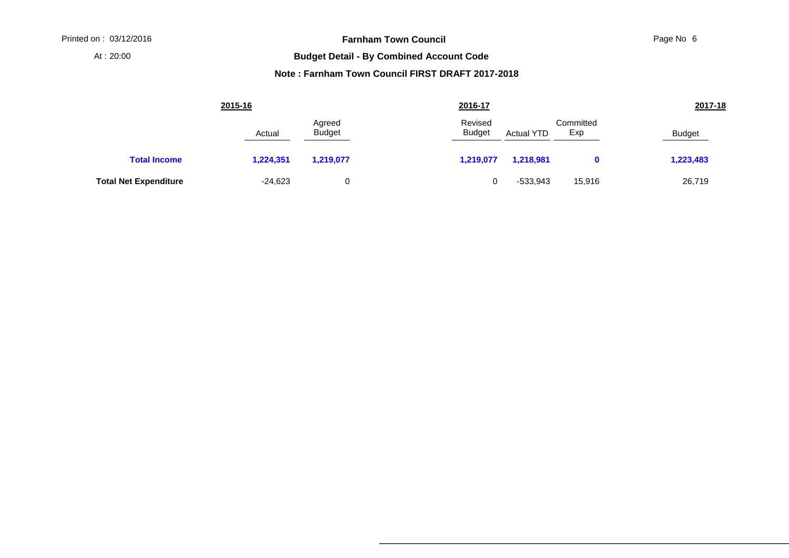# **Farnham Town Council**

At : 20:00

# **Budget Detail - By Combined Account Code**

|                              | 2015-16   |                         |                                               | 2016-17          |               |  |
|------------------------------|-----------|-------------------------|-----------------------------------------------|------------------|---------------|--|
|                              | Actual    | Agreed<br><b>Budget</b> | Revised<br><b>Budget</b><br><b>Actual YTD</b> | Committed<br>Exp | <b>Budget</b> |  |
| <b>Total Income</b>          | 1,224,351 | 1,219,077               | 1,218,981<br>1,219,077                        |                  | 1,223,483     |  |
| <b>Total Net Expenditure</b> | $-24,623$ | 0                       | $-533.943$                                    | 15,916           | 26,719        |  |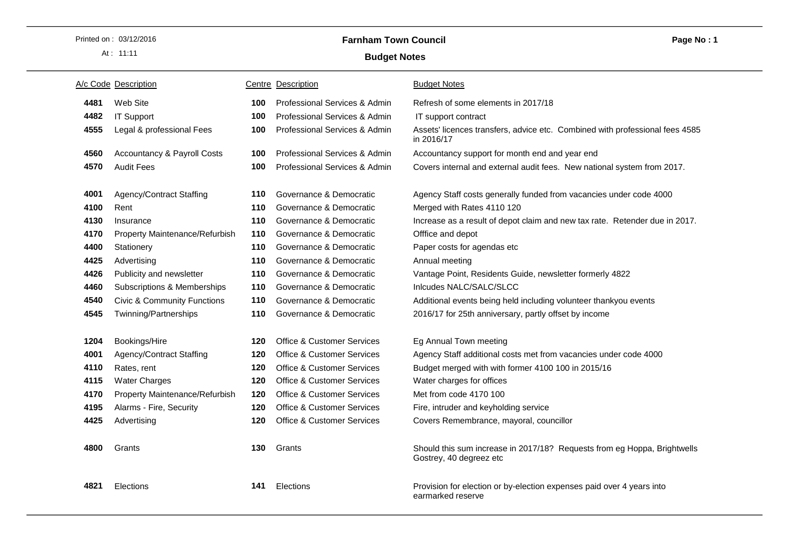| Printed on: 03/12/2016 |  |  |
|------------------------|--|--|
|                        |  |  |

At: 11:11

# **Farnham Town Council**

**Page No : 1** 

# **Budget Notes**

|      | A/c Code Description                   |     | Centre Description                    | <b>Budget Notes</b>                                                                                 |
|------|----------------------------------------|-----|---------------------------------------|-----------------------------------------------------------------------------------------------------|
| 4481 | Web Site                               | 100 | Professional Services & Admin         | Refresh of some elements in 2017/18                                                                 |
| 4482 | <b>IT Support</b>                      | 100 | Professional Services & Admin         | IT support contract                                                                                 |
| 4555 | Legal & professional Fees              | 100 | Professional Services & Admin         | Assets' licences transfers, advice etc. Combined with professional fees 4585<br>in 2016/17          |
| 4560 | <b>Accountancy &amp; Payroll Costs</b> | 100 | Professional Services & Admin         | Accountancy support for month end and year end                                                      |
| 4570 | <b>Audit Fees</b>                      | 100 | Professional Services & Admin         | Covers internal and external audit fees. New national system from 2017.                             |
| 4001 | Agency/Contract Staffing               | 110 | Governance & Democratic               | Agency Staff costs generally funded from vacancies under code 4000                                  |
| 4100 | Rent                                   | 110 | Governance & Democratic               | Merged with Rates 4110 120                                                                          |
| 4130 | Insurance                              | 110 | Governance & Democratic               | Increase as a result of depot claim and new tax rate. Retender due in 2017.                         |
| 4170 | Property Maintenance/Refurbish         | 110 | Governance & Democratic               | Offfice and depot                                                                                   |
| 4400 | Stationery                             | 110 | Governance & Democratic               | Paper costs for agendas etc                                                                         |
| 4425 | Advertising                            | 110 | Governance & Democratic               | Annual meeting                                                                                      |
| 4426 | Publicity and newsletter               | 110 | Governance & Democratic               | Vantage Point, Residents Guide, newsletter formerly 4822                                            |
| 4460 | Subscriptions & Memberships            | 110 | Governance & Democratic               | Inlcudes NALC/SALC/SLCC                                                                             |
| 4540 | <b>Civic &amp; Community Functions</b> | 110 | Governance & Democratic               | Additional events being held including volunteer thankyou events                                    |
| 4545 | Twinning/Partnerships                  | 110 | Governance & Democratic               | 2016/17 for 25th anniversary, partly offset by income                                               |
| 1204 | Bookings/Hire                          | 120 | <b>Office &amp; Customer Services</b> | Eg Annual Town meeting                                                                              |
| 4001 | Agency/Contract Staffing               | 120 | <b>Office &amp; Customer Services</b> | Agency Staff additional costs met from vacancies under code 4000                                    |
| 4110 | Rates, rent                            | 120 | <b>Office &amp; Customer Services</b> | Budget merged with with former 4100 100 in 2015/16                                                  |
| 4115 | <b>Water Charges</b>                   | 120 | <b>Office &amp; Customer Services</b> | Water charges for offices                                                                           |
| 4170 | Property Maintenance/Refurbish         | 120 | <b>Office &amp; Customer Services</b> | Met from code 4170 100                                                                              |
| 4195 | Alarms - Fire, Security                | 120 | <b>Office &amp; Customer Services</b> | Fire, intruder and keyholding service                                                               |
| 4425 | Advertising                            | 120 | <b>Office &amp; Customer Services</b> | Covers Remembrance, mayoral, councillor                                                             |
| 4800 | Grants                                 | 130 | Grants                                | Should this sum increase in 2017/18? Requests from eg Hoppa, Brightwells<br>Gostrey, 40 degreez etc |
| 4821 | Elections                              | 141 | Elections                             | Provision for election or by-election expenses paid over 4 years into<br>earmarked reserve          |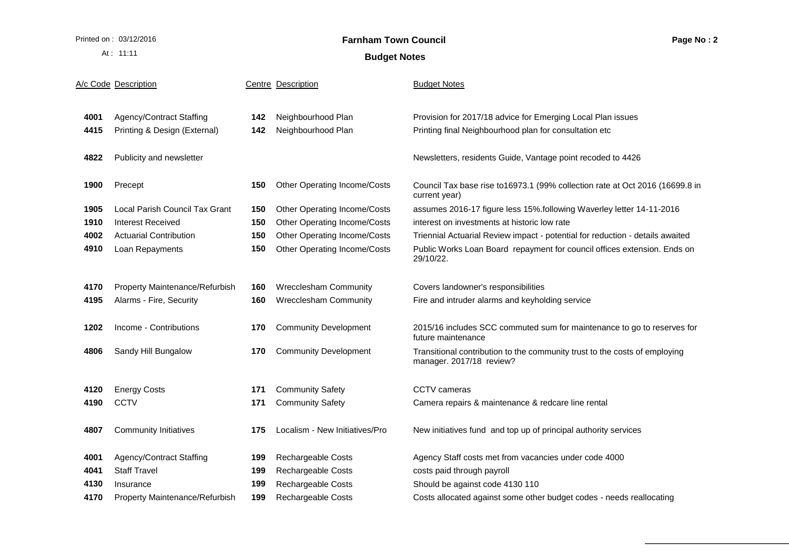At: 11:11

# **Farnham Town Council Budget Notes**

**Page No : 2** 

|      | A/c Code Description                  |     | <b>Centre Description</b>      | <b>Budget Notes</b>                                                                                    |
|------|---------------------------------------|-----|--------------------------------|--------------------------------------------------------------------------------------------------------|
|      |                                       |     |                                |                                                                                                        |
| 4001 | <b>Agency/Contract Staffing</b>       | 142 | Neighbourhood Plan             | Provision for 2017/18 advice for Emerging Local Plan issues                                            |
| 4415 | Printing & Design (External)          | 142 | Neighbourhood Plan             | Printing final Neighbourhood plan for consultation etc                                                 |
| 4822 | Publicity and newsletter              |     |                                | Newsletters, residents Guide, Vantage point recoded to 4426                                            |
| 1900 | Precept                               | 150 | Other Operating Income/Costs   | Council Tax base rise to 16973.1 (99% collection rate at Oct 2016 (16699.8 in<br>current year)         |
| 1905 | <b>Local Parish Council Tax Grant</b> | 150 | Other Operating Income/Costs   | assumes 2016-17 figure less 15%.following Waverley letter 14-11-2016                                   |
| 1910 | <b>Interest Received</b>              | 150 | Other Operating Income/Costs   | interest on investments at historic low rate                                                           |
| 4002 | <b>Actuarial Contribution</b>         | 150 | Other Operating Income/Costs   | Triennial Actuarial Review impact - potential for reduction - details awaited                          |
| 4910 | Loan Repayments                       | 150 | Other Operating Income/Costs   | Public Works Loan Board repayment for council offices extension. Ends on<br>29/10/22.                  |
| 4170 | Property Maintenance/Refurbish        | 160 | <b>Wrecclesham Community</b>   | Covers landowner's responsibilities                                                                    |
| 4195 | Alarms - Fire, Security               | 160 | <b>Wrecclesham Community</b>   | Fire and intruder alarms and keyholding service                                                        |
| 1202 | Income - Contributions                | 170 | <b>Community Development</b>   | 2015/16 includes SCC commuted sum for maintenance to go to reserves for<br>future maintenance          |
| 4806 | Sandy Hill Bungalow                   | 170 | <b>Community Development</b>   | Transitional contribution to the community trust to the costs of employing<br>manager. 2017/18 review? |
| 4120 | <b>Energy Costs</b>                   | 171 | <b>Community Safety</b>        | CCTV cameras                                                                                           |
| 4190 | <b>CCTV</b>                           | 171 | <b>Community Safety</b>        | Camera repairs & maintenance & redcare line rental                                                     |
| 4807 | <b>Community Initiatives</b>          | 175 | Localism - New Initiatives/Pro | New initiatives fund and top up of principal authority services                                        |
| 4001 | Agency/Contract Staffing              | 199 | Rechargeable Costs             | Agency Staff costs met from vacancies under code 4000                                                  |
| 4041 | <b>Staff Travel</b>                   | 199 | Rechargeable Costs             | costs paid through payroll                                                                             |
| 4130 | Insurance                             | 199 | Rechargeable Costs             | Should be against code 4130 110                                                                        |
| 4170 | Property Maintenance/Refurbish        | 199 | Rechargeable Costs             | Costs allocated against some other budget codes - needs reallocating                                   |
|      |                                       |     |                                |                                                                                                        |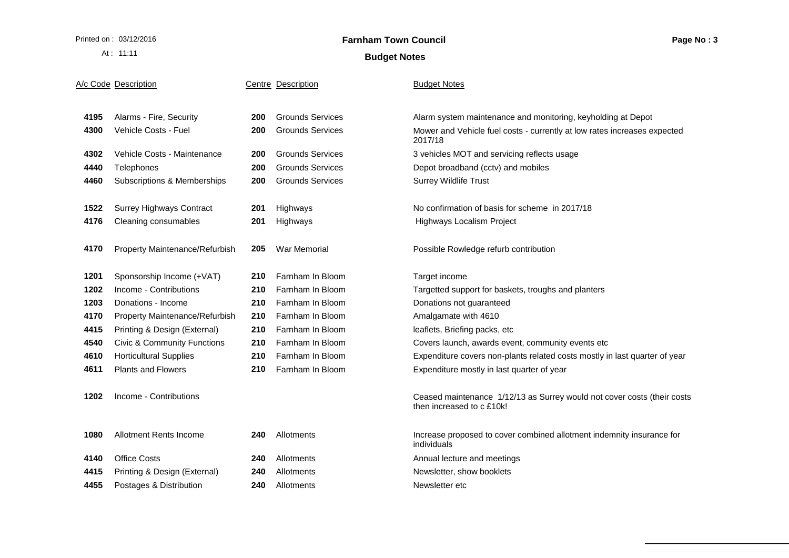At: 11:11

# **Farnham Town Council Budget Notes**

|      | A/c Code Description                   |     | Centre Description      | <b>Budget Notes</b>                                                                                  |
|------|----------------------------------------|-----|-------------------------|------------------------------------------------------------------------------------------------------|
|      |                                        |     |                         |                                                                                                      |
| 4195 | Alarms - Fire, Security                | 200 | <b>Grounds Services</b> | Alarm system maintenance and monitoring, keyholding at Depot                                         |
| 4300 | Vehicle Costs - Fuel                   | 200 | <b>Grounds Services</b> | Mower and Vehicle fuel costs - currently at low rates increases expected<br>2017/18                  |
| 4302 | Vehicle Costs - Maintenance            | 200 | <b>Grounds Services</b> | 3 vehicles MOT and servicing reflects usage                                                          |
| 4440 | Telephones                             | 200 | <b>Grounds Services</b> | Depot broadband (cctv) and mobiles                                                                   |
| 4460 | Subscriptions & Memberships            | 200 | <b>Grounds Services</b> | <b>Surrey Wildlife Trust</b>                                                                         |
| 1522 | <b>Surrey Highways Contract</b>        | 201 | Highways                | No confirmation of basis for scheme in 2017/18                                                       |
| 4176 | Cleaning consumables                   | 201 | Highways                | Highways Localism Project                                                                            |
| 4170 | Property Maintenance/Refurbish         | 205 | War Memorial            | Possible Rowledge refurb contribution                                                                |
| 1201 | Sponsorship Income (+VAT)              | 210 | Farnham In Bloom        | Target income                                                                                        |
| 1202 | Income - Contributions                 | 210 | Farnham In Bloom        | Targetted support for baskets, troughs and planters                                                  |
| 1203 | Donations - Income                     | 210 | Farnham In Bloom        | Donations not guaranteed                                                                             |
| 4170 | Property Maintenance/Refurbish         | 210 | Farnham In Bloom        | Amalgamate with 4610                                                                                 |
| 4415 | Printing & Design (External)           | 210 | Farnham In Bloom        | leaflets, Briefing packs, etc                                                                        |
| 4540 | <b>Civic &amp; Community Functions</b> | 210 | Farnham In Bloom        | Covers launch, awards event, community events etc                                                    |
| 4610 | <b>Horticultural Supplies</b>          | 210 | Farnham In Bloom        | Expenditure covers non-plants related costs mostly in last quarter of year                           |
| 4611 | <b>Plants and Flowers</b>              | 210 | Farnham In Bloom        | Expenditure mostly in last quarter of year                                                           |
| 1202 | Income - Contributions                 |     |                         | Ceased maintenance 1/12/13 as Surrey would not cover costs (their costs<br>then increased to c £10k! |
| 1080 | Allotment Rents Income                 | 240 | Allotments              | Increase proposed to cover combined allotment indemnity insurance for<br>individuals                 |
| 4140 | <b>Office Costs</b>                    | 240 | Allotments              | Annual lecture and meetings                                                                          |
| 4415 | Printing & Design (External)           | 240 | Allotments              | Newsletter, show booklets                                                                            |
| 4455 | Postages & Distribution                | 240 | Allotments              | Newsletter etc                                                                                       |
|      |                                        |     |                         |                                                                                                      |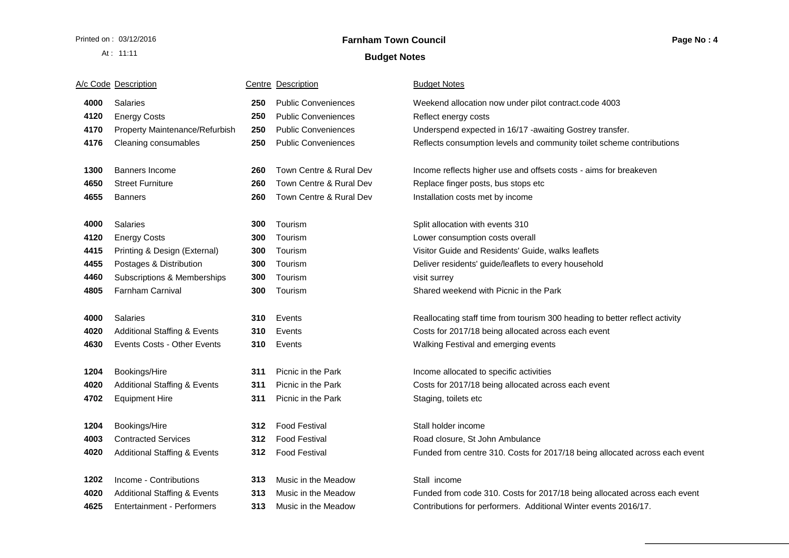At: 11:11

# **Farnham Town Council Budget Notes**

|      | A/c Code Description                    |     | <b>Centre Description</b>  | <b>Budget Notes</b>                                                         |
|------|-----------------------------------------|-----|----------------------------|-----------------------------------------------------------------------------|
| 4000 | <b>Salaries</b>                         | 250 | <b>Public Conveniences</b> | Weekend allocation now under pilot contract.code 4003                       |
| 4120 | <b>Energy Costs</b>                     | 250 | <b>Public Conveniences</b> | Reflect energy costs                                                        |
| 4170 | Property Maintenance/Refurbish          | 250 | <b>Public Conveniences</b> | Underspend expected in 16/17 -awaiting Gostrey transfer.                    |
| 4176 | Cleaning consumables                    | 250 | <b>Public Conveniences</b> | Reflects consumption levels and community toilet scheme contributions       |
| 1300 | Banners Income                          | 260 | Town Centre & Rural Dev    | Income reflects higher use and offsets costs - aims for breakeven           |
| 4650 | <b>Street Furniture</b>                 | 260 | Town Centre & Rural Dev    | Replace finger posts, bus stops etc                                         |
| 4655 | <b>Banners</b>                          | 260 | Town Centre & Rural Dev    | Installation costs met by income                                            |
| 4000 | Salaries                                | 300 | Tourism                    | Split allocation with events 310                                            |
| 4120 | <b>Energy Costs</b>                     | 300 | Tourism                    | Lower consumption costs overall                                             |
| 4415 | Printing & Design (External)            | 300 | Tourism                    | Visitor Guide and Residents' Guide, walks leaflets                          |
| 4455 | Postages & Distribution                 | 300 | Tourism                    | Deliver residents' guide/leaflets to every household                        |
| 4460 | Subscriptions & Memberships             | 300 | Tourism                    | visit surrey                                                                |
| 4805 | <b>Farnham Carnival</b>                 | 300 | Tourism                    | Shared weekend with Picnic in the Park                                      |
| 4000 | <b>Salaries</b>                         | 310 | Events                     | Reallocating staff time from tourism 300 heading to better reflect activity |
| 4020 | <b>Additional Staffing &amp; Events</b> | 310 | Events                     | Costs for 2017/18 being allocated across each event                         |
| 4630 | Events Costs - Other Events             | 310 | Events                     | Walking Festival and emerging events                                        |
| 1204 | Bookings/Hire                           | 311 | Picnic in the Park         | Income allocated to specific activities                                     |
| 4020 | <b>Additional Staffing &amp; Events</b> | 311 | Picnic in the Park         | Costs for 2017/18 being allocated across each event                         |
| 4702 | <b>Equipment Hire</b>                   | 311 | Picnic in the Park         | Staging, toilets etc                                                        |
| 1204 | Bookings/Hire                           | 312 | <b>Food Festival</b>       | Stall holder income                                                         |
| 4003 | <b>Contracted Services</b>              | 312 | <b>Food Festival</b>       | Road closure, St John Ambulance                                             |
| 4020 | <b>Additional Staffing &amp; Events</b> | 312 | <b>Food Festival</b>       | Funded from centre 310. Costs for 2017/18 being allocated across each event |
| 1202 | Income - Contributions                  | 313 | Music in the Meadow        | Stall income                                                                |
| 4020 | <b>Additional Staffing &amp; Events</b> | 313 | Music in the Meadow        | Funded from code 310. Costs for 2017/18 being allocated across each event   |
| 4625 | Entertainment - Performers              | 313 | Music in the Meadow        | Contributions for performers. Additional Winter events 2016/17.             |
|      |                                         |     |                            |                                                                             |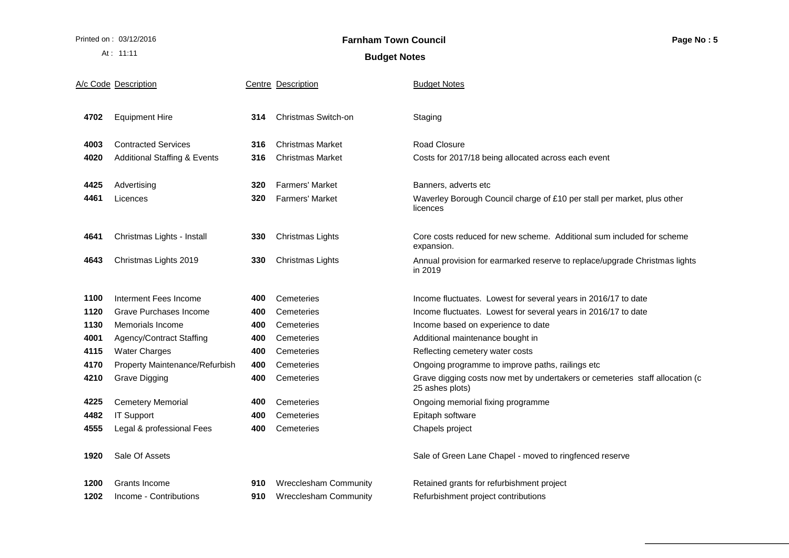At: 11:11

# **Farnham Town Council Budget Notes**

|      | A/c Code Description                    |     | Centre Description           | <b>Budget Notes</b>                                                                             |
|------|-----------------------------------------|-----|------------------------------|-------------------------------------------------------------------------------------------------|
|      |                                         |     |                              |                                                                                                 |
| 4702 | <b>Equipment Hire</b>                   | 314 | Christmas Switch-on          | Staging                                                                                         |
| 4003 | <b>Contracted Services</b>              | 316 | <b>Christmas Market</b>      | Road Closure                                                                                    |
| 4020 | <b>Additional Staffing &amp; Events</b> | 316 | <b>Christmas Market</b>      | Costs for 2017/18 being allocated across each event                                             |
| 4425 | Advertising                             | 320 | <b>Farmers' Market</b>       | Banners, adverts etc                                                                            |
| 4461 | Licences                                | 320 | <b>Farmers' Market</b>       | Waverley Borough Council charge of £10 per stall per market, plus other<br>licences             |
|      |                                         |     |                              |                                                                                                 |
| 4641 | Christmas Lights - Install              | 330 | Christmas Lights             | Core costs reduced for new scheme. Additional sum included for scheme<br>expansion.             |
| 4643 | Christmas Lights 2019                   | 330 | Christmas Lights             | Annual provision for earmarked reserve to replace/upgrade Christmas lights<br>in 2019           |
|      |                                         |     |                              |                                                                                                 |
| 1100 | Interment Fees Income                   | 400 | Cemeteries                   | Income fluctuates. Lowest for several years in 2016/17 to date                                  |
| 1120 | Grave Purchases Income                  | 400 | Cemeteries                   | Income fluctuates. Lowest for several years in 2016/17 to date                                  |
| 1130 | Memorials Income                        | 400 | Cemeteries                   | Income based on experience to date                                                              |
| 4001 | Agency/Contract Staffing                | 400 | Cemeteries                   | Additional maintenance bought in                                                                |
| 4115 | <b>Water Charges</b>                    | 400 | Cemeteries                   | Reflecting cemetery water costs                                                                 |
| 4170 | Property Maintenance/Refurbish          | 400 | Cemeteries                   | Ongoing programme to improve paths, railings etc                                                |
| 4210 | <b>Grave Digging</b>                    | 400 | Cemeteries                   | Grave digging costs now met by undertakers or cemeteries staff allocation (c<br>25 ashes plots) |
| 4225 | <b>Cemetery Memorial</b>                | 400 | Cemeteries                   | Ongoing memorial fixing programme                                                               |
| 4482 | <b>IT Support</b>                       | 400 | Cemeteries                   | Epitaph software                                                                                |
| 4555 | Legal & professional Fees               | 400 | Cemeteries                   | Chapels project                                                                                 |
| 1920 | Sale Of Assets                          |     |                              | Sale of Green Lane Chapel - moved to ringfenced reserve                                         |
| 1200 | Grants Income                           | 910 | <b>Wrecclesham Community</b> | Retained grants for refurbishment project                                                       |
| 1202 | Income - Contributions                  | 910 | Wrecclesham Community        | Refurbishment project contributions                                                             |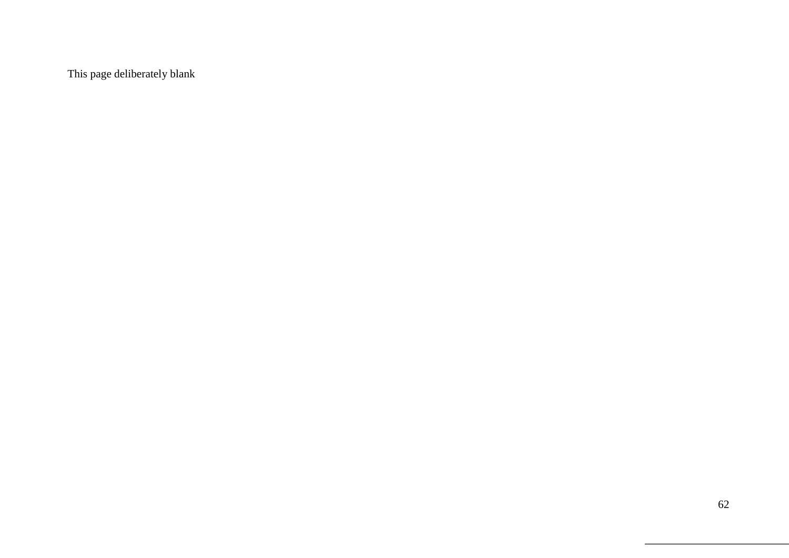This page deliberately blank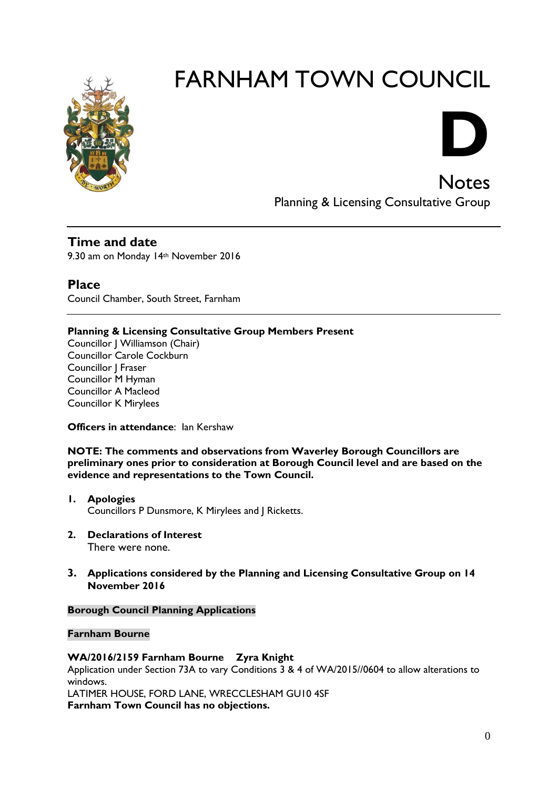

# FARNHAM TOWN COUNCIL



**Notes** Planning & Licensing Consultative Group

# **Time and date**

9.30 am on Monday 14th November 2016

# **Place**

Council Chamber, South Street, Farnham

# **Planning & Licensing Consultative Group Members Present**

Councillor J Williamson (Chair) Councillor Carole Cockburn Councillor J Fraser Councillor M Hyman Councillor A Macleod Councillor K Mirylees

# **Officers in attendance**: Ian Kershaw

**NOTE: The comments and observations from Waverley Borough Councillors are preliminary ones prior to consideration at Borough Council level and are based on the evidence and representations to the Town Council.**

- **1. Apologies**  Councillors P Dunsmore, K Mirylees and J Ricketts.
- **2. Declarations of Interest** There were none.
- **3. Applications considered by the Planning and Licensing Consultative Group on 14 November 2016**

# **Borough Council Planning Applications**

# **Farnham Bourne**

**WA/2016/2159 Farnham Bourne Zyra Knight** Application under Section 73A to vary Conditions 3 & 4 of WA/2015//0604 to allow alterations to windows. LATIMER HOUSE, FORD LANE, WRECCLESHAM GU10 4SF **Farnham Town Council has no objections.**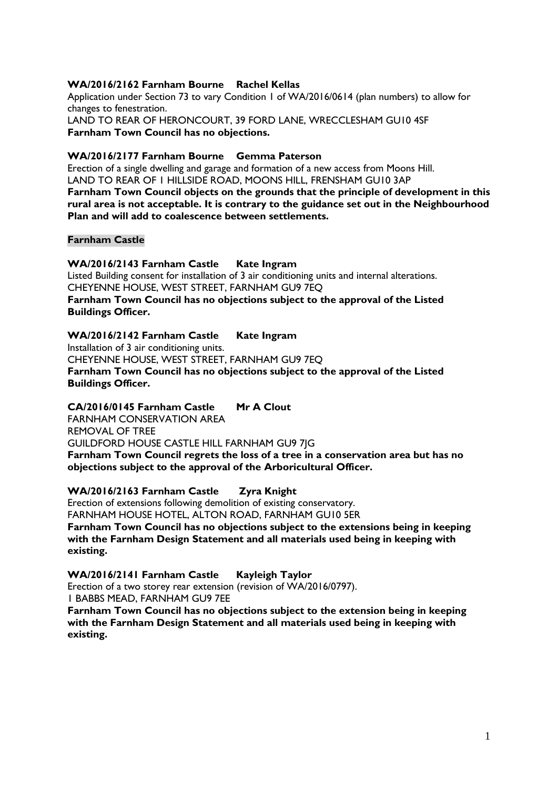# **WA/2016/2162 Farnham Bourne Rachel Kellas**

Application under Section 73 to vary Condition 1 of WA/2016/0614 (plan numbers) to allow for changes to fenestration. LAND TO REAR OF HERONCOURT, 39 FORD LANE, WRECCLESHAM GU10 4SF **Farnham Town Council has no objections.**

# **WA/2016/2177 Farnham Bourne Gemma Paterson**

Erection of a single dwelling and garage and formation of a new access from Moons Hill. LAND TO REAR OF 1 HILLSIDE ROAD, MOONS HILL, FRENSHAM GU10 3AP

**Farnham Town Council objects on the grounds that the principle of development in this rural area is not acceptable. It is contrary to the guidance set out in the Neighbourhood Plan and will add to coalescence between settlements.**

# **Farnham Castle**

**WA/2016/2143 Farnham Castle Kate Ingram** Listed Building consent for installation of 3 air conditioning units and internal alterations. CHEYENNE HOUSE, WEST STREET, FARNHAM GU9 7EQ **Farnham Town Council has no objections subject to the approval of the Listed** 

**Buildings Officer.**

# **WA/2016/2142 Farnham Castle Kate Ingram**

Installation of 3 air conditioning units. CHEYENNE HOUSE, WEST STREET, FARNHAM GU9 7EQ **Farnham Town Council has no objections subject to the approval of the Listed Buildings Officer.**

# **CA/2016/0145 Farnham Castle Mr A Clout**

FARNHAM CONSERVATION AREA REMOVAL OF TREE GUILDFORD HOUSE CASTLE HILL FARNHAM GU9 7JG **Farnham Town Council regrets the loss of a tree in a conservation area but has no objections subject to the approval of the Arboricultural Officer.**

# **WA/2016/2163 Farnham Castle Zyra Knight**

Erection of extensions following demolition of existing conservatory. FARNHAM HOUSE HOTEL, ALTON ROAD, FARNHAM GU10 5ER **Farnham Town Council has no objections subject to the extensions being in keeping with the Farnham Design Statement and all materials used being in keeping with existing.**

# **WA/2016/2141 Farnham Castle Kayleigh Taylor**

Erection of a two storey rear extension (revision of WA/2016/0797). 1 BABBS MEAD, FARNHAM GU9 7EE

**Farnham Town Council has no objections subject to the extension being in keeping with the Farnham Design Statement and all materials used being in keeping with existing.**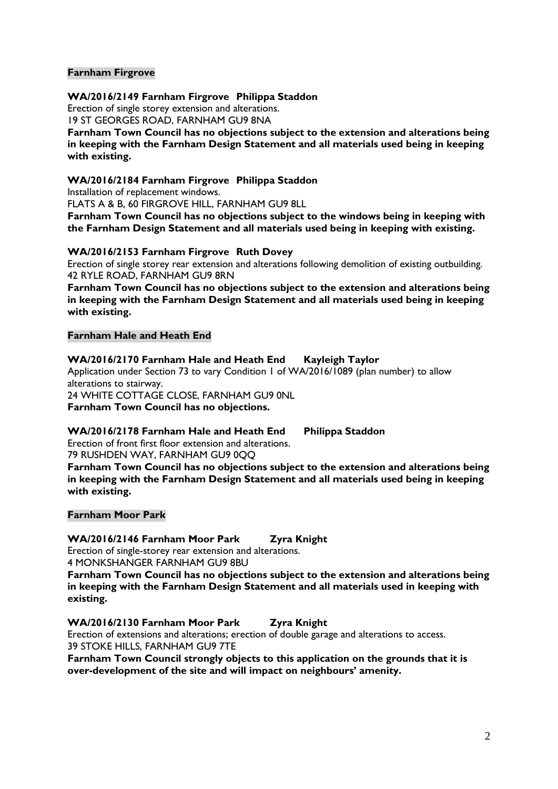# **Farnham Firgrove**

# **WA/2016/2149 Farnham Firgrove Philippa Staddon**

Erection of single storey extension and alterations.

19 ST GEORGES ROAD, FARNHAM GU9 8NA

**Farnham Town Council has no objections subject to the extension and alterations being in keeping with the Farnham Design Statement and all materials used being in keeping with existing.**

# **WA/2016/2184 Farnham Firgrove Philippa Staddon**

Installation of replacement windows.

FLATS A & B, 60 FIRGROVE HILL, FARNHAM GU9 8LL

**Farnham Town Council has no objections subject to the windows being in keeping with the Farnham Design Statement and all materials used being in keeping with existing.**

# **WA/2016/2153 Farnham Firgrove Ruth Dovey**

Erection of single storey rear extension and alterations following demolition of existing outbuilding. 42 RYLE ROAD, FARNHAM GU9 8RN

**Farnham Town Council has no objections subject to the extension and alterations being in keeping with the Farnham Design Statement and all materials used being in keeping with existing.**

# **Farnham Hale and Heath End**

# **WA/2016/2170 Farnham Hale and Heath End Kayleigh Taylor**

Application under Section 73 to vary Condition 1 of WA/2016/1089 (plan number) to allow alterations to stairway.

24 WHITE COTTAGE CLOSE, FARNHAM GU9 0NL **Farnham Town Council has no objections.**

# **WA/2016/2178 Farnham Hale and Heath End Philippa Staddon**

Erection of front first floor extension and alterations. 79 RUSHDEN WAY, FARNHAM GU9 0QQ

**Farnham Town Council has no objections subject to the extension and alterations being in keeping with the Farnham Design Statement and all materials used being in keeping with existing.**

# **Farnham Moor Park**

**WA/2016/2146 Farnham Moor Park Zyra Knight**

Erection of single-storey rear extension and alterations.

4 MONKSHANGER FARNHAM GU9 8BU

**Farnham Town Council has no objections subject to the extension and alterations being in keeping with the Farnham Design Statement and all materials used in keeping with existing.**

**WA/2016/2130 Farnham Moor Park Zyra Knight** Erection of extensions and alterations; erection of double garage and alterations to access. 39 STOKE HILLS, FARNHAM GU9 7TE

**Farnham Town Council strongly objects to this application on the grounds that it is over-development of the site and will impact on neighbours' amenity.**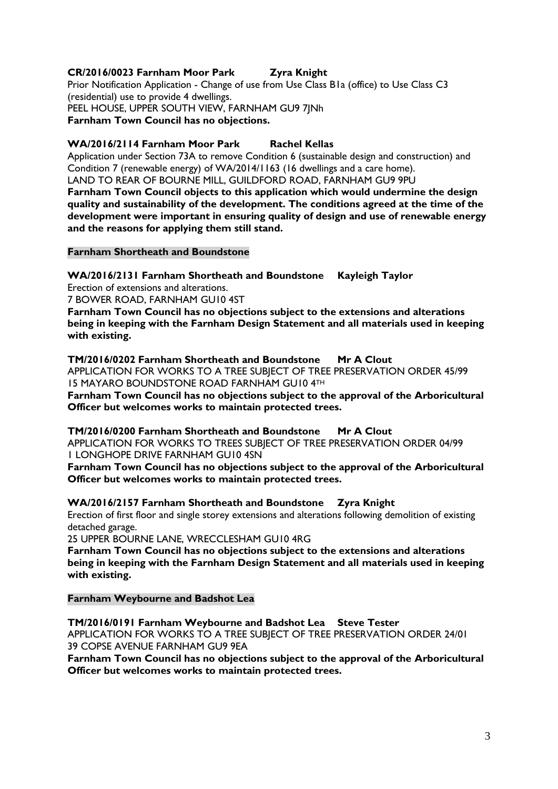# **CR/2016/0023 Farnham Moor Park Zyra Knight**

Prior Notification Application - Change of use from Use Class B1a (office) to Use Class C3 (residential) use to provide 4 dwellings. PEEL HOUSE, UPPER SOUTH VIEW, FARNHAM GU9 7INh **Farnham Town Council has no objections.**

# **WA/2016/2114 Farnham Moor Park Rachel Kellas**

Application under Section 73A to remove Condition 6 (sustainable design and construction) and Condition 7 (renewable energy) of WA/2014/1163 (16 dwellings and a care home).

LAND TO REAR OF BOURNE MILL, GUILDFORD ROAD, FARNHAM GU9 9PU

**Farnham Town Council objects to this application which would undermine the design quality and sustainability of the development. The conditions agreed at the time of the development were important in ensuring quality of design and use of renewable energy and the reasons for applying them still stand.**

# **Farnham Shortheath and Boundstone**

**WA/2016/2131 Farnham Shortheath and Boundstone Kayleigh Taylor**

Erection of extensions and alterations.

7 BOWER ROAD, FARNHAM GU10 4ST

**Farnham Town Council has no objections subject to the extensions and alterations being in keeping with the Farnham Design Statement and all materials used in keeping with existing.**

**TM/2016/0202 Farnham Shortheath and Boundstone Mr A Clout** APPLICATION FOR WORKS TO A TREE SUBJECT OF TREE PRESERVATION ORDER 45/99 15 MAYARO BOUNDSTONE ROAD FARNHAM GU10 4TH

**Farnham Town Council has no objections subject to the approval of the Arboricultural Officer but welcomes works to maintain protected trees.**

# **TM/2016/0200 Farnham Shortheath and Boundstone Mr A Clout**

APPLICATION FOR WORKS TO TREES SUBJECT OF TREE PRESERVATION ORDER 04/99 1 LONGHOPE DRIVE FARNHAM GU10 4SN

**Farnham Town Council has no objections subject to the approval of the Arboricultural Officer but welcomes works to maintain protected trees.**

# **WA/2016/2157 Farnham Shortheath and Boundstone Zyra Knight**

Erection of first floor and single storey extensions and alterations following demolition of existing detached garage.

25 UPPER BOURNE LANE, WRECCLESHAM GU10 4RG

**Farnham Town Council has no objections subject to the extensions and alterations being in keeping with the Farnham Design Statement and all materials used in keeping with existing.**

# **Farnham Weybourne and Badshot Lea**

**TM/2016/0191 Farnham Weybourne and Badshot Lea Steve Tester** APPLICATION FOR WORKS TO A TREE SUBJECT OF TREE PRESERVATION ORDER 24/01 39 COPSE AVENUE FARNHAM GU9 9EA

**Farnham Town Council has no objections subject to the approval of the Arboricultural Officer but welcomes works to maintain protected trees.**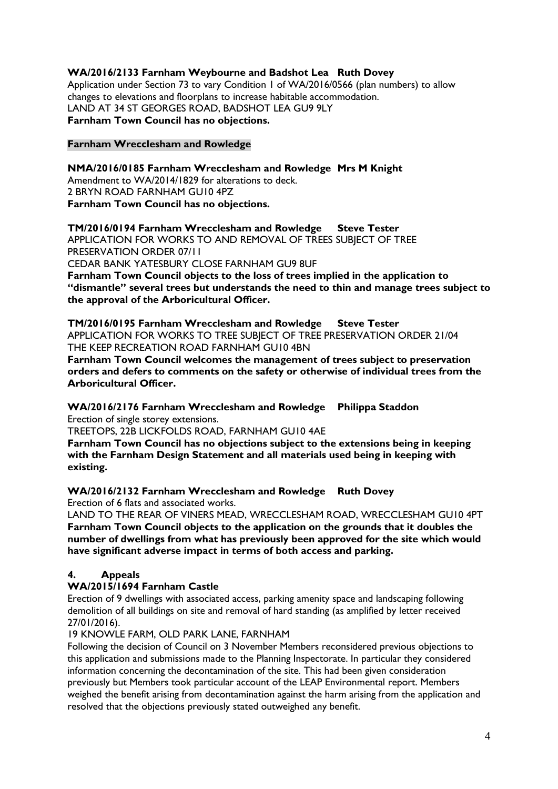# **WA/2016/2133 Farnham Weybourne and Badshot Lea Ruth Dovey**

Application under Section 73 to vary Condition 1 of WA/2016/0566 (plan numbers) to allow changes to elevations and floorplans to increase habitable accommodation. LAND AT 34 ST GEORGES ROAD, BADSHOT LEA GU9 9LY **Farnham Town Council has no objections.**

# **Farnham Wrecclesham and Rowledge**

# **NMA/2016/0185 Farnham Wrecclesham and Rowledge Mrs M Knight**

Amendment to WA/2014/1829 for alterations to deck. 2 BRYN ROAD FARNHAM GU10 4PZ **Farnham Town Council has no objections.**

# **TM/2016/0194 Farnham Wrecclesham and Rowledge Steve Tester**

APPLICATION FOR WORKS TO AND REMOVAL OF TREES SUBJECT OF TREE PRESERVATION ORDER 07/11

CEDAR BANK YATESBURY CLOSE FARNHAM GU9 8UF

**Farnham Town Council objects to the loss of trees implied in the application to "dismantle" several trees but understands the need to thin and manage trees subject to the approval of the Arboricultural Officer.**

**TM/2016/0195 Farnham Wrecclesham and Rowledge Steve Tester** APPLICATION FOR WORKS TO TREE SUBJECT OF TREE PRESERVATION ORDER 21/04 THE KEEP RECREATION ROAD FARNHAM GU10 4BN

**Farnham Town Council welcomes the management of trees subject to preservation orders and defers to comments on the safety or otherwise of individual trees from the Arboricultural Officer.**

**WA/2016/2176 Farnham Wrecclesham and Rowledge Philippa Staddon** Erection of single storey extensions.

TREETOPS, 22B LICKFOLDS ROAD, FARNHAM GU10 4AE

**Farnham Town Council has no objections subject to the extensions being in keeping with the Farnham Design Statement and all materials used being in keeping with existing.**

### **WA/2016/2132 Farnham Wrecclesham and Rowledge Ruth Dovey** Erection of 6 flats and associated works.

LAND TO THE REAR OF VINERS MEAD, WRECCLESHAM ROAD, WRECCLESHAM GU10 4PT **Farnham Town Council objects to the application on the grounds that it doubles the number of dwellings from what has previously been approved for the site which would have significant adverse impact in terms of both access and parking.**

# **4. Appeals**

# **WA/2015/1694 Farnham Castle**

Erection of 9 dwellings with associated access, parking amenity space and landscaping following demolition of all buildings on site and removal of hard standing (as amplified by letter received 27/01/2016).

# 19 KNOWLE FARM, OLD PARK LANE, FARNHAM

Following the decision of Council on 3 November Members reconsidered previous objections to this application and submissions made to the Planning Inspectorate. In particular they considered information concerning the decontamination of the site. This had been given consideration previously but Members took particular account of the LEAP Environmental report. Members weighed the benefit arising from decontamination against the harm arising from the application and resolved that the objections previously stated outweighed any benefit.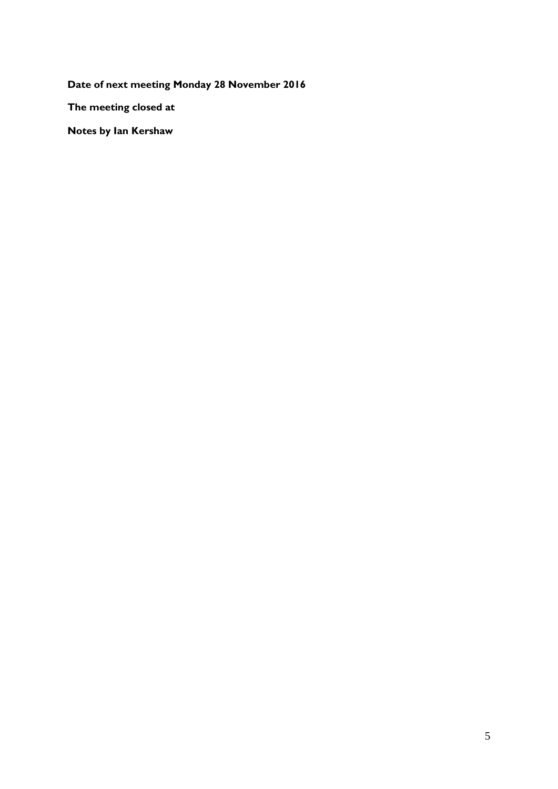**Date of next meeting Monday 28 November 2016** 

**The meeting closed at** 

**Notes by Ian Kershaw**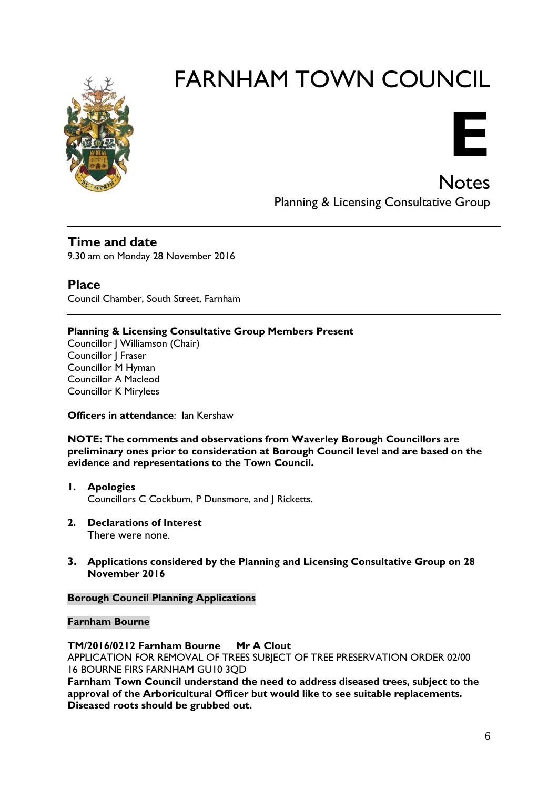

# FARNHAM TOWN COUNCIL



**Notes** Planning & Licensing Consultative Group

# **Time and date**

9.30 am on Monday 28 November 2016

**Place** Council Chamber, South Street, Farnham

# **Planning & Licensing Consultative Group Members Present**

Councillor J Williamson (Chair) Councillor J Fraser Councillor M Hyman Councillor A Macleod Councillor K Mirylees

# **Officers in attendance:** Ian Kershaw

**NOTE: The comments and observations from Waverley Borough Councillors are preliminary ones prior to consideration at Borough Council level and are based on the evidence and representations to the Town Council.**

- **1. Apologies**  Councillors C Cockburn, P Dunsmore, and J Ricketts.
- **2. Declarations of Interest** There were none.
- **3. Applications considered by the Planning and Licensing Consultative Group on 28 November 2016**

# **Borough Council Planning Applications**

# **Farnham Bourne**

**TM/2016/0212 Farnham Bourne Mr A Clout** APPLICATION FOR REMOVAL OF TREES SUBJECT OF TREE PRESERVATION ORDER 02/00 16 BOURNE FIRS FARNHAM GU10 3QD

**Farnham Town Council understand the need to address diseased trees, subject to the approval of the Arboricultural Officer but would like to see suitable replacements. Diseased roots should be grubbed out.**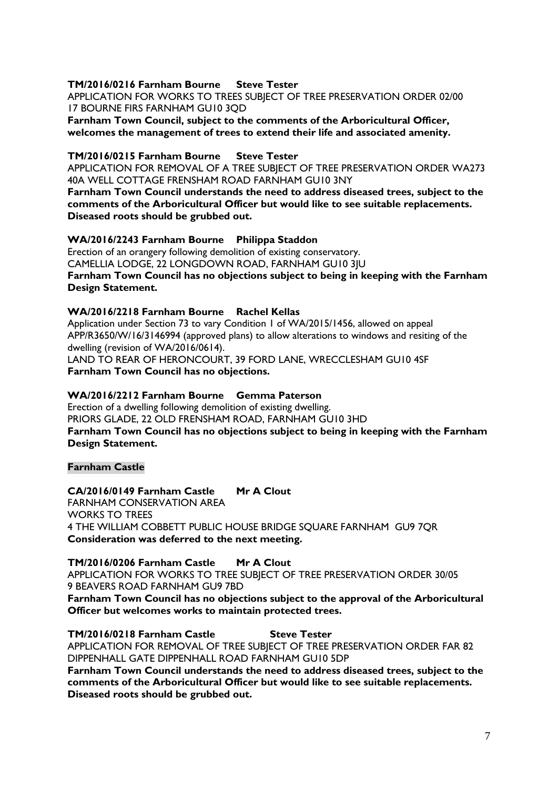# **TM/2016/0216 Farnham Bourne Steve Tester**

APPLICATION FOR WORKS TO TREES SUBJECT OF TREE PRESERVATION ORDER 02/00 17 BOURNE FIRS FARNHAM GU10 3QD

**Farnham Town Council, subject to the comments of the Arboricultural Officer, welcomes the management of trees to extend their life and associated amenity.**

# **TM/2016/0215 Farnham Bourne Steve Tester**

APPLICATION FOR REMOVAL OF A TREE SUBJECT OF TREE PRESERVATION ORDER WA273 40A WELL COTTAGE FRENSHAM ROAD FARNHAM GU10 3NY

**Farnham Town Council understands the need to address diseased trees, subject to the comments of the Arboricultural Officer but would like to see suitable replacements. Diseased roots should be grubbed out.**

# **WA/2016/2243 Farnham Bourne Philippa Staddon**

Erection of an orangery following demolition of existing conservatory. CAMELLIA LODGE, 22 LONGDOWN ROAD, FARNHAM GU10 3JU

**Farnham Town Council has no objections subject to being in keeping with the Farnham Design Statement.**

# **WA/2016/2218 Farnham Bourne Rachel Kellas**

Application under Section 73 to vary Condition 1 of WA/2015/1456, allowed on appeal APP/R3650/W/16/3146994 (approved plans) to allow alterations to windows and resiting of the dwelling (revision of WA/2016/0614).

LAND TO REAR OF HERONCOURT, 39 FORD LANE, WRECCLESHAM GU10 4SF **Farnham Town Council has no objections.**

# **WA/2016/2212 Farnham Bourne Gemma Paterson**

Erection of a dwelling following demolition of existing dwelling. PRIORS GLADE, 22 OLD FRENSHAM ROAD, FARNHAM GU10 3HD **Farnham Town Council has no objections subject to being in keeping with the Farnham Design Statement.**

# **Farnham Castle**

# **CA/2016/0149 Farnham Castle Mr A Clout**

FARNHAM CONSERVATION AREA WORKS TO TREES 4 THE WILLIAM COBBETT PUBLIC HOUSE BRIDGE SQUARE FARNHAM GU9 7QR **Consideration was deferred to the next meeting.**

# **TM/2016/0206 Farnham Castle Mr A Clout**

APPLICATION FOR WORKS TO TREE SUBJECT OF TREE PRESERVATION ORDER 30/05 9 BEAVERS ROAD FARNHAM GU9 7BD

**Farnham Town Council has no objections subject to the approval of the Arboricultural Officer but welcomes works to maintain protected trees.**

**TM/2016/0218 Farnham Castle Steve Tester** APPLICATION FOR REMOVAL OF TREE SUBJECT OF TREE PRESERVATION ORDER FAR 82 DIPPENHALL GATE DIPPENHALL ROAD FARNHAM GU10 5DP

**Farnham Town Council understands the need to address diseased trees, subject to the comments of the Arboricultural Officer but would like to see suitable replacements. Diseased roots should be grubbed out.**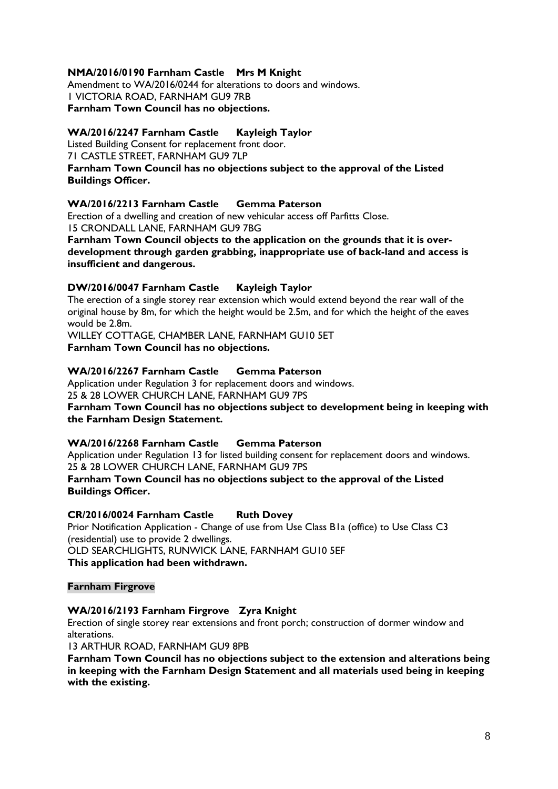# **NMA/2016/0190 Farnham Castle Mrs M Knight**

Amendment to WA/2016/0244 for alterations to doors and windows. 1 VICTORIA ROAD, FARNHAM GU9 7RB

**Farnham Town Council has no objections.**

# **WA/2016/2247 Farnham Castle Kayleigh Taylor**

Listed Building Consent for replacement front door.

71 CASTLE STREET, FARNHAM GU9 7LP

**Farnham Town Council has no objections subject to the approval of the Listed Buildings Officer.**

# **WA/2016/2213 Farnham Castle Gemma Paterson**

Erection of a dwelling and creation of new vehicular access off Parfitts Close. 15 CRONDALL LANE, FARNHAM GU9 7BG

**Farnham Town Council objects to the application on the grounds that it is overdevelopment through garden grabbing, inappropriate use of back-land and access is insufficient and dangerous.**

# **DW/2016/0047 Farnham Castle Kayleigh Taylor**

The erection of a single storey rear extension which would extend beyond the rear wall of the original house by 8m, for which the height would be 2.5m, and for which the height of the eaves would be 2.8m.

WILLEY COTTAGE, CHAMBER LANE, FARNHAM GU10 5ET **Farnham Town Council has no objections.**

# **WA/2016/2267 Farnham Castle Gemma Paterson**

Application under Regulation 3 for replacement doors and windows. 25 & 28 LOWER CHURCH LANE, FARNHAM GU9 7PS

**Farnham Town Council has no objections subject to development being in keeping with the Farnham Design Statement.**

# **WA/2016/2268 Farnham Castle Gemma Paterson**

Application under Regulation 13 for listed building consent for replacement doors and windows. 25 & 28 LOWER CHURCH LANE, FARNHAM GU9 7PS

**Farnham Town Council has no objections subject to the approval of the Listed Buildings Officer.**

# **CR/2016/0024 Farnham Castle Ruth Dovey**

Prior Notification Application - Change of use from Use Class B1a (office) to Use Class C3 (residential) use to provide 2 dwellings. OLD SEARCHLIGHTS, RUNWICK LANE, FARNHAM GU10 5EF **This application had been withdrawn.**

# **Farnham Firgrove**

# **WA/2016/2193 Farnham Firgrove Zyra Knight**

Erection of single storey rear extensions and front porch; construction of dormer window and alterations.

13 ARTHUR ROAD, FARNHAM GU9 8PB

**Farnham Town Council has no objections subject to the extension and alterations being in keeping with the Farnham Design Statement and all materials used being in keeping with the existing.**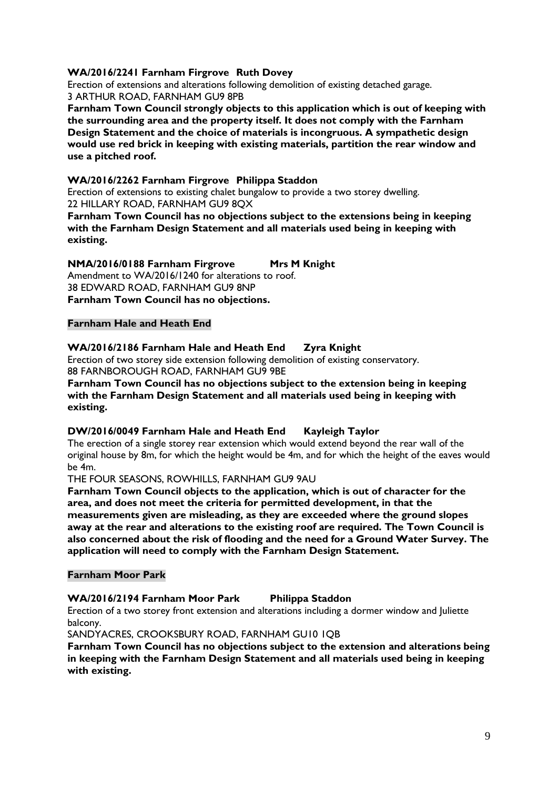# **WA/2016/2241 Farnham Firgrove Ruth Dovey**

Erection of extensions and alterations following demolition of existing detached garage. 3 ARTHUR ROAD, FARNHAM GU9 8PB

**Farnham Town Council strongly objects to this application which is out of keeping with the surrounding area and the property itself. It does not comply with the Farnham Design Statement and the choice of materials is incongruous. A sympathetic design would use red brick in keeping with existing materials, partition the rear window and use a pitched roof.**

# **WA/2016/2262 Farnham Firgrove Philippa Staddon**

Erection of extensions to existing chalet bungalow to provide a two storey dwelling. 22 HILLARY ROAD, FARNHAM GU9 8QX

**Farnham Town Council has no objections subject to the extensions being in keeping with the Farnham Design Statement and all materials used being in keeping with existing.**

# **NMA/2016/0188 Farnham Firgrove Mrs M Knight**

Amendment to WA/2016/1240 for alterations to roof. 38 EDWARD ROAD, FARNHAM GU9 8NP **Farnham Town Council has no objections.**

# **Farnham Hale and Heath End**

# **WA/2016/2186 Farnham Hale and Heath End Zyra Knight**

Erection of two storey side extension following demolition of existing conservatory. 88 FARNBOROUGH ROAD, FARNHAM GU9 9BE

**Farnham Town Council has no objections subject to the extension being in keeping with the Farnham Design Statement and all materials used being in keeping with existing.**

# **DW/2016/0049 Farnham Hale and Heath End Kayleigh Taylor**

The erection of a single storey rear extension which would extend beyond the rear wall of the original house by 8m, for which the height would be 4m, and for which the height of the eaves would be 4m.

THE FOUR SEASONS, ROWHILLS, FARNHAM GU9 9AU

**Farnham Town Council objects to the application, which is out of character for the area, and does not meet the criteria for permitted development, in that the measurements given are misleading, as they are exceeded where the ground slopes away at the rear and alterations to the existing roof are required. The Town Council is also concerned about the risk of flooding and the need for a Ground Water Survey. The application will need to comply with the Farnham Design Statement.**

# **Farnham Moor Park**

# **WA/2016/2194 Farnham Moor Park Philippa Staddon**

Erection of a two storey front extension and alterations including a dormer window and Juliette balcony.

SANDYACRES, CROOKSBURY ROAD, FARNHAM GU10 1QB

**Farnham Town Council has no objections subject to the extension and alterations being in keeping with the Farnham Design Statement and all materials used being in keeping with existing.**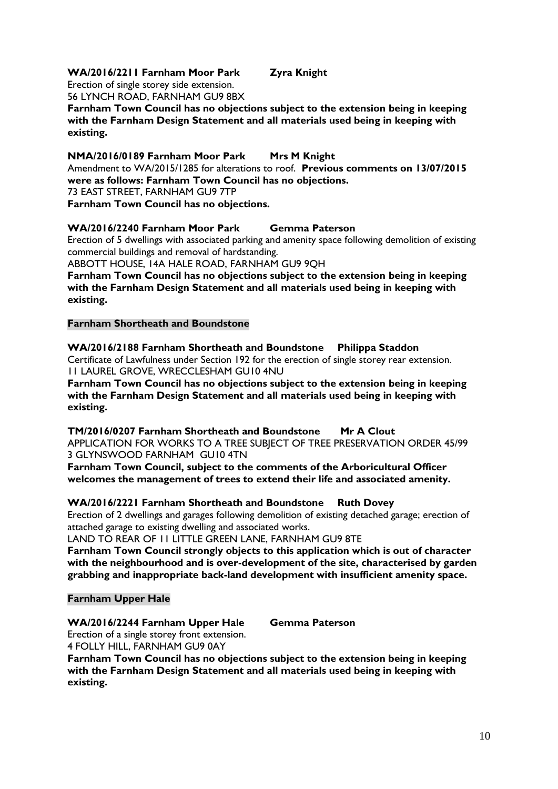**WA/2016/2211 Farnham Moor Park Zyra Knight**

Erection of single storey side extension.

56 LYNCH ROAD, FARNHAM GU9 8BX

**Farnham Town Council has no objections subject to the extension being in keeping with the Farnham Design Statement and all materials used being in keeping with existing.**

# **NMA/2016/0189 Farnham Moor Park Mrs M Knight**

Amendment to WA/2015/1285 for alterations to roof. **Previous comments on 13/07/2015 were as follows: Farnham Town Council has no objections.** 73 EAST STREET, FARNHAM GU9 7TP **Farnham Town Council has no objections.**

# **WA/2016/2240 Farnham Moor Park Gemma Paterson**

Erection of 5 dwellings with associated parking and amenity space following demolition of existing commercial buildings and removal of hardstanding.

ABBOTT HOUSE, 14A HALE ROAD, FARNHAM GU9 9QH

**Farnham Town Council has no objections subject to the extension being in keeping with the Farnham Design Statement and all materials used being in keeping with existing.**

### **Farnham Shortheath and Boundstone**

### **WA/2016/2188 Farnham Shortheath and Boundstone Philippa Staddon**

Certificate of Lawfulness under Section 192 for the erection of single storey rear extension. 11 LAUREL GROVE, WRECCLESHAM GU10 4NU

**Farnham Town Council has no objections subject to the extension being in keeping with the Farnham Design Statement and all materials used being in keeping with existing.**

#### **TM/2016/0207 Farnham Shortheath and Boundstone Mr A Clout**

APPLICATION FOR WORKS TO A TREE SUBJECT OF TREE PRESERVATION ORDER 45/99 3 GLYNSWOOD FARNHAM GU10 4TN

**Farnham Town Council, subject to the comments of the Arboricultural Officer welcomes the management of trees to extend their life and associated amenity.**

# **WA/2016/2221 Farnham Shortheath and Boundstone Ruth Dovey**

Erection of 2 dwellings and garages following demolition of existing detached garage; erection of attached garage to existing dwelling and associated works.

LAND TO REAR OF 11 LITTLE GREEN LANE, FARNHAM GU9 8TE

**Farnham Town Council strongly objects to this application which is out of character with the neighbourhood and is over-development of the site, characterised by garden grabbing and inappropriate back-land development with insufficient amenity space.**

#### **Farnham Upper Hale**

# **WA/2016/2244 Farnham Upper Hale Gemma Paterson**

Erection of a single storey front extension. 4 FOLLY HILL, FARNHAM GU9 0AY

**Farnham Town Council has no objections subject to the extension being in keeping with the Farnham Design Statement and all materials used being in keeping with existing.**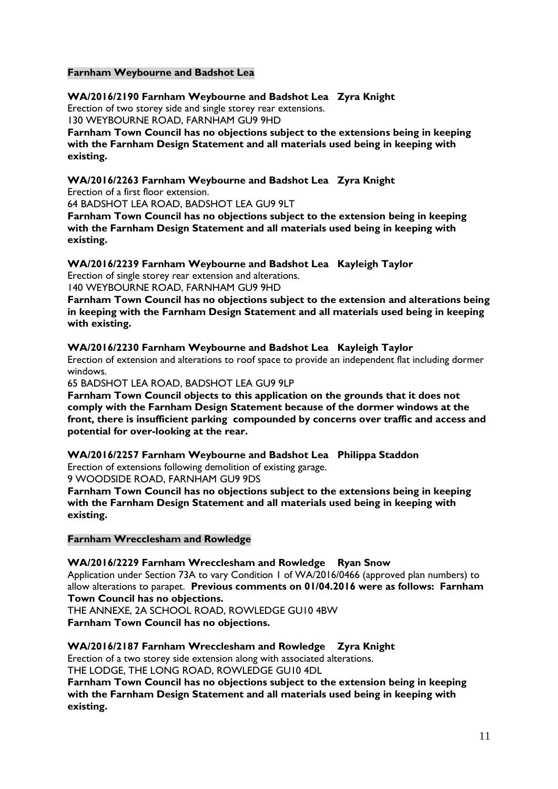#### **Farnham Weybourne and Badshot Lea**

**WA/2016/2190 Farnham Weybourne and Badshot Lea Zyra Knight** Erection of two storey side and single storey rear extensions. 130 WEYBOURNE ROAD, FARNHAM GU9 9HD **Farnham Town Council has no objections subject to the extensions being in keeping with the Farnham Design Statement and all materials used being in keeping with existing.**

**WA/2016/2263 Farnham Weybourne and Badshot Lea Zyra Knight** Erection of a first floor extension.

64 BADSHOT LEA ROAD, BADSHOT LEA GU9 9LT

**Farnham Town Council has no objections subject to the extension being in keeping with the Farnham Design Statement and all materials used being in keeping with existing.**

**WA/2016/2239 Farnham Weybourne and Badshot Lea Kayleigh Taylor** Erection of single storey rear extension and alterations. 140 WEYBOURNE ROAD, FARNHAM GU9 9HD

**Farnham Town Council has no objections subject to the extension and alterations being in keeping with the Farnham Design Statement and all materials used being in keeping with existing.**

**WA/2016/2230 Farnham Weybourne and Badshot Lea Kayleigh Taylor** Erection of extension and alterations to roof space to provide an independent flat including dormer windows.

65 BADSHOT LEA ROAD, BADSHOT LEA GU9 9LP

**Farnham Town Council objects to this application on the grounds that it does not comply with the Farnham Design Statement because of the dormer windows at the front, there is insufficient parking compounded by concerns over traffic and access and potential for over-looking at the rear.**

**WA/2016/2257 Farnham Weybourne and Badshot Lea Philippa Staddon** Erection of extensions following demolition of existing garage.

9 WOODSIDE ROAD, FARNHAM GU9 9DS

**Farnham Town Council has no objections subject to the extensions being in keeping with the Farnham Design Statement and all materials used being in keeping with existing.**

**Farnham Wrecclesham and Rowledge**

**WA/2016/2229 Farnham Wrecclesham and Rowledge Ryan Snow**

Application under Section 73A to vary Condition 1 of WA/2016/0466 (approved plan numbers) to allow alterations to parapet. **Previous comments on 01/04.2016 were as follows: Farnham Town Council has no objections.**

THE ANNEXE, 2A SCHOOL ROAD, ROWLEDGE GU10 4BW **Farnham Town Council has no objections.**

**WA/2016/2187 Farnham Wrecclesham and Rowledge Zyra Knight**

Erection of a two storey side extension along with associated alterations.

THE LODGE, THE LONG ROAD, ROWLEDGE GU10 4DL

**Farnham Town Council has no objections subject to the extension being in keeping with the Farnham Design Statement and all materials used being in keeping with existing.**